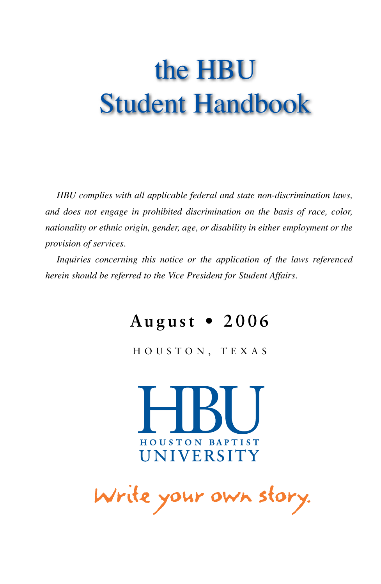# the HBU Student Handbook

*HBU complies with all applicable federal and state non-discrimination laws, and does not engage in prohibited discrimination on the basis of race, color, nationality or ethnic origin, gender, age, or disability in either employment or the provision of services.*

*Inquiries concerning this notice or the application of the laws referenced herein should be referred to the Vice President for Student Affairs.*

## August • 2006

HOUSTON, TEXAS



Write your own story.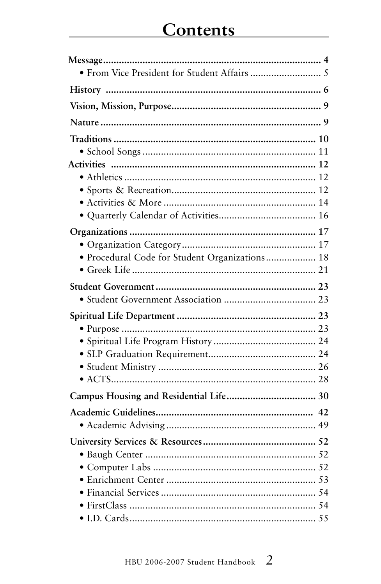| • Procedural Code for Student Organizations 18 |  |
|------------------------------------------------|--|
|                                                |  |
|                                                |  |
|                                                |  |
|                                                |  |
|                                                |  |
|                                                |  |
|                                                |  |
|                                                |  |
|                                                |  |
|                                                |  |
|                                                |  |
|                                                |  |
|                                                |  |
|                                                |  |
|                                                |  |
|                                                |  |
|                                                |  |
|                                                |  |
|                                                |  |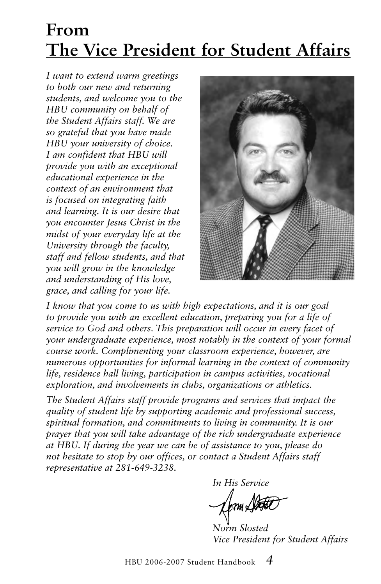## **From The Vice President for Student Affairs**

*I want to extend warm greetings to both our new and returning students, and welcome you to the HBU community on behalf of the Student Affairs staff. We are so grateful that you have made HBU your university of choice. I am confident that HBU will provide you with an exceptional educational experience in the context of an environment that is focused on integrating faith and learning. It is our desire that you encounter Jesus Christ in the midst of your everyday life at the University through the faculty, staff and fellow students, and that you will grow in the knowledge and understanding of His love, grace, and calling for your life.*



*I know that you come to us with high expectations, and it is our goal to provide you with an excellent education, preparing you for a life of service to God and others. This preparation will occur in every facet of your undergraduate experience, most notably in the context of your formal course work. Complimenting your classroom experience, however, are numerous opportunities for informal learning in the context of community life, residence hall living, participation in campus activities, vocational exploration, and involvements in clubs, organizations or athletics.*

*The Student Affairs staff provide programs and services that impact the quality of student life by supporting academic and professional success, spiritual formation, and commitments to living in community. It is our prayer that you will take advantage of the rich undergraduate experience at HBU. If during the year we can be of assistance to you, please do not hesitate to stop by our offices, or contact a Student Affairs staff representative at 281-649-3238.*

*In His Service* .<br>701 L

*Norm Slosted Vice President for Student Affairs*

HBU 2006-2007 Student Handbook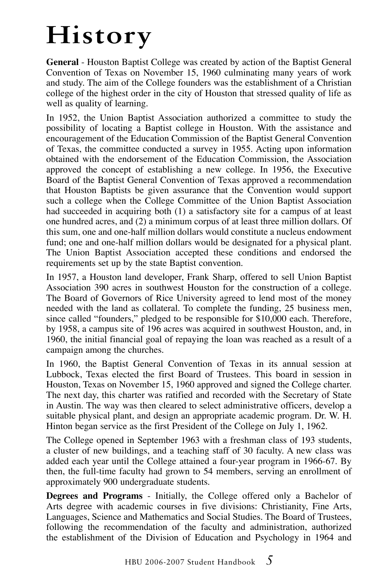# **History**

**General** - Houston Baptist College was created by action of the Baptist General Convention of Texas on November 15, 1960 culminating many years of work and study. The aim of the College founders was the establishment of a Christian college of the highest order in the city of Houston that stressed quality of life as well as quality of learning.

In 1952, the Union Baptist Association authorized a committee to study the possibility of locating a Baptist college in Houston. With the assistance and encouragement of the Education Commission of the Baptist General Convention of Texas, the committee conducted a survey in 1955. Acting upon information obtained with the endorsement of the Education Commission, the Association approved the concept of establishing a new college. In 1956, the Executive Board of the Baptist General Convention of Texas approved a recommendation that Houston Baptists be given assurance that the Convention would support such a college when the College Committee of the Union Baptist Association had succeeded in acquiring both (1) a satisfactory site for a campus of at least one hundred acres, and (2) a minimum corpus of at least three million dollars. Of this sum, one and one-half million dollars would constitute a nucleus endowment fund; one and one-half million dollars would be designated for a physical plant. The Union Baptist Association accepted these conditions and endorsed the requirements set up by the state Baptist convention.

In 1957, a Houston land developer, Frank Sharp, offered to sell Union Baptist Association 390 acres in southwest Houston for the construction of a college. The Board of Governors of Rice University agreed to lend most of the money needed with the land as collateral. To complete the funding, 25 business men, since called "founders," pledged to be responsible for \$10,000 each. Therefore, by 1958, a campus site of 196 acres was acquired in southwest Houston, and, in 1960, the initial financial goal of repaying the loan was reached as a result of a campaign among the churches.

In 1960, the Baptist General Convention of Texas in its annual session at Lubbock, Texas elected the first Board of Trustees. This board in session in Houston, Texas on November 15, 1960 approved and signed the College charter. The next day, this charter was ratified and recorded with the Secretary of State in Austin. The way was then cleared to select administrative officers, develop a suitable physical plant, and design an appropriate academic program. Dr. W. H. Hinton began service as the first President of the College on July 1, 1962.

The College opened in September 1963 with a freshman class of 193 students, a cluster of new buildings, and a teaching staff of 30 faculty. A new class was added each year until the College attained a four-year program in 1966-67. By then, the full-time faculty had grown to 54 members, serving an enrollment of approximately 900 undergraduate students.

**Degrees and Programs** - Initially, the College offered only a Bachelor of Arts degree with academic courses in five divisions: Christianity, Fine Arts, Languages, Science and Mathematics and Social Studies. The Board of Trustees, following the recommendation of the faculty and administration, authorized the establishment of the Division of Education and Psychology in 1964 and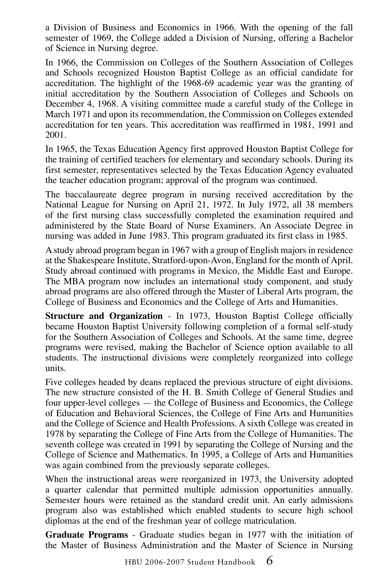a Division of Business and Economics in 1966. With the opening of the fall semester of 1969, the College added a Division of Nursing, offering a Bachelor of Science in Nursing degree.

In 1966, the Commission on Colleges of the Southern Association of Colleges and Schools recognized Houston Baptist College as an official candidate for accreditation. The highlight of the 1968-69 academic year was the granting of initial accreditation by the Southern Association of Colleges and Schools on December 4, 1968. A visiting committee made a careful study of the College in March 1971 and upon its recommendation, the Commission on Colleges extended accreditation for ten years. This accreditation was reaffirmed in 1981, 1991 and 2001.

In 1965, the Texas Education Agency first approved Houston Baptist College for the training of certified teachers for elementary and secondary schools. During its first semester, representatives selected by the Texas Education Agency evaluated the teacher education program; approval of the program was continued.

The baccalaureate degree program in nursing received accreditation by the National League for Nursing on April 21, 1972. In July 1972, all 38 members of the first nursing class successfully completed the examination required and administered by the State Board of Nurse Examiners. An Associate Degree in nursing was added in June 1983. This program graduated its first class in 1985.

A study abroad program began in 1967 with a group of English majors in residence at the Shakespeare Institute, Stratford-upon-Avon, England for the month of April. Study abroad continued with programs in Mexico, the Middle East and Europe. The MBA program now includes an international study component, and study abroad programs are also offered through the Master of Liberal Arts program, the College of Business and Economics and the College of Arts and Humanities.

**Structure and Organization** - In 1973, Houston Baptist College officially became Houston Baptist University following completion of a formal self-study for the Southern Association of Colleges and Schools. At the same time, degree programs were revised, making the Bachelor of Science option available to all students. The instructional divisions were completely reorganized into college units.

Five colleges headed by deans replaced the previous structure of eight divisions. The new structure consisted of the H. B. Smith College of General Studies and four upper-level colleges — the College of Business and Economics, the College of Education and Behavioral Sciences, the College of Fine Arts and Humanities and the College of Science and Health Professions. A sixth College was created in 1978 by separating the College of Fine Arts from the College of Humanities. The seventh college was created in 1991 by separating the College of Nursing and the College of Science and Mathematics. In 1995, a College of Arts and Humanities was again combined from the previously separate colleges.

When the instructional areas were reorganized in 1973, the University adopted a quarter calendar that permitted multiple admission opportunities annually. Semester hours were retained as the standard credit unit. An early admissions program also was established which enabled students to secure high school diplomas at the end of the freshman year of college matriculation.

**Graduate Programs** - Graduate studies began in 1977 with the initiation of the Master of Business Administration and the Master of Science in Nursing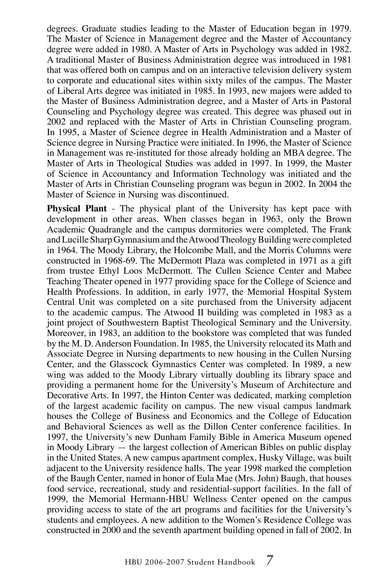degrees. Graduate studies leading to the Master of Education began in 1979. The Master of Science in Management degree and the Master of Accountancy degree were added in 1980. A Master of Arts in Psychology was added in 1982. A traditional Master of Business Administration degree was introduced in 1981 that was offered both on campus and on an interactive television delivery system to corporate and educational sites within sixty miles of the campus. The Master of Liberal Arts degree was initiated in 1985. In 1993, new majors were added to the Master of Business Administration degree, and a Master of Arts in Pastoral Counseling and Psychology degree was created. This degree was phased out in 2002 and replaced with the Master of Arts in Christian Counseling program. In 1995, a Master of Science degree in Health Administration and a Master of Science degree in Nursing Practice were initiated. In 1996, the Master of Science in Management was re-instituted for those already holding an MBA degree. The Master of Arts in Theological Studies was added in 1997. In 1999, the Master of Science in Accountancy and Information Technology was initiated and the Master of Arts in Christian Counseling program was begun in 2002. In 2004 the Master of Science in Nursing was discontinued.

**Physical Plant** - The physical plant of the University has kept pace with development in other areas. When classes began in 1963, only the Brown Academic Quadrangle and the campus dormitories were completed. The Frank and Lucille Sharp Gymnasium and the Atwood Theology Building were completed in 1964. The Moody Library, the Holcombe Mall, and the Morris Columns were constructed in 1968-69. The McDermott Plaza was completed in 1971 as a gift from trustee Ethyl Loos McDermott. The Cullen Science Center and Mabee Teaching Theater opened in 1977 providing space for the College of Science and Health Professions. In addition, in early 1977, the Memorial Hospital System Central Unit was completed on a site purchased from the University adjacent to the academic campus. The Atwood II building was completed in 1983 as a joint project of Southwestern Baptist Theological Seminary and the University. Moreover, in 1983, an addition to the bookstore was completed that was funded by the M. D. Anderson Foundation. In 1985, the University relocated its Math and Associate Degree in Nursing departments to new housing in the Cullen Nursing Center, and the Glasscock Gymnastics Center was completed. In 1989, a new wing was added to the Moody Library virtually doubling its library space and providing a permanent home for the University's Museum of Architecture and Decorative Arts. In 1997, the Hinton Center was dedicated, marking completion of the largest academic facility on campus. The new visual campus landmark houses the College of Business and Economics and the College of Education and Behavioral Sciences as well as the Dillon Center conference facilities. In 1997, the University's new Dunham Family Bible in America Museum opened in Moody Library — the largest collection of American Bibles on public display in the United States. A new campus apartment complex, Husky Village, was built adjacent to the University residence halls. The year 1998 marked the completion of the Baugh Center, named in honor of Eula Mae (Mrs. John) Baugh, that houses food service, recreational, study and residential-support facilities. In the fall of 1999, the Memorial Hermann-HBU Wellness Center opened on the campus providing access to state of the art programs and facilities for the University's students and employees. A new addition to the Women's Residence College was constructed in 2000 and the seventh apartment building opened in fall of 2002. In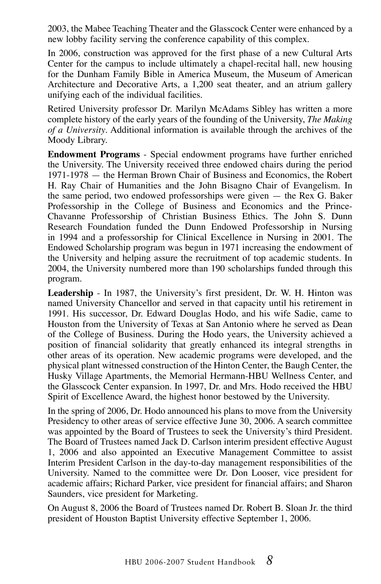2003, the Mabee Teaching Theater and the Glasscock Center were enhanced by a new lobby facility serving the conference capability of this complex.

In 2006, construction was approved for the first phase of a new Cultural Arts Center for the campus to include ultimately a chapel-recital hall, new housing for the Dunham Family Bible in America Museum, the Museum of American Architecture and Decorative Arts, a 1,200 seat theater, and an atrium gallery unifying each of the individual facilities.

Retired University professor Dr. Marilyn McAdams Sibley has written a more complete history of the early years of the founding of the University, *The Making of a University*. Additional information is available through the archives of the Moody Library.

**Endowment Programs** - Special endowment programs have further enriched the University. The University received three endowed chairs during the period 1971-1978 — the Herman Brown Chair of Business and Economics, the Robert H. Ray Chair of Humanities and the John Bisagno Chair of Evangelism. In the same period, two endowed professorships were given — the Rex G. Baker Professorship in the College of Business and Economics and the Prince-Chavanne Professorship of Christian Business Ethics. The John S. Dunn Research Foundation funded the Dunn Endowed Professorship in Nursing in 1994 and a professorship for Clinical Excellence in Nursing in 2001. The Endowed Scholarship program was begun in 1971 increasing the endowment of the University and helping assure the recruitment of top academic students. In 2004, the University numbered more than 190 scholarships funded through this program.

**Leadership** - In 1987, the University's first president, Dr. W. H. Hinton was named University Chancellor and served in that capacity until his retirement in 1991. His successor, Dr. Edward Douglas Hodo, and his wife Sadie, came to Houston from the University of Texas at San Antonio where he served as Dean of the College of Business. During the Hodo years, the University achieved a position of financial solidarity that greatly enhanced its integral strengths in other areas of its operation. New academic programs were developed, and the physical plant witnessed construction of the Hinton Center, the Baugh Center, the Husky Village Apartments, the Memorial Hermann-HBU Wellness Center, and the Glasscock Center expansion. In 1997, Dr. and Mrs. Hodo received the HBU Spirit of Excellence Award, the highest honor bestowed by the University.

In the spring of 2006, Dr. Hodo announced his plans to move from the University Presidency to other areas of service effective June 30, 2006. A search committee was appointed by the Board of Trustees to seek the University's third President. The Board of Trustees named Jack D. Carlson interim president effective August 1, 2006 and also appointed an Executive Management Committee to assist Interim President Carlson in the day-to-day management responsibilities of the University. Named to the committee were Dr. Don Looser, vice president for academic affairs; Richard Parker, vice president for financial affairs; and Sharon Saunders, vice president for Marketing.

On August 8, 2006 the Board of Trustees named Dr. Robert B. Sloan Jr. the third president of Houston Baptist University effective September 1, 2006.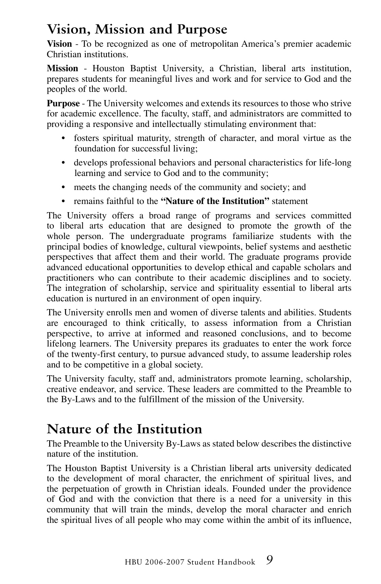## **Vision, Mission and Purpose**

**Vision** - To be recognized as one of metropolitan America's premier academic Christian institutions.

**Mission** - Houston Baptist University, a Christian, liberal arts institution, prepares students for meaningful lives and work and for service to God and the peoples of the world.

**Purpose** - The University welcomes and extends its resources to those who strive for academic excellence. The faculty, staff, and administrators are committed to providing a responsive and intellectually stimulating environment that:

- fosters spiritual maturity, strength of character, and moral virtue as the foundation for successful living;
- develops professional behaviors and personal characteristics for life-long learning and service to God and to the community;
- meets the changing needs of the community and society; and
- remains faithful to the **"Nature of the Institution"** statement

The University offers a broad range of programs and services committed to liberal arts education that are designed to promote the growth of the whole person. The undergraduate programs familiarize students with the principal bodies of knowledge, cultural viewpoints, belief systems and aesthetic perspectives that affect them and their world. The graduate programs provide advanced educational opportunities to develop ethical and capable scholars and practitioners who can contribute to their academic disciplines and to society. The integration of scholarship, service and spirituality essential to liberal arts education is nurtured in an environment of open inquiry.

The University enrolls men and women of diverse talents and abilities. Students are encouraged to think critically, to assess information from a Christian perspective, to arrive at informed and reasoned conclusions, and to become lifelong learners. The University prepares its graduates to enter the work force of the twenty-first century, to pursue advanced study, to assume leadership roles and to be competitive in a global society.

The University faculty, staff and, administrators promote learning, scholarship, creative endeavor, and service. These leaders are committed to the Preamble to the By-Laws and to the fulfillment of the mission of the University.

## **Nature of the Institution**

The Preamble to the University By-Laws as stated below describes the distinctive nature of the institution.

The Houston Baptist University is a Christian liberal arts university dedicated to the development of moral character, the enrichment of spiritual lives, and the perpetuation of growth in Christian ideals. Founded under the providence of God and with the conviction that there is a need for a university in this community that will train the minds, develop the moral character and enrich the spiritual lives of all people who may come within the ambit of its influence,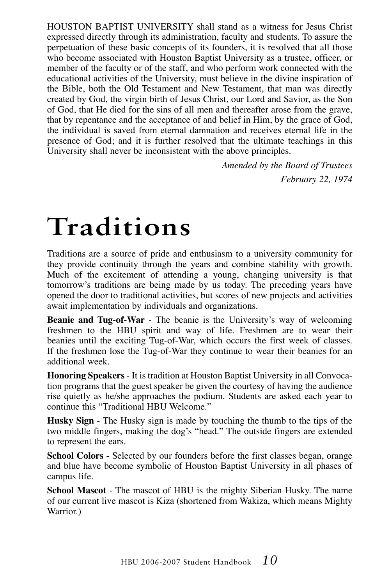HOUSTON BAPTIST UNIVERSITY shall stand as a witness for Jesus Christ expressed directly through its administration, faculty and students. To assure the perpetuation of these basic concepts of its founders, it is resolved that all those who become associated with Houston Baptist University as a trustee, officer, or member of the faculty or of the staff, and who perform work connected with the educational activities of the University, must believe in the divine inspiration of the Bible, both the Old Testament and New Testament, that man was directly created by God, the virgin birth of Jesus Christ, our Lord and Savior, as the Son of God, that He died for the sins of all men and thereafter arose from the grave, that by repentance and the acceptance of and belief in Him, by the grace of God, the individual is saved from eternal damnation and receives eternal life in the presence of God; and it is further resolved that the ultimate teachings in this University shall never be inconsistent with the above principles.

> *Amended by the Board of Trustees February 22, 1974*

# **Traditions**

Traditions are a source of pride and enthusiasm to a university community for they provide continuity through the years and combine stability with growth. Much of the excitement of attending a young, changing university is that tomorrow's traditions are being made by us today. The preceding years have opened the door to traditional activities, but scores of new projects and activities await implementation by individuals and organizations.

**Beanie and Tug-of-War** - The beanie is the University's way of welcoming freshmen to the HBU spirit and way of life. Freshmen are to wear their beanies until the exciting Tug-of-War, which occurs the first week of classes. If the freshmen lose the Tug-of-War they continue to wear their beanies for an additional week.

**Honoring Speakers** - It is tradition at Houston Baptist University in all Convocation programs that the guest speaker be given the courtesy of having the audience rise quietly as he/she approaches the podium. Students are asked each year to continue this "Traditional HBU Welcome."

**Husky Sign** - The Husky sign is made by touching the thumb to the tips of the two middle fingers, making the dog's "head." The outside fingers are extended to represent the ears.

**School Colors** - Selected by our founders before the first classes began, orange and blue have become symbolic of Houston Baptist University in all phases of campus life.

**School Mascot** - The mascot of HBU is the mighty Siberian Husky. The name of our current live mascot is Kiza (shortened from Wakiza, which means Mighty Warrior.)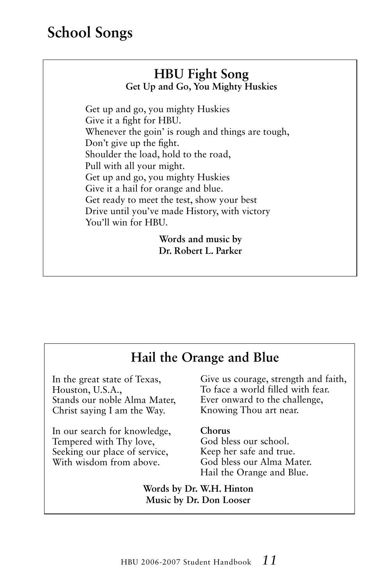## **School Songs**

#### **HBU Fight Song Get Up and Go, You Mighty Huskies**

Get up and go, you mighty Huskies Give it a fight for HBU. Whenever the goin' is rough and things are tough, Don't give up the fight. Shoulder the load, hold to the road, Pull with all your might. Get up and go, you mighty Huskies Give it a hail for orange and blue. Get ready to meet the test, show your best Drive until you've made History, with victory You'll win for HBU.

> **Words and music by Dr. Robert L. Parker**

#### **Hail the Orange and Blue**

In the great state of Texas, Houston, U.S.A., Stands our noble Alma Mater, Christ saying I am the Way.

In our search for knowledge, Tempered with Thy love, Seeking our place of service, With wisdom from above.

Give us courage, strength and faith, To face a world filled with fear. Ever onward to the challenge, Knowing Thou art near.

#### **Chorus**

God bless our school. Keep her safe and true. God bless our Alma Mater. Hail the Orange and Blue.

**Words by Dr. W.H. Hinton Music by Dr. Don Looser**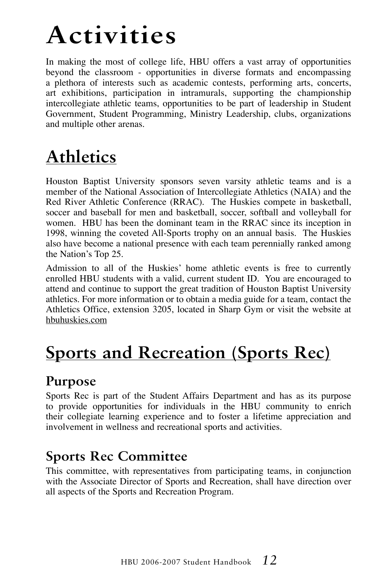# **Activities**

In making the most of college life, HBU offers a vast array of opportunities beyond the classroom - opportunities in diverse formats and encompassing a plethora of interests such as academic contests, performing arts, concerts, art exhibitions, participation in intramurals, supporting the championship intercollegiate athletic teams, opportunities to be part of leadership in Student Government, Student Programming, Ministry Leadership, clubs, organizations and multiple other arenas.

## **Athletics**

Houston Baptist University sponsors seven varsity athletic teams and is a member of the National Association of Intercollegiate Athletics (NAIA) and the Red River Athletic Conference (RRAC). The Huskies compete in basketball, soccer and baseball for men and basketball, soccer, softball and volleyball for women. HBU has been the dominant team in the RRAC since its inception in 1998, winning the coveted All-Sports trophy on an annual basis. The Huskies also have become a national presence with each team perennially ranked among the Nation's Top 25.

Admission to all of the Huskies' home athletic events is free to currently enrolled HBU students with a valid, current student ID. You are encouraged to attend and continue to support the great tradition of Houston Baptist University athletics. For more information or to obtain a media guide for a team, contact the Athletics Office, extension 3205, located in Sharp Gym or visit the website at hbuhuskies.com

## **Sports and Recreation (Sports Rec)**

### **Purpose**

Sports Rec is part of the Student Affairs Department and has as its purpose to provide opportunities for individuals in the HBU community to enrich their collegiate learning experience and to foster a lifetime appreciation and involvement in wellness and recreational sports and activities.

### **Sports Rec Committee**

This committee, with representatives from participating teams, in conjunction with the Associate Director of Sports and Recreation, shall have direction over all aspects of the Sports and Recreation Program.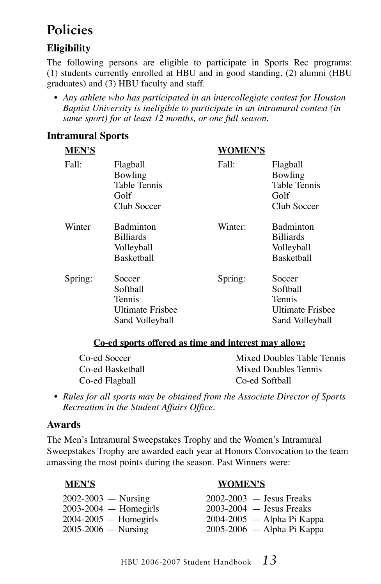## **Policies**

#### **Eligibility**

The following persons are eligible to participate in Sports Rec programs: (1) students currently enrolled at HBU and in good standing, (2) alumni (HBU graduates) and (3) HBU faculty and staff.

*• Any athlete who has participated in an intercollegiate contest for Houston Baptist University is ineligible to participate in an intramural contest (in same sport) for at least 12 months, or one full season.*

#### **Intramural Sports**

| <b>MEN'S</b> |                                                                            | <b>WOMEN'S</b> |                                                                            |
|--------------|----------------------------------------------------------------------------|----------------|----------------------------------------------------------------------------|
| Fall:        | Flagball<br>Bowling<br>Table Tennis<br>Golf<br>Club Soccer                 | Fall:          | Flagball<br>Bowling<br><b>Table Tennis</b><br>Golf<br>Club Soccer          |
| Winter       | <b>Badminton</b><br><b>Billiards</b><br>Volleyball<br><b>Basketball</b>    | Winter:        | <b>Badminton</b><br><b>Billiards</b><br>Volleyball<br><b>Basketball</b>    |
| Spring:      | Soccer<br>Softball<br>Tennis<br><b>Ultimate Frishee</b><br>Sand Volleyball | Spring:        | Soccer<br>Softball<br>Tennis<br><b>Ultimate Frishee</b><br>Sand Volleyball |

#### **Co-ed sports offered as time and interest may allow:**

| Co-ed Soccer     | Mixed Doubles Table Tennis |
|------------------|----------------------------|
| Co-ed Basketball | Mixed Doubles Tennis       |
| Co-ed Flagball   | Co-ed Softball             |

*• Rules for all sports may be obtained from the Associate Director of Sports Recreation in the Student Affairs Office.*

#### **Awards**

The Men's Intramural Sweepstakes Trophy and the Women's Intramural Sweepstakes Trophy are awarded each year at Honors Convocation to the team amassing the most points during the season. Past Winners were:

#### **Men's Women's**

2002-2003 — Nursing 2002-2003 — Jesus Freaks 2003-2004 — Homegirls 2003-2004 — Jesus Freaks 2004-2005 — Homegirls 2004-2005 — Alpha Pi Kappa 2005-2006 — Nursing 2005-2006 — Alpha Pi Kappa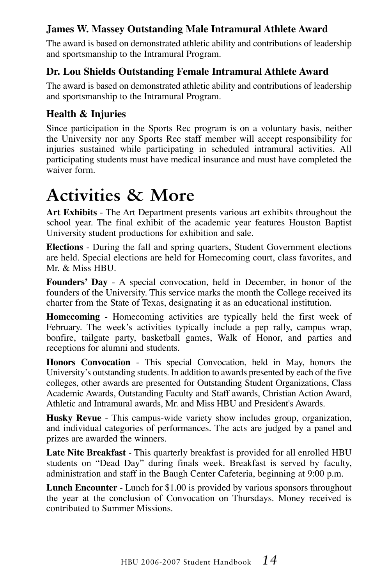#### **James W. Massey Outstanding Male Intramural Athlete Award**

The award is based on demonstrated athletic ability and contributions of leadership and sportsmanship to the Intramural Program.

#### **Dr. Lou Shields Outstanding Female Intramural Athlete Award**

The award is based on demonstrated athletic ability and contributions of leadership and sportsmanship to the Intramural Program.

#### **Health & Injuries**

Since participation in the Sports Rec program is on a voluntary basis, neither the University nor any Sports Rec staff member will accept responsibility for injuries sustained while participating in scheduled intramural activities. All participating students must have medical insurance and must have completed the waiver form.

## **Activities & More**

**Art Exhibits** - The Art Department presents various art exhibits throughout the school year. The final exhibit of the academic year features Houston Baptist University student productions for exhibition and sale.

**Elections** - During the fall and spring quarters, Student Government elections are held. Special elections are held for Homecoming court, class favorites, and Mr. & Miss HBU.

**Founders' Day** - A special convocation, held in December, in honor of the founders of the University. This service marks the month the College received its charter from the State of Texas, designating it as an educational institution.

**Homecoming** - Homecoming activities are typically held the first week of February. The week's activities typically include a pep rally, campus wrap, bonfire, tailgate party, basketball games, Walk of Honor, and parties and receptions for alumni and students.

**Honors Convocation** - This special Convocation, held in May, honors the University's outstanding students. In addition to awards presented by each of the five colleges, other awards are presented for Outstanding Student Organizations, Class Academic Awards, Outstanding Faculty and Staff awards, Christian Action Award, Athletic and Intramural awards, Mr. and Miss HBU and President's Awards.

**Husky Revue** - This campus-wide variety show includes group, organization, and individual categories of performances. The acts are judged by a panel and prizes are awarded the winners.

**Late Nite Breakfast** - This quarterly breakfast is provided for all enrolled HBU students on "Dead Day" during finals week. Breakfast is served by faculty, administration and staff in the Baugh Center Cafeteria, beginning at 9:00 p.m.

**Lunch Encounter** - Lunch for \$1.00 is provided by various sponsors throughout the year at the conclusion of Convocation on Thursdays. Money received is contributed to Summer Missions.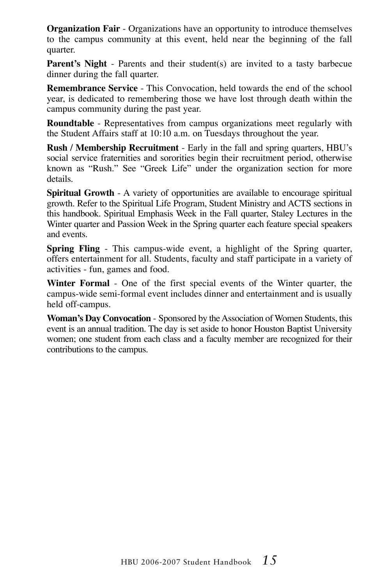**Organization Fair** - Organizations have an opportunity to introduce themselves to the campus community at this event, held near the beginning of the fall quarter.

**Parent's Night** - Parents and their student(s) are invited to a tasty barbecue dinner during the fall quarter.

**Remembrance Service** - This Convocation, held towards the end of the school year, is dedicated to remembering those we have lost through death within the campus community during the past year.

**Roundtable** - Representatives from campus organizations meet regularly with the Student Affairs staff at 10:10 a.m. on Tuesdays throughout the year.

**Rush / Membership Recruitment** - Early in the fall and spring quarters, HBU's social service fraternities and sororities begin their recruitment period, otherwise known as "Rush." See "Greek Life" under the organization section for more details.

**Spiritual Growth** - A variety of opportunities are available to encourage spiritual growth. Refer to the Spiritual Life Program, Student Ministry and ACTS sections in this handbook. Spiritual Emphasis Week in the Fall quarter, Staley Lectures in the Winter quarter and Passion Week in the Spring quarter each feature special speakers and events.

**Spring Fling** - This campus-wide event, a highlight of the Spring quarter, offers entertainment for all. Students, faculty and staff participate in a variety of activities - fun, games and food.

**Winter Formal** - One of the first special events of the Winter quarter, the campus-wide semi-formal event includes dinner and entertainment and is usually held off-campus.

**Woman's Day Convocation** - Sponsored by the Association of Women Students, this event is an annual tradition. The day is set aside to honor Houston Baptist University women; one student from each class and a faculty member are recognized for their contributions to the campus.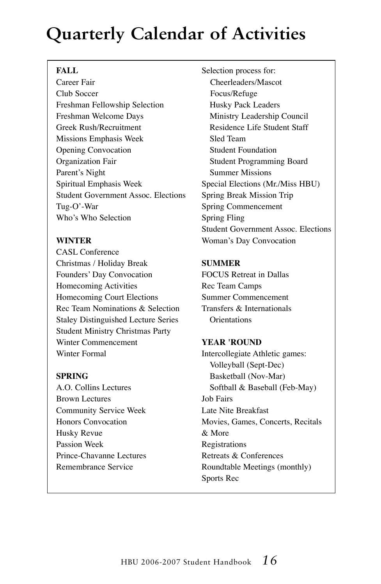## **Quarterly Calendar of Activities**

#### FALL

Career Fair Club Soccer Freshman Fellowship Selection Freshman Welcome Days Greek Rush/Recruitment Missions Emphasis Week Opening Convocation Organization Fair Parent's Night Spiritual Emphasis Week Student Government Assoc. Elections Tug-O'-War Who's Who Selection

#### **WINTER**

CASL Conference Christmas / Holiday Break Founders' Day Convocation Homecoming Activities Homecoming Court Elections Rec Team Nominations & Selection Staley Distinguished Lecture Series Student Ministry Christmas Party Winter Commencement Winter Formal

#### **SPRING**

A.O. Collins Lectures Brown Lectures Community Service Week Honors Convocation Husky Revue Passion Week Prince-Chavanne Lectures Remembrance Service

Selection process for: Cheerleaders/Mascot Focus/Refuge Husky Pack Leaders Ministry Leadership Council Residence Life Student Staff Sled Team Student Foundation Student Programming Board Summer Missions Special Elections (Mr./Miss HBU) Spring Break Mission Trip Spring Commencement Spring Fling Student Government Assoc. Elections Woman's Day Convocation

#### **SUMMER**

FOCUS Retreat in Dallas Rec Team Camps Summer Commencement Transfers & Internationals **Orientations** 

#### **YEAR 'ROUND**

Intercollegiate Athletic games: Volleyball (Sept-Dec) Basketball (Nov-Mar) Softball & Baseball (Feb-May) Job Fairs Late Nite Breakfast Movies, Games, Concerts, Recitals & More Registrations Retreats & Conferences Roundtable Meetings (monthly) Sports Rec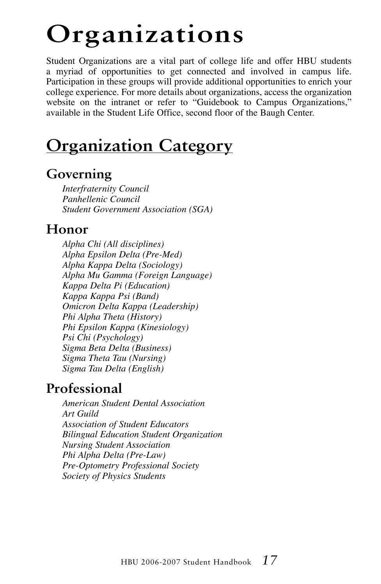# **Organizations**

Student Organizations are a vital part of college life and offer HBU students a myriad of opportunities to get connected and involved in campus life. Participation in these groups will provide additional opportunities to enrich your college experience. For more details about organizations, access the organization website on the intranet or refer to "Guidebook to Campus Organizations," available in the Student Life Office, second floor of the Baugh Center.

## **Organization Category**

#### **Governing**

 *Interfraternity Council Panhellenic Council Student Government Association (SGA)*

#### **Honor**

 *Alpha Chi (All disciplines) Alpha Epsilon Delta (Pre-Med) Alpha Kappa Delta (Sociology) Alpha Mu Gamma (Foreign Language) Kappa Delta Pi (Education) Kappa Kappa Psi (Band) Omicron Delta Kappa (Leadership) Phi Alpha Theta (History) Phi Epsilon Kappa (Kinesiology) Psi Chi (Psychology) Sigma Beta Delta (Business) Sigma Theta Tau (Nursing) Sigma Tau Delta (English)*

#### **Professional**

*American Student Dental Association Art Guild Association of Student Educators Bilingual Education Student Organization Nursing Student Association Phi Alpha Delta (Pre-Law) Pre-Optometry Professional Society Society of Physics Students*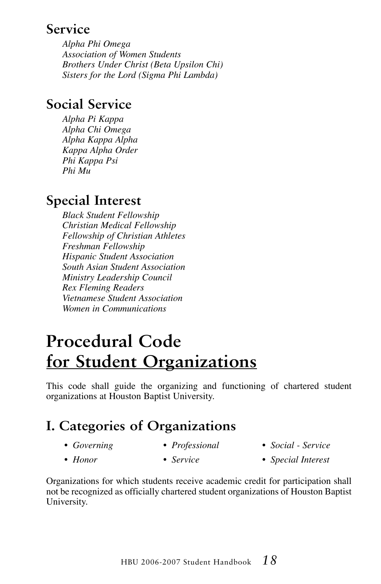#### **Service**

 *Alpha Phi Omega Association of Women Students Brothers Under Christ (Beta Upsilon Chi) Sisters for the Lord (Sigma Phi Lambda)*

#### **Social Service**

 *Alpha Pi Kappa Alpha Chi Omega Alpha Kappa Alpha Kappa Alpha Order Phi Kappa Psi Phi Mu*

### **Special Interest**

 *Black Student Fellowship Christian Medical Fellowship Fellowship of Christian Athletes Freshman Fellowship Hispanic Student Association South Asian Student Association Ministry Leadership Council Rex Fleming Readers Vietnamese Student Association Women in Communications*

## **Procedural Code for Student Organizations**

This code shall guide the organizing and functioning of chartered student organizations at Houston Baptist University.

## **I. Categories of Organizations**

- *Governing*
- *Professional*
- *Social Service*
- *Honor*
- *Service*
- *Special Interest*
- Organizations for which students receive academic credit for participation shall not be recognized as officially chartered student organizations of Houston Baptist University.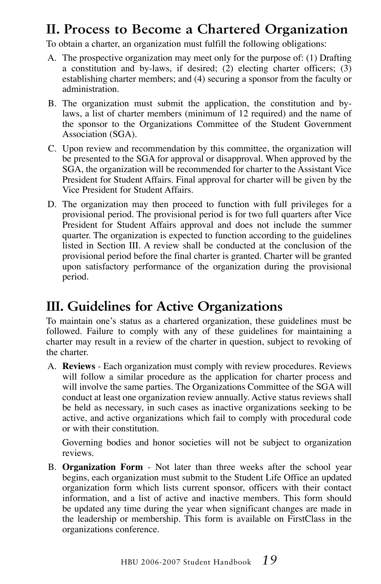### **II. Process to Become a Chartered Organization**

To obtain a charter, an organization must fulfill the following obligations:

- A. The prospective organization may meet only for the purpose of: (1) Drafting a constitution and by-laws, if desired; (2) electing charter officers;  $(3)$ establishing charter members; and (4) securing a sponsor from the faculty or administration.
- B. The organization must submit the application, the constitution and bylaws, a list of charter members (minimum of 12 required) and the name of the sponsor to the Organizations Committee of the Student Government Association (SGA).
- C. Upon review and recommendation by this committee, the organization will be presented to the SGA for approval or disapproval. When approved by the SGA, the organization will be recommended for charter to the Assistant Vice President for Student Affairs. Final approval for charter will be given by the Vice President for Student Affairs.
- D. The organization may then proceed to function with full privileges for a provisional period. The provisional period is for two full quarters after Vice President for Student Affairs approval and does not include the summer quarter. The organization is expected to function according to the guidelines listed in Section III. A review shall be conducted at the conclusion of the provisional period before the final charter is granted. Charter will be granted upon satisfactory performance of the organization during the provisional period.

### **III. Guidelines for Active Organizations**

To maintain one's status as a chartered organization, these guidelines must be followed. Failure to comply with any of these guidelines for maintaining a charter may result in a review of the charter in question, subject to revoking of the charter.

A. **Reviews** - Each organization must comply with review procedures. Reviews will follow a similar procedure as the application for charter process and will involve the same parties. The Organizations Committee of the SGA will conduct at least one organization review annually. Active status reviews shall be held as necessary, in such cases as inactive organizations seeking to be active, and active organizations which fail to comply with procedural code or with their constitution.

 Governing bodies and honor societies will not be subject to organization reviews.

B. **Organization Form** - Not later than three weeks after the school year begins, each organization must submit to the Student Life Office an updated organization form which lists current sponsor, officers with their contact information, and a list of active and inactive members. This form should be updated any time during the year when significant changes are made in the leadership or membership. This form is available on FirstClass in the organizations conference.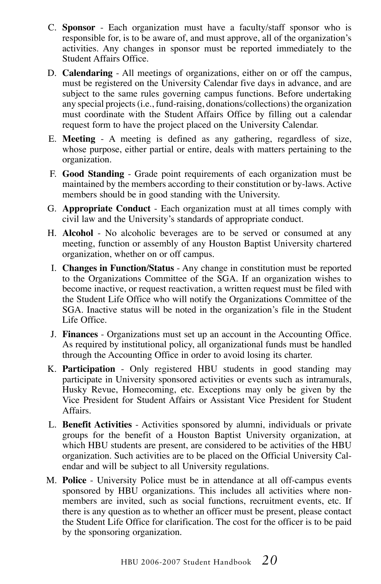- C. **Sponsor** Each organization must have a faculty/staff sponsor who is responsible for, is to be aware of, and must approve, all of the organization's activities. Any changes in sponsor must be reported immediately to the Student Affairs Office.
- D. **Calendaring** All meetings of organizations, either on or off the campus, must be registered on the University Calendar five days in advance, and are subject to the same rules governing campus functions. Before undertaking any special projects (i.e., fund-raising, donations/collections) the organization must coordinate with the Student Affairs Office by filling out a calendar request form to have the project placed on the University Calendar.
- E. **Meeting** A meeting is defined as any gathering, regardless of size, whose purpose, either partial or entire, deals with matters pertaining to the organization.
- F. **Good Standing** Grade point requirements of each organization must be maintained by the members according to their constitution or by-laws. Active members should be in good standing with the University.
- G. **Appropriate Conduct** Each organization must at all times comply with civil law and the University's standards of appropriate conduct.
- H. **Alcohol** No alcoholic beverages are to be served or consumed at any meeting, function or assembly of any Houston Baptist University chartered organization, whether on or off campus.
- I. **Changes in Function/Status** Any change in constitution must be reported to the Organizations Committee of the SGA. If an organization wishes to become inactive, or request reactivation, a written request must be filed with the Student Life Office who will notify the Organizations Committee of the SGA. Inactive status will be noted in the organization's file in the Student Life Office.
- J. **Finances** Organizations must set up an account in the Accounting Office. As required by institutional policy, all organizational funds must be handled through the Accounting Office in order to avoid losing its charter.
- K. **Participation** Only registered HBU students in good standing may participate in University sponsored activities or events such as intramurals, Husky Revue, Homecoming, etc. Exceptions may only be given by the Vice President for Student Affairs or Assistant Vice President for Student Affairs.
- L. **Benefit Activities** Activities sponsored by alumni, individuals or private groups for the benefit of a Houston Baptist University organization, at which HBU students are present, are considered to be activities of the HBU organization. Such activities are to be placed on the Official University Calendar and will be subject to all University regulations.
- M. **Police** University Police must be in attendance at all off-campus events sponsored by HBU organizations. This includes all activities where nonmembers are invited, such as social functions, recruitment events, etc. If there is any question as to whether an officer must be present, please contact the Student Life Office for clarification. The cost for the officer is to be paid by the sponsoring organization.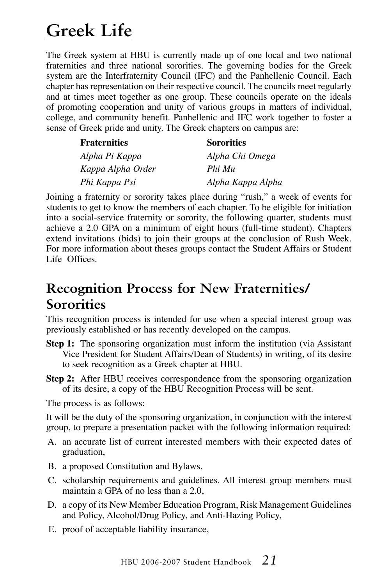## **Greek Life**

The Greek system at HBU is currently made up of one local and two national fraternities and three national sororities. The governing bodies for the Greek system are the Interfraternity Council (IFC) and the Panhellenic Council. Each chapter has representation on their respective council. The councils meet regularly and at times meet together as one group. These councils operate on the ideals of promoting cooperation and unity of various groups in matters of individual, college, and community benefit. Panhellenic and IFC work together to foster a sense of Greek pride and unity. The Greek chapters on campus are:

| <b>Fraternities</b> | <b>Sororities</b> |
|---------------------|-------------------|
| Alpha Pi Kappa      | Alpha Chi Omega   |
| Kappa Alpha Order   | Phi Mu            |
| Phi Kappa Psi       | Alpha Kappa Alpha |

Joining a fraternity or sorority takes place during "rush," a week of events for students to get to know the members of each chapter. To be eligible for initiation into a social-service fraternity or sorority, the following quarter, students must achieve a 2.0 GPA on a minimum of eight hours (full-time student). Chapters extend invitations (bids) to join their groups at the conclusion of Rush Week. For more information about theses groups contact the Student Affairs or Student Life Offices.

#### **Recognition Process for New Fraternities/ Sororities**

This recognition process is intended for use when a special interest group was previously established or has recently developed on the campus.

- **Step 1:** The sponsoring organization must inform the institution (via Assistant Vice President for Student Affairs/Dean of Students) in writing, of its desire to seek recognition as a Greek chapter at HBU.
- **Step 2:** After HBU receives correspondence from the sponsoring organization of its desire, a copy of the HBU Recognition Process will be sent.

The process is as follows:

It will be the duty of the sponsoring organization, in conjunction with the interest group, to prepare a presentation packet with the following information required:

- A. an accurate list of current interested members with their expected dates of graduation,
- B. a proposed Constitution and Bylaws,
- C. scholarship requirements and guidelines. All interest group members must maintain a GPA of no less than a 2.0,
- D. a copy of its New Member Education Program, Risk Management Guidelines and Policy, Alcohol/Drug Policy, and Anti-Hazing Policy,
- E. proof of acceptable liability insurance,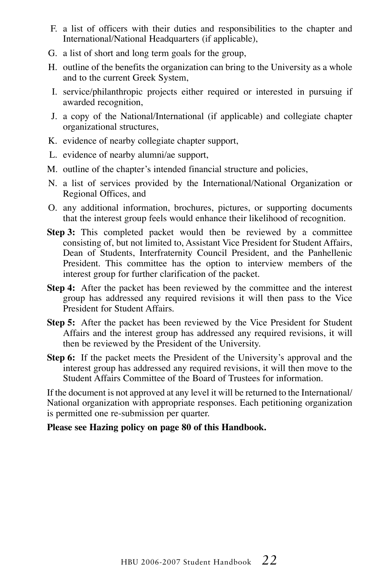- F. a list of officers with their duties and responsibilities to the chapter and International/National Headquarters (if applicable),
- G. a list of short and long term goals for the group,
- H. outline of the benefits the organization can bring to the University as a whole and to the current Greek System,
- I. service/philanthropic projects either required or interested in pursuing if awarded recognition,
- J. a copy of the National/International (if applicable) and collegiate chapter organizational structures,
- K. evidence of nearby collegiate chapter support,
- L. evidence of nearby alumni/ae support,
- M. outline of the chapter's intended financial structure and policies,
- N. a list of services provided by the International/National Organization or Regional Offices, and
- O. any additional information, brochures, pictures, or supporting documents that the interest group feels would enhance their likelihood of recognition.
- **Step 3:** This completed packet would then be reviewed by a committee consisting of, but not limited to, Assistant Vice President for Student Affairs, Dean of Students, Interfraternity Council President, and the Panhellenic President. This committee has the option to interview members of the interest group for further clarification of the packet.
- **Step 4:** After the packet has been reviewed by the committee and the interest group has addressed any required revisions it will then pass to the Vice President for Student Affairs.
- **Step 5:** After the packet has been reviewed by the Vice President for Student Affairs and the interest group has addressed any required revisions, it will then be reviewed by the President of the University.
- **Step 6:** If the packet meets the President of the University's approval and the interest group has addressed any required revisions, it will then move to the Student Affairs Committee of the Board of Trustees for information.

If the document is not approved at any level it will be returned to the International/ National organization with appropriate responses. Each petitioning organization is permitted one re-submission per quarter.

#### **Please see Hazing policy on page 80 of this Handbook.**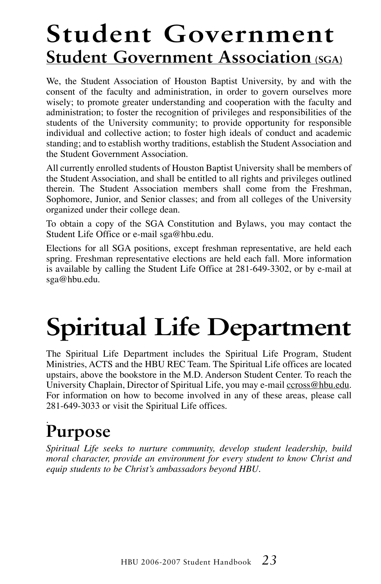## **Student Government Student Government Association (SGA)**

We, the Student Association of Houston Baptist University, by and with the consent of the faculty and administration, in order to govern ourselves more wisely; to promote greater understanding and cooperation with the faculty and administration; to foster the recognition of privileges and responsibilities of the students of the University community; to provide opportunity for responsible individual and collective action; to foster high ideals of conduct and academic standing; and to establish worthy traditions, establish the Student Association and the Student Government Association.

All currently enrolled students of Houston Baptist University shall be members of the Student Association, and shall be entitled to all rights and privileges outlined therein. The Student Association members shall come from the Freshman, Sophomore, Junior, and Senior classes; and from all colleges of the University organized under their college dean.

To obtain a copy of the SGA Constitution and Bylaws, you may contact the Student Life Office or e-mail sga@hbu.edu.

Elections for all SGA positions, except freshman representative, are held each spring. Freshman representative elections are held each fall. More information is available by calling the Student Life Office at 281-649-3302, or by e-mail at sga@hbu.edu.

# **Spiritual Life Department**

The Spiritual Life Department includes the Spiritual Life Program, Student Ministries, ACTS and the HBU REC Team. The Spiritual Life offices are located upstairs, above the bookstore in the M.D. Anderson Student Center. To reach the University Chaplain, Director of Spiritual Life, you may e-mail ccross@hbu.edu. For information on how to become involved in any of these areas, please call 281-649-3033 or visit the Spiritual Life offices.

#### . **Purpose**

*Spiritual Life seeks to nurture community, develop student leadership, build moral character, provide an environment for every student to know Christ and equip students to be Christ's ambassadors beyond HBU.*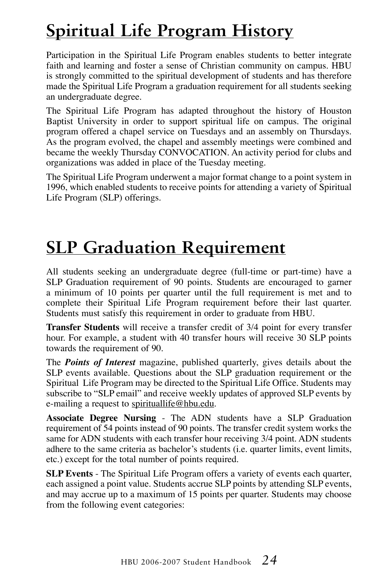## **Spiritual Life Program History**

Participation in the Spiritual Life Program enables students to better integrate faith and learning and foster a sense of Christian community on campus. HBU is strongly committed to the spiritual development of students and has therefore made the Spiritual Life Program a graduation requirement for all students seeking an undergraduate degree.

The Spiritual Life Program has adapted throughout the history of Houston Baptist University in order to support spiritual life on campus. The original program offered a chapel service on Tuesdays and an assembly on Thursdays. As the program evolved, the chapel and assembly meetings were combined and became the weekly Thursday CONVOCATION. An activity period for clubs and organizations was added in place of the Tuesday meeting.

The Spiritual Life Program underwent a major format change to a point system in 1996, which enabled students to receive points for attending a variety of Spiritual Life Program (SLP) offerings.

## **SLP Graduation Requirement**

All students seeking an undergraduate degree (full-time or part-time) have a SLP Graduation requirement of 90 points. Students are encouraged to garner a minimum of 10 points per quarter until the full requirement is met and to complete their Spiritual Life Program requirement before their last quarter. Students must satisfy this requirement in order to graduate from HBU.

**Transfer Students** will receive a transfer credit of 3/4 point for every transfer hour. For example, a student with 40 transfer hours will receive 30 SLP points towards the requirement of 90.

The *Points of Interest* magazine, published quarterly, gives details about the SLP events available. Questions about the SLP graduation requirement or the Spiritual Life Program may be directed to the Spiritual Life Office. Students may subscribe to "SLP email" and receive weekly updates of approved SLP events by e-mailing a request to spirituallife@hbu.edu.

**Associate Degree Nursing** - The ADN students have a SLP Graduation requirement of 54 points instead of 90 points. The transfer credit system works the same for ADN students with each transfer hour receiving 3/4 point. ADN students adhere to the same criteria as bachelor's students (i.e. quarter limits, event limits, etc.) except for the total number of points required.

**SLP Events** - The Spiritual Life Program offers a variety of events each quarter, each assigned a point value. Students accrue SLP points by attending SLP events, and may accrue up to a maximum of 15 points per quarter. Students may choose from the following event categories: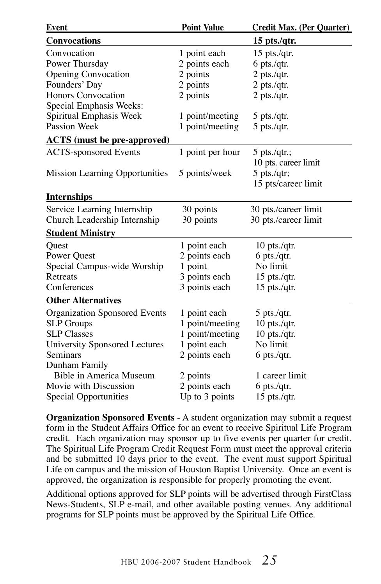| Event                                | <b>Point Value</b> | <b>Credit Max. (Per Quarter)</b> |
|--------------------------------------|--------------------|----------------------------------|
| Convocations                         |                    | $15$ pts./qtr.                   |
| Convocation                          | 1 point each       | 15 pts./qtr.                     |
| Power Thursday                       | 2 points each      | $6$ pts./qtr.                    |
| <b>Opening Convocation</b>           | 2 points           | 2 pts./qtr.                      |
| Founders' Day                        | 2 points           | $2$ pts./qtr.                    |
| <b>Honors Convocation</b>            | 2 points           | $2$ pts./qtr.                    |
| Special Emphasis Weeks:              |                    |                                  |
| Spiritual Emphasis Week              | 1 point/meeting    | $5$ pts./qtr.                    |
| Passion Week                         | 1 point/meeting    | $5$ pts./qtr.                    |
| <b>ACTS</b> (must be pre-approved)   |                    |                                  |
| <b>ACTS-sponsored Events</b>         | 1 point per hour   | 5 pts./qtr.;                     |
|                                      |                    | 10 pts. career limit             |
| Mission Learning Opportunities       | 5 points/week      | $5$ pts./qtr;                    |
|                                      |                    | 15 pts/career limit              |
| <b>Internships</b>                   |                    |                                  |
| Service Learning Internship          | 30 points          | 30 pts./career limit             |
| Church Leadership Internship         | 30 points          | 30 pts./career limit             |
| <b>Student Ministry</b>              |                    |                                  |
| Quest                                | 1 point each       | $10$ pts./qtr.                   |
| Power Quest                          | 2 points each      | $6$ pts./qtr.                    |
| Special Campus-wide Worship          | 1 point            | No limit                         |
| Retreats                             | 3 points each      | 15 pts./qtr.                     |
| Conferences                          | 3 points each      | $15$ pts./qtr.                   |
| <b>Other Alternatives</b>            |                    |                                  |
| <b>Organization Sponsored Events</b> | 1 point each       | $5$ pts./qtr.                    |
| <b>SLP</b> Groups                    | 1 point/meeting    | $10$ pts./qtr.                   |
| <b>SLP Classes</b>                   | 1 point/meeting    | $10$ pts./qtr.                   |
| <b>University Sponsored Lectures</b> | 1 point each       | No limit                         |
| Seminars                             | 2 points each      | $6$ pts./qtr.                    |
| Dunham Family                        |                    |                                  |
| Bible in America Museum              | 2 points           | 1 career limit                   |
| Movie with Discussion                | 2 points each      | $6$ pts./qtr.                    |
| Special Opportunities                | Up to 3 points     | $15$ pts./qtr.                   |

**Organization Sponsored Events** - A student organization may submit a request form in the Student Affairs Office for an event to receive Spiritual Life Program credit. Each organization may sponsor up to five events per quarter for credit. The Spiritual Life Program Credit Request Form must meet the approval criteria and be submitted 10 days prior to the event. The event must support Spiritual Life on campus and the mission of Houston Baptist University. Once an event is approved, the organization is responsible for properly promoting the event.

Additional options approved for SLP points will be advertised through FirstClass News-Students, SLP e-mail, and other available posting venues. Any additional programs for SLP points must be approved by the Spiritual Life Office.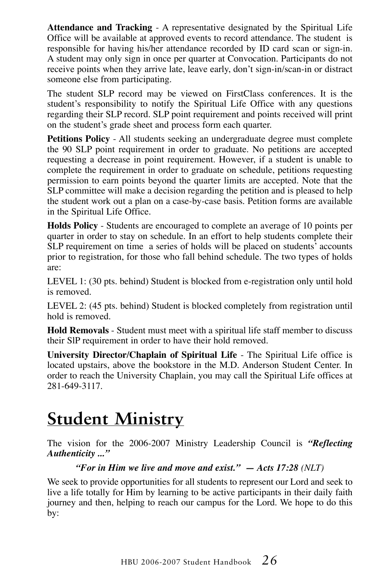**Attendance and Tracking** - A representative designated by the Spiritual Life Office will be available at approved events to record attendance. The student is responsible for having his/her attendance recorded by ID card scan or sign-in. A student may only sign in once per quarter at Convocation. Participants do not receive points when they arrive late, leave early, don't sign-in/scan-in or distract someone else from participating.

The student SLP record may be viewed on FirstClass conferences. It is the student's responsibility to notify the Spiritual Life Office with any questions regarding their SLP record. SLP point requirement and points received will print on the student's grade sheet and process form each quarter.

**Petitions Policy** - All students seeking an undergraduate degree must complete the 90 SLP point requirement in order to graduate. No petitions are accepted requesting a decrease in point requirement. However, if a student is unable to complete the requirement in order to graduate on schedule, petitions requesting permission to earn points beyond the quarter limits are accepted. Note that the SLP committee will make a decision regarding the petition and is pleased to help the student work out a plan on a case-by-case basis. Petition forms are available in the Spiritual Life Office.

**Holds Policy** - Students are encouraged to complete an average of 10 points per quarter in order to stay on schedule. In an effort to help students complete their SLP requirement on time a series of holds will be placed on students' accounts prior to registration, for those who fall behind schedule. The two types of holds are:

LEVEL 1: (30 pts. behind) Student is blocked from e-registration only until hold is removed.

LEVEL 2: (45 pts. behind) Student is blocked completely from registration until hold is removed.

**Hold Removals** - Student must meet with a spiritual life staff member to discuss their SlP requirement in order to have their hold removed.

**University Director/Chaplain of Spiritual Life** - The Spiritual Life office is located upstairs, above the bookstore in the M.D. Anderson Student Center. In order to reach the University Chaplain, you may call the Spiritual Life offices at 281-649-3117.

## **Student Ministry**

The vision for the 2006-2007 Ministry Leadership Council is *"Reflecting Authenticity ..."*

#### *"For in Him we live and move and exist." — Acts 17:28 (NLT)*

We seek to provide opportunities for all students to represent our Lord and seek to live a life totally for Him by learning to be active participants in their daily faith journey and then, helping to reach our campus for the Lord. We hope to do this by: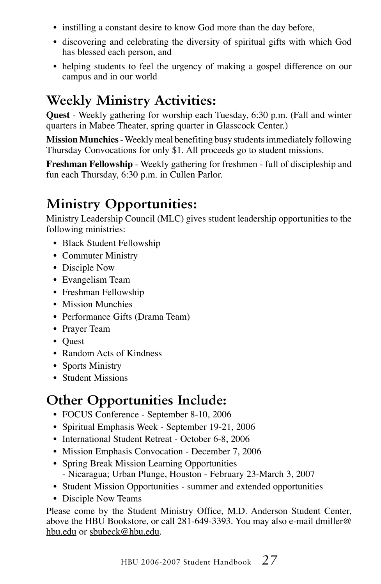- instilling a constant desire to know God more than the day before,
- discovering and celebrating the diversity of spiritual gifts with which God has blessed each person, and
- helping students to feel the urgency of making a gospel difference on our campus and in our world

### **Weekly Ministry Activities:**

**Quest** - Weekly gathering for worship each Tuesday, 6:30 p.m. (Fall and winter quarters in Mabee Theater, spring quarter in Glasscock Center.)

**Mission Munchies** - Weekly meal benefiting busy students immediately following Thursday Convocations for only \$1. All proceeds go to student missions.

**Freshman Fellowship** - Weekly gathering for freshmen - full of discipleship and fun each Thursday, 6:30 p.m. in Cullen Parlor.

## **Ministry Opportunities:**

Ministry Leadership Council (MLC) gives student leadership opportunities to the following ministries:

- Black Student Fellowship
- Commuter Ministry
- Disciple Now
- Evangelism Team
- Freshman Fellowship
- Mission Munchies
- Performance Gifts (Drama Team)
- Prayer Team
- Quest
- Random Acts of Kindness
- Sports Ministry
- Student Missions

## **Other Opportunities Include:**

- FOCUS Conference September 8-10, 2006
- Spiritual Emphasis Week September 19-21, 2006
- International Student Retreat October 6-8, 2006
- Mission Emphasis Convocation December 7, 2006
- Spring Break Mission Learning Opportunities - Nicaragua; Urban Plunge, Houston - February 23-March 3, 2007
- Student Mission Opportunities summer and extended opportunities
- Disciple Now Teams

Please come by the Student Ministry Office, M.D. Anderson Student Center, above the HBU Bookstore, or call 281-649-3393. You may also e-mail  $d$ miller@ hbu.edu or sbubeck@hbu.edu.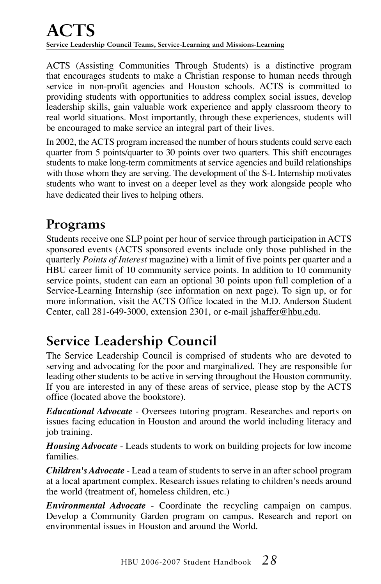### **ACTS Service Leadership Council Teams, Service-Learning and Missions-Learning**

ACTS (Assisting Communities Through Students) is a distinctive program that encourages students to make a Christian response to human needs through service in non-profit agencies and Houston schools. ACTS is committed to providing students with opportunities to address complex social issues, develop leadership skills, gain valuable work experience and apply classroom theory to real world situations. Most importantly, through these experiences, students will be encouraged to make service an integral part of their lives.

In 2002, the ACTS program increased the number of hours students could serve each quarter from 5 points/quarter to 30 points over two quarters. This shift encourages students to make long-term commitments at service agencies and build relationships with those whom they are serving. The development of the S-L Internship motivates students who want to invest on a deeper level as they work alongside people who have dedicated their lives to helping others.

### **Programs**

Students receive one SLP point per hour of service through participation in ACTS sponsored events (ACTS sponsored events include only those published in the quarterly *Points of Interest* magazine) with a limit of five points per quarter and a HBU career limit of 10 community service points. In addition to 10 community service points, student can earn an optional 30 points upon full completion of a Service-Learning Internship (see information on next page). To sign up, or for more information, visit the ACTS Office located in the M.D. Anderson Student Center, call 281-649-3000, extension 2301, or e-mail jshaffer@hbu.edu.

## **Service Leadership Council**

The Service Leadership Council is comprised of students who are devoted to serving and advocating for the poor and marginalized. They are responsible for leading other students to be active in serving throughout the Houston community. If you are interested in any of these areas of service, please stop by the ACTS office (located above the bookstore).

*Educational Advocate -* Oversees tutoring program. Researches and reports on issues facing education in Houston and around the world including literacy and job training.

*Housing Advocate* - Leads students to work on building projects for low income families.

*Children's Advocate* - Lead a team of students to serve in an after school program at a local apartment complex. Research issues relating to children's needs around the world (treatment of, homeless children, etc.)

*Environmental Advocate* - Coordinate the recycling campaign on campus. Develop a Community Garden program on campus. Research and report on environmental issues in Houston and around the World.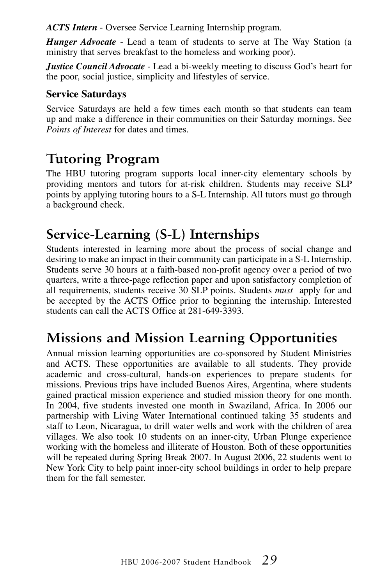*ACTS Intern* - Oversee Service Learning Internship program.

*Hunger Advocate* - Lead a team of students to serve at The Way Station (a ministry that serves breakfast to the homeless and working poor).

*Justice Council Advocate* - Lead a bi-weekly meeting to discuss God's heart for the poor, social justice, simplicity and lifestyles of service.

#### **Service Saturdays**

Service Saturdays are held a few times each month so that students can team up and make a difference in their communities on their Saturday mornings. See *Points of Interest* for dates and times.

### **Tutoring Program**

The HBU tutoring program supports local inner-city elementary schools by providing mentors and tutors for at-risk children. Students may receive SLP points by applying tutoring hours to a S-L Internship. All tutors must go through a background check.

### **Service-Learning (S-L) Internships**

Students interested in learning more about the process of social change and desiring to make an impact in their community can participate in a S-L Internship. Students serve 30 hours at a faith-based non-profit agency over a period of two quarters, write a three-page reflection paper and upon satisfactory completion of all requirements, students receive 30 SLP points. Students *must* apply for and be accepted by the ACTS Office prior to beginning the internship. Interested students can call the ACTS Office at 281-649-3393.

### **Missions and Mission Learning Opportunities**

Annual mission learning opportunities are co-sponsored by Student Ministries and ACTS. These opportunities are available to all students. They provide academic and cross-cultural, hands-on experiences to prepare students for missions. Previous trips have included Buenos Aires, Argentina, where students gained practical mission experience and studied mission theory for one month. In 2004, five students invested one month in Swaziland, Africa. In 2006 our partnership with Living Water International continued taking 35 students and staff to Leon, Nicaragua, to drill water wells and work with the children of area villages. We also took 10 students on an inner-city, Urban Plunge experience working with the homeless and illiterate of Houston. Both of these opportunities will be repeated during Spring Break 2007. In August 2006, 22 students went to New York City to help paint inner-city school buildings in order to help prepare them for the fall semester.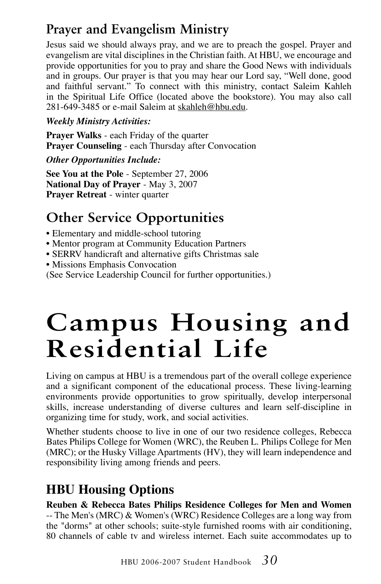## **Prayer and Evangelism Ministry**

Jesus said we should always pray, and we are to preach the gospel. Prayer and evangelism are vital disciplines in the Christian faith. At HBU, we encourage and provide opportunities for you to pray and share the Good News with individuals and in groups. Our prayer is that you may hear our Lord say, "Well done, good and faithful servant." To connect with this ministry, contact Saleim Kahleh in the Spiritual Life Office (located above the bookstore). You may also call 281-649-3485 or e-mail Saleim at skahleh@hbu.edu.

#### *Weekly Ministry Activities:*

**Prayer Walks** - each Friday of the quarter **Prayer Counseling** - each Thursday after Convocation

*Other Opportunities Include:*

**See You at the Pole** - September 27, 2006 **National Day of Prayer** - May 3, 2007 **Prayer Retreat** - winter quarter

### **Other Service Opportunities**

- Elementary and middle-school tutoring
- Mentor program at Community Education Partners
- SERRV handicraft and alternative gifts Christmas sale
- Missions Emphasis Convocation

(See Service Leadership Council for further opportunities.)

# **Campus Housing and Residential Life**

Living on campus at HBU is a tremendous part of the overall college experience and a significant component of the educational process. These living-learning environments provide opportunities to grow spiritually, develop interpersonal skills, increase understanding of diverse cultures and learn self-discipline in organizing time for study, work, and social activities.

Whether students choose to live in one of our two residence colleges, Rebecca Bates Philips College for Women (WRC), the Reuben L. Philips College for Men (MRC); or the Husky Village Apartments (HV), they will learn independence and responsibility living among friends and peers.

### **HBU Housing Options**

#### **Reuben & Rebecca Bates Philips Residence Colleges for Men and Women** -- The Men's (MRC) & Women's (WRC) Residence Colleges are a long way from the "dorms" at other schools; suite-style furnished rooms with air conditioning,

80 channels of cable tv and wireless internet. Each suite accommodates up to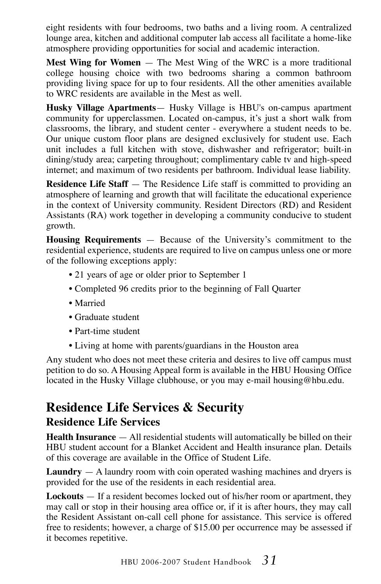eight residents with four bedrooms, two baths and a living room. A centralized lounge area, kitchen and additional computer lab access all facilitate a home-like atmosphere providing opportunities for social and academic interaction.

**Mest Wing for Women** — The Mest Wing of the WRC is a more traditional college housing choice with two bedrooms sharing a common bathroom providing living space for up to four residents. All the other amenities available to WRC residents are available in the Mest as well.

**Husky Village Apartments**— Husky Village is HBU's on-campus apartment community for upperclassmen. Located on-campus, it's just a short walk from classrooms, the library, and student center - everywhere a student needs to be. Our unique custom floor plans are designed exclusively for student use. Each unit includes a full kitchen with stove, dishwasher and refrigerator; built-in dining/study area; carpeting throughout; complimentary cable tv and high-speed internet; and maximum of two residents per bathroom. Individual lease liability.

**Residence Life Staff** — The Residence Life staff is committed to providing an atmosphere of learning and growth that will facilitate the educational experience in the context of University community. Resident Directors (RD) and Resident Assistants (RA) work together in developing a community conducive to student growth.

**Housing Requirements** — Because of the University's commitment to the residential experience, students are required to live on campus unless one or more of the following exceptions apply:

- 21 years of age or older prior to September 1
- Completed 96 credits prior to the beginning of Fall Quarter
- Married
- Graduate student
- Part-time student
- Living at home with parents/guardians in the Houston area

Any student who does not meet these criteria and desires to live off campus must petition to do so. A Housing Appeal form is available in the HBU Housing Office located in the Husky Village clubhouse, or you may e-mail housing@hbu.edu.

#### **Residence Life Services & Security Residence Life Services**

**Health Insurance** — All residential students will automatically be billed on their HBU student account for a Blanket Accident and Health insurance plan. Details of this coverage are available in the Office of Student Life.

**Laundry** — A laundry room with coin operated washing machines and dryers is provided for the use of the residents in each residential area.

**Lockouts** — If a resident becomes locked out of his/her room or apartment, they may call or stop in their housing area office or, if it is after hours, they may call the Resident Assistant on-call cell phone for assistance. This service is offered free to residents; however, a charge of \$15.00 per occurrence may be assessed if it becomes repetitive.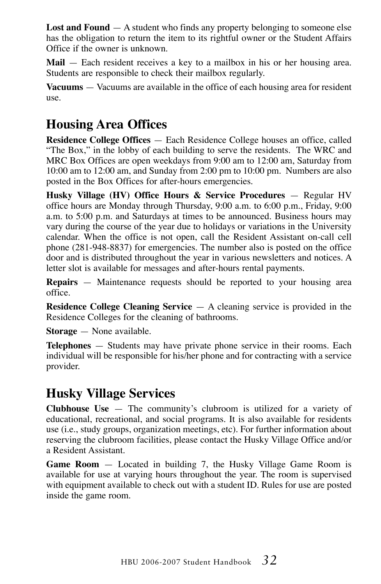**Lost and Found** — A student who finds any property belonging to someone else has the obligation to return the item to its rightful owner or the Student Affairs Office if the owner is unknown.

**Mail** — Each resident receives a key to a mailbox in his or her housing area. Students are responsible to check their mailbox regularly.

**Vacuums** — Vacuums are available in the office of each housing area for resident use.

#### **Housing Area Offices**

**Residence College Offices** — Each Residence College houses an office, called "The Box," in the lobby of each building to serve the residents. The WRC and MRC Box Offices are open weekdays from 9:00 am to 12:00 am, Saturday from 10:00 am to 12:00 am, and Sunday from 2:00 pm to 10:00 pm. Numbers are also posted in the Box Offices for after-hours emergencies.

**Husky Village (HV) Office Hours & Service Procedures** — Regular HV office hours are Monday through Thursday, 9:00 a.m. to 6:00 p.m., Friday, 9:00 a.m. to 5:00 p.m. and Saturdays at times to be announced. Business hours may vary during the course of the year due to holidays or variations in the University calendar. When the office is not open, call the Resident Assistant on-call cell phone (281-948-8837) for emergencies. The number also is posted on the office door and is distributed throughout the year in various newsletters and notices. A letter slot is available for messages and after-hours rental payments.

**Repairs** — Maintenance requests should be reported to your housing area office.

**Residence College Cleaning Service** — A cleaning service is provided in the Residence Colleges for the cleaning of bathrooms.

**Storage** — None available.

**Telephones** — Students may have private phone service in their rooms. Each individual will be responsible for his/her phone and for contracting with a service provider.

#### **Husky Village Services**

**Clubhouse Use** — The community's clubroom is utilized for a variety of educational, recreational, and social programs. It is also available for residents use (i.e., study groups, organization meetings, etc). For further information about reserving the clubroom facilities, please contact the Husky Village Office and/or a Resident Assistant.

**Game Room** — Located in building 7, the Husky Village Game Room is available for use at varying hours throughout the year. The room is supervised with equipment available to check out with a student ID. Rules for use are posted inside the game room.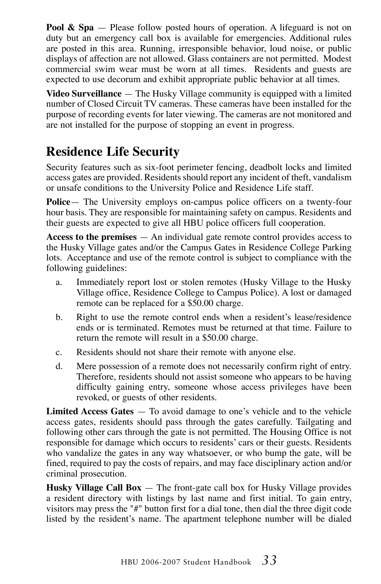**Pool & Spa** — Please follow posted hours of operation. A lifeguard is not on duty but an emergency call box is available for emergencies. Additional rules are posted in this area. Running, irresponsible behavior, loud noise, or public displays of affection are not allowed. Glass containers are not permitted. Modest commercial swim wear must be worn at all times. Residents and guests are expected to use decorum and exhibit appropriate public behavior at all times.

**Video Surveillance** — The Husky Village community is equipped with a limited number of Closed Circuit TV cameras. These cameras have been installed for the purpose of recording events for later viewing. The cameras are not monitored and are not installed for the purpose of stopping an event in progress.

### **Residence Life Security**

Security features such as six-foot perimeter fencing, deadbolt locks and limited access gates are provided. Residents should report any incident of theft, vandalism or unsafe conditions to the University Police and Residence Life staff.

**Police**— The University employs on-campus police officers on a twenty-four hour basis. They are responsible for maintaining safety on campus. Residents and their guests are expected to give all HBU police officers full cooperation.

**Access to the premises** — An individual gate remote control provides access to the Husky Village gates and/or the Campus Gates in Residence College Parking lots. Acceptance and use of the remote control is subject to compliance with the following guidelines:

- a. Immediately report lost or stolen remotes (Husky Village to the Husky Village office, Residence College to Campus Police). A lost or damaged remote can be replaced for a \$50.00 charge.
- b. Right to use the remote control ends when a resident's lease/residence ends or is terminated. Remotes must be returned at that time. Failure to return the remote will result in a \$50.00 charge.
- c. Residents should not share their remote with anyone else.
- d. Mere possession of a remote does not necessarily confirm right of entry. Therefore, residents should not assist someone who appears to be having difficulty gaining entry, someone whose access privileges have been revoked, or guests of other residents.

**Limited Access Gates** — To avoid damage to one's vehicle and to the vehicle access gates, residents should pass through the gates carefully. Tailgating and following other cars through the gate is not permitted. The Housing Office is not responsible for damage which occurs to residents' cars or their guests. Residents who vandalize the gates in any way whatsoever, or who bump the gate, will be fined, required to pay the costs of repairs, and may face disciplinary action and/or criminal prosecution.

**Husky Village Call Box** — The front-gate call box for Husky Village provides a resident directory with listings by last name and first initial. To gain entry, visitors may press the "#" button first for a dial tone, then dial the three digit code listed by the resident's name. The apartment telephone number will be dialed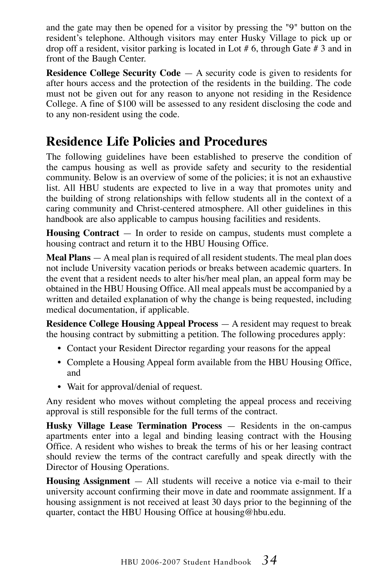and the gate may then be opened for a visitor by pressing the "9" button on the resident's telephone. Although visitors may enter Husky Village to pick up or drop off a resident, visitor parking is located in Lot # 6, through Gate # 3 and in front of the Baugh Center.

**Residence College Security Code** — A security code is given to residents for after hours access and the protection of the residents in the building. The code must not be given out for any reason to anyone not residing in the Residence College. A fine of \$100 will be assessed to any resident disclosing the code and to any non-resident using the code.

#### **Residence Life Policies and Procedures**

The following guidelines have been established to preserve the condition of the campus housing as well as provide safety and security to the residential community. Below is an overview of some of the policies; it is not an exhaustive list. All HBU students are expected to live in a way that promotes unity and the building of strong relationships with fellow students all in the context of a caring community and Christ-centered atmosphere. All other guidelines in this handbook are also applicable to campus housing facilities and residents.

**Housing Contract** — In order to reside on campus, students must complete a housing contract and return it to the HBU Housing Office.

**Meal Plans** — A meal plan is required of all resident students. The meal plan does not include University vacation periods or breaks between academic quarters. In the event that a resident needs to alter his/her meal plan, an appeal form may be obtained in the HBU Housing Office. All meal appeals must be accompanied by a written and detailed explanation of why the change is being requested, including medical documentation, if applicable.

**Residence College Housing Appeal Process** — A resident may request to break the housing contract by submitting a petition. The following procedures apply:

- Contact your Resident Director regarding your reasons for the appeal
- Complete a Housing Appeal form available from the HBU Housing Office, and
- Wait for approval/denial of request.

Any resident who moves without completing the appeal process and receiving approval is still responsible for the full terms of the contract.

**Husky Village Lease Termination Process** — Residents in the on-campus apartments enter into a legal and binding leasing contract with the Housing Office. A resident who wishes to break the terms of his or her leasing contract should review the terms of the contract carefully and speak directly with the Director of Housing Operations.

**Housing Assignment** — All students will receive a notice via e-mail to their university account confirming their move in date and roommate assignment. If a housing assignment is not received at least 30 days prior to the beginning of the quarter, contact the HBU Housing Office at housing@hbu.edu.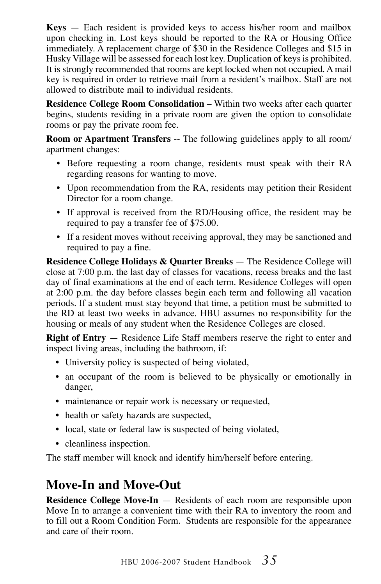**Keys** — Each resident is provided keys to access his/her room and mailbox upon checking in. Lost keys should be reported to the RA or Housing Office immediately. A replacement charge of \$30 in the Residence Colleges and \$15 in Husky Village will be assessed for each lost key. Duplication of keys is prohibited. It is strongly recommended that rooms are kept locked when not occupied. A mail key is required in order to retrieve mail from a resident's mailbox. Staff are not allowed to distribute mail to individual residents.

**Residence College Room Consolidation** – Within two weeks after each quarter begins, students residing in a private room are given the option to consolidate rooms or pay the private room fee.

**Room or Apartment Transfers** -- The following guidelines apply to all room/ apartment changes:

- Before requesting a room change, residents must speak with their RA regarding reasons for wanting to move.
- Upon recommendation from the RA, residents may petition their Resident Director for a room change.
- If approval is received from the RD/Housing office, the resident may be required to pay a transfer fee of \$75.00.
- If a resident moves without receiving approval, they may be sanctioned and required to pay a fine.

**Residence College Holidays & Quarter Breaks** — The Residence College will close at 7:00 p.m. the last day of classes for vacations, recess breaks and the last day of final examinations at the end of each term. Residence Colleges will open at 2:00 p.m. the day before classes begin each term and following all vacation periods. If a student must stay beyond that time, a petition must be submitted to the RD at least two weeks in advance. HBU assumes no responsibility for the housing or meals of any student when the Residence Colleges are closed.

**Right of Entry** — Residence Life Staff members reserve the right to enter and inspect living areas, including the bathroom, if:

- University policy is suspected of being violated,
- an occupant of the room is believed to be physically or emotionally in danger,
- maintenance or repair work is necessary or requested,
- health or safety hazards are suspected,
- local, state or federal law is suspected of being violated,
- cleanliness inspection.

The staff member will knock and identify him/herself before entering.

#### **Move-In and Move-Out**

**Residence College Move-In** — Residents of each room are responsible upon Move In to arrange a convenient time with their RA to inventory the room and to fill out a Room Condition Form. Students are responsible for the appearance and care of their room.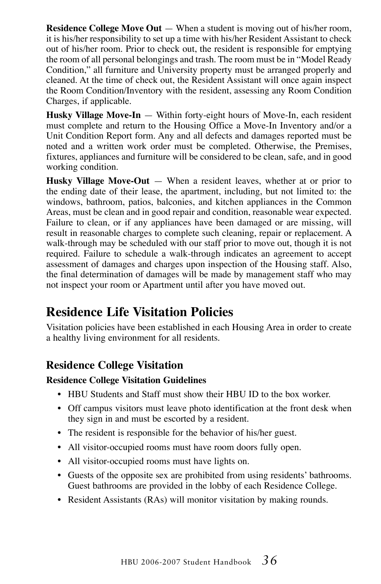**Residence College Move Out** — When a student is moving out of his/her room, it is his/her responsibility to set up a time with his/her Resident Assistant to check out of his/her room. Prior to check out, the resident is responsible for emptying the room of all personal belongings and trash. The room must be in "Model Ready Condition," all furniture and University property must be arranged properly and cleaned. At the time of check out, the Resident Assistant will once again inspect the Room Condition/Inventory with the resident, assessing any Room Condition Charges, if applicable.

**Husky Village Move-In** — Within forty-eight hours of Move-In, each resident must complete and return to the Housing Office a Move-In Inventory and/or a Unit Condition Report form. Any and all defects and damages reported must be noted and a written work order must be completed. Otherwise, the Premises, fixtures, appliances and furniture will be considered to be clean, safe, and in good working condition.

**Husky Village Move-Out** — When a resident leaves, whether at or prior to the ending date of their lease, the apartment, including, but not limited to: the windows, bathroom, patios, balconies, and kitchen appliances in the Common Areas, must be clean and in good repair and condition, reasonable wear expected. Failure to clean, or if any appliances have been damaged or are missing, will result in reasonable charges to complete such cleaning, repair or replacement. A walk-through may be scheduled with our staff prior to move out, though it is not required. Failure to schedule a walk-through indicates an agreement to accept assessment of damages and charges upon inspection of the Housing staff. Also, the final determination of damages will be made by management staff who may not inspect your room or Apartment until after you have moved out.

#### **Residence Life Visitation Policies**

Visitation policies have been established in each Housing Area in order to create a healthy living environment for all residents.

#### **Residence College Visitation**

#### **Residence College Visitation Guidelines**

- HBU Students and Staff must show their HBU ID to the box worker.
- Off campus visitors must leave photo identification at the front desk when they sign in and must be escorted by a resident.
- The resident is responsible for the behavior of his/her guest.
- All visitor-occupied rooms must have room doors fully open.
- All visitor-occupied rooms must have lights on.
- Guests of the opposite sex are prohibited from using residents' bathrooms. Guest bathrooms are provided in the lobby of each Residence College.
- Resident Assistants (RAs) will monitor visitation by making rounds.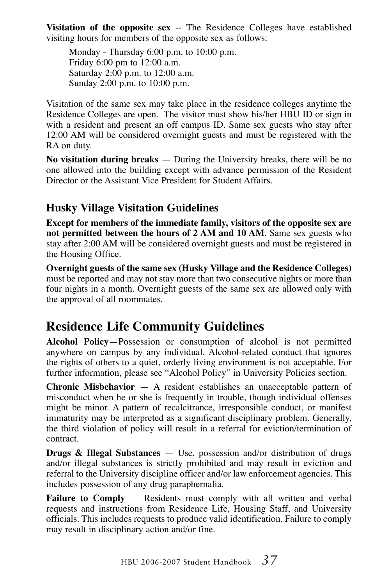**Visitation of the opposite sex** -- The Residence Colleges have established visiting hours for members of the opposite sex as follows:

Monday - Thursday 6:00 p.m. to 10:00 p.m. Friday 6:00 pm to 12:00 a.m. Saturday 2:00 p.m. to 12:00 a.m. Sunday 2:00 p.m. to 10:00 p.m.

Visitation of the same sex may take place in the residence colleges anytime the Residence Colleges are open. The visitor must show his/her HBU ID or sign in with a resident and present an off campus ID. Same sex guests who stay after 12:00 AM will be considered overnight guests and must be registered with the RA on duty.

**No visitation during breaks** — During the University breaks, there will be no one allowed into the building except with advance permission of the Resident Director or the Assistant Vice President for Student Affairs.

#### **Husky Village Visitation Guidelines**

**Except for members of the immediate family, visitors of the opposite sex are not permitted between the hours of 2 AM and 10 AM**. Same sex guests who stay after 2:00 AM will be considered overnight guests and must be registered in the Housing Office.

**Overnight guests of the same sex (Husky Village and the Residence Colleges)** must be reported and may not stay more than two consecutive nights or more than four nights in a month. Overnight guests of the same sex are allowed only with the approval of all roommates.

### **Residence Life Community Guidelines**

**Alcohol Policy**—Possession or consumption of alcohol is not permitted anywhere on campus by any individual. Alcohol-related conduct that ignores the rights of others to a quiet, orderly living environment is not acceptable. For further information, please see "Alcohol Policy" in University Policies section.

**Chronic Misbehavior** — A resident establishes an unacceptable pattern of misconduct when he or she is frequently in trouble, though individual offenses might be minor. A pattern of recalcitrance, irresponsible conduct, or manifest immaturity may be interpreted as a significant disciplinary problem. Generally, the third violation of policy will result in a referral for eviction/termination of contract.

**Drugs & Illegal Substances** — Use, possession and/or distribution of drugs and/or illegal substances is strictly prohibited and may result in eviction and referral to the University discipline officer and/or law enforcement agencies. This includes possession of any drug paraphernalia.

Failure to Comply - Residents must comply with all written and verbal requests and instructions from Residence Life, Housing Staff, and University officials. This includes requests to produce valid identification. Failure to comply may result in disciplinary action and/or fine.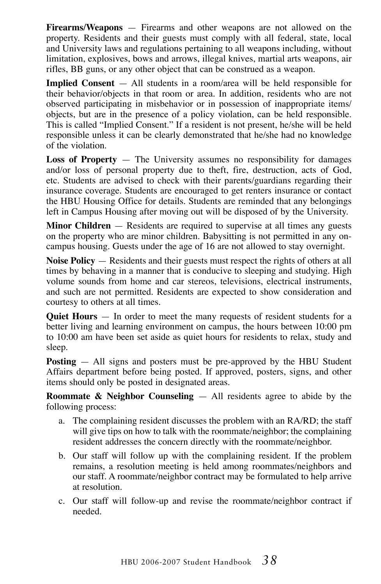**Firearms/Weapons** — Firearms and other weapons are not allowed on the property. Residents and their guests must comply with all federal, state, local and University laws and regulations pertaining to all weapons including, without limitation, explosives, bows and arrows, illegal knives, martial arts weapons, air rifles, BB guns, or any other object that can be construed as a weapon.

**Implied Consent** — All students in a room/area will be held responsible for their behavior/objects in that room or area. In addition, residents who are not observed participating in misbehavior or in possession of inappropriate items/ objects, but are in the presence of a policy violation, can be held responsible. This is called "Implied Consent." If a resident is not present, he/she will be held responsible unless it can be clearly demonstrated that he/she had no knowledge of the violation.

**Loss of Property** — The University assumes no responsibility for damages and/or loss of personal property due to theft, fire, destruction, acts of God, etc. Students are advised to check with their parents/guardians regarding their insurance coverage. Students are encouraged to get renters insurance or contact the HBU Housing Office for details. Students are reminded that any belongings left in Campus Housing after moving out will be disposed of by the University.

**Minor Children** — Residents are required to supervise at all times any guests on the property who are minor children. Babysitting is not permitted in any oncampus housing. Guests under the age of 16 are not allowed to stay overnight.

**Noise Policy** — Residents and their guests must respect the rights of others at all times by behaving in a manner that is conducive to sleeping and studying. High volume sounds from home and car stereos, televisions, electrical instruments, and such are not permitted. Residents are expected to show consideration and courtesy to others at all times.

**Quiet Hours** — In order to meet the many requests of resident students for a better living and learning environment on campus, the hours between 10:00 pm to 10:00 am have been set aside as quiet hours for residents to relax, study and sleep.

**Posting** — All signs and posters must be pre-approved by the HBU Student Affairs department before being posted. If approved, posters, signs, and other items should only be posted in designated areas.

**Roommate & Neighbor Counseling** — All residents agree to abide by the following process:

- a. The complaining resident discusses the problem with an RA/RD; the staff will give tips on how to talk with the roommate/neighbor; the complaining resident addresses the concern directly with the roommate/neighbor.
- b. Our staff will follow up with the complaining resident. If the problem remains, a resolution meeting is held among roommates/neighbors and our staff. A roommate/neighbor contract may be formulated to help arrive at resolution.
- c. Our staff will follow-up and revise the roommate/neighbor contract if needed.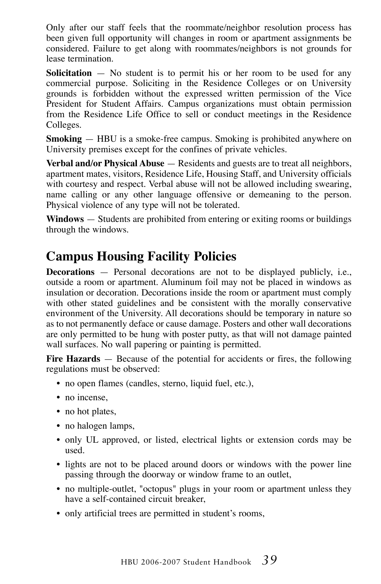Only after our staff feels that the roommate/neighbor resolution process has been given full opportunity will changes in room or apartment assignments be considered. Failure to get along with roommates/neighbors is not grounds for lease termination.

**Solicitation** — No student is to permit his or her room to be used for any commercial purpose. Soliciting in the Residence Colleges or on University grounds is forbidden without the expressed written permission of the Vice President for Student Affairs. Campus organizations must obtain permission from the Residence Life Office to sell or conduct meetings in the Residence Colleges.

**Smoking** — HBU is a smoke-free campus. Smoking is prohibited anywhere on University premises except for the confines of private vehicles.

**Verbal and/or Physical Abuse** — Residents and guests are to treat all neighbors, apartment mates, visitors, Residence Life, Housing Staff, and University officials with courtesy and respect. Verbal abuse will not be allowed including swearing, name calling or any other language offensive or demeaning to the person. Physical violence of any type will not be tolerated.

**Windows** — Students are prohibited from entering or exiting rooms or buildings through the windows.

### **Campus Housing Facility Policies**

**Decorations** — Personal decorations are not to be displayed publicly, i.e., outside a room or apartment. Aluminum foil may not be placed in windows as insulation or decoration. Decorations inside the room or apartment must comply with other stated guidelines and be consistent with the morally conservative environment of the University. All decorations should be temporary in nature so as to not permanently deface or cause damage. Posters and other wall decorations are only permitted to be hung with poster putty, as that will not damage painted wall surfaces. No wall papering or painting is permitted.

**Fire Hazards** — Because of the potential for accidents or fires, the following regulations must be observed:

- no open flames (candles, sterno, liquid fuel, etc.),
- no incense,
- no hot plates,
- no halogen lamps,
- only UL approved, or listed, electrical lights or extension cords may be used.
- lights are not to be placed around doors or windows with the power line passing through the doorway or window frame to an outlet,
- no multiple-outlet, "octopus" plugs in your room or apartment unless they have a self-contained circuit breaker,
- only artificial trees are permitted in student's rooms,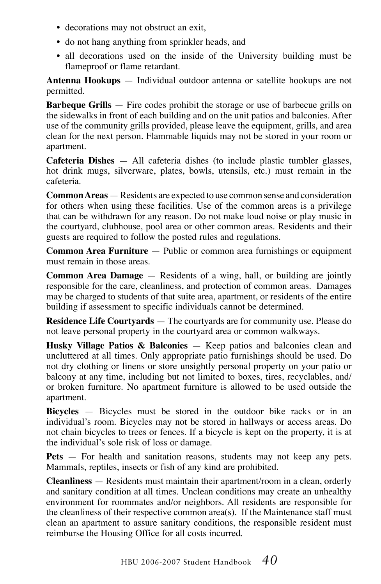- decorations may not obstruct an exit,
- do not hang anything from sprinkler heads, and
- all decorations used on the inside of the University building must be flameproof or flame retardant.

**Antenna Hookups** — Individual outdoor antenna or satellite hookups are not permitted.

**Barbeque Grills** — Fire codes prohibit the storage or use of barbecue grills on the sidewalks in front of each building and on the unit patios and balconies. After use of the community grills provided, please leave the equipment, grills, and area clean for the next person. Flammable liquids may not be stored in your room or apartment.

**Cafeteria Dishes** — All cafeteria dishes (to include plastic tumbler glasses, hot drink mugs, silverware, plates, bowls, utensils, etc.) must remain in the cafeteria.

**Common Areas** — Residents are expected to use common sense and consideration for others when using these facilities. Use of the common areas is a privilege that can be withdrawn for any reason. Do not make loud noise or play music in the courtyard, clubhouse, pool area or other common areas. Residents and their guests are required to follow the posted rules and regulations.

**Common Area Furniture** — Public or common area furnishings or equipment must remain in those areas.

**Common Area Damage** — Residents of a wing, hall, or building are jointly responsible for the care, cleanliness, and protection of common areas. Damages may be charged to students of that suite area, apartment, or residents of the entire building if assessment to specific individuals cannot be determined.

**Residence Life Courtyards** — The courtyards are for community use. Please do not leave personal property in the courtyard area or common walkways.

**Husky Village Patios & Balconies** — Keep patios and balconies clean and uncluttered at all times. Only appropriate patio furnishings should be used. Do not dry clothing or linens or store unsightly personal property on your patio or balcony at any time, including but not limited to boxes, tires, recyclables, and/ or broken furniture. No apartment furniture is allowed to be used outside the apartment.

**Bicycles** — Bicycles must be stored in the outdoor bike racks or in an individual's room. Bicycles may not be stored in hallways or access areas. Do not chain bicycles to trees or fences. If a bicycle is kept on the property, it is at the individual's sole risk of loss or damage.

**Pets** — For health and sanitation reasons, students may not keep any pets. Mammals, reptiles, insects or fish of any kind are prohibited.

**Cleanliness** — Residents must maintain their apartment/room in a clean, orderly and sanitary condition at all times. Unclean conditions may create an unhealthy environment for roommates and/or neighbors. All residents are responsible for the cleanliness of their respective common area(s). If the Maintenance staff must clean an apartment to assure sanitary conditions, the responsible resident must reimburse the Housing Office for all costs incurred.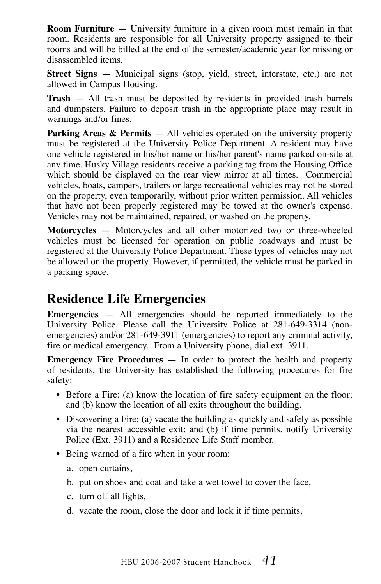**Room Furniture** — University furniture in a given room must remain in that room. Residents are responsible for all University property assigned to their rooms and will be billed at the end of the semester/academic year for missing or disassembled items.

**Street Signs** — Municipal signs (stop, yield, street, interstate, etc.) are not allowed in Campus Housing.

**Trash** — All trash must be deposited by residents in provided trash barrels and dumpsters. Failure to deposit trash in the appropriate place may result in warnings and/or fines.

**Parking Areas & Permits** — All vehicles operated on the university property must be registered at the University Police Department. A resident may have one vehicle registered in his/her name or his/her parent's name parked on-site at any time. Husky Village residents receive a parking tag from the Housing Office which should be displayed on the rear view mirror at all times. Commercial vehicles, boats, campers, trailers or large recreational vehicles may not be stored on the property, even temporarily, without prior written permission. All vehicles that have not been properly registered may be towed at the owner's expense. Vehicles may not be maintained, repaired, or washed on the property.

**Motorcycles** — Motorcycles and all other motorized two or three-wheeled vehicles must be licensed for operation on public roadways and must be registered at the University Police Department. These types of vehicles may not be allowed on the property. However, if permitted, the vehicle must be parked in a parking space.

#### **Residence Life Emergencies**

**Emergencies** — All emergencies should be reported immediately to the University Police. Please call the University Police at 281-649-3314 (nonemergencies) and/or 281-649-3911 (emergencies) to report any criminal activity, fire or medical emergency. From a University phone, dial ext. 3911.

**Emergency Fire Procedures** — In order to protect the health and property of residents, the University has established the following procedures for fire safety:

- Before a Fire: (a) know the location of fire safety equipment on the floor; and (b) know the location of all exits throughout the building.
- Discovering a Fire: (a) vacate the building as quickly and safely as possible via the nearest accessible exit; and (b) if time permits, notify University Police (Ext. 3911) and a Residence Life Staff member.
- Being warned of a fire when in your room:
	- a. open curtains,
	- b. put on shoes and coat and take a wet towel to cover the face,
	- c. turn off all lights,
	- d. vacate the room, close the door and lock it if time permits,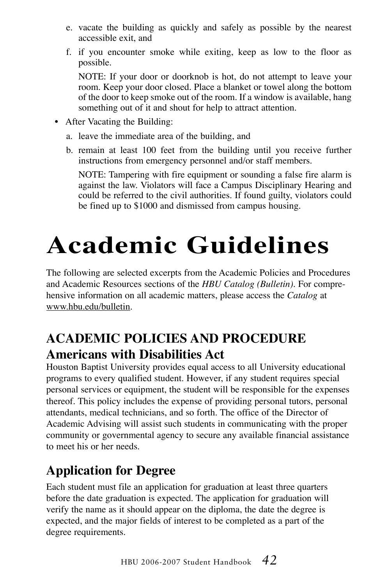- e. vacate the building as quickly and safely as possible by the nearest accessible exit, and
- f. if you encounter smoke while exiting, keep as low to the floor as possible.

NOTE: If your door or doorknob is hot, do not attempt to leave your room. Keep your door closed. Place a blanket or towel along the bottom of the door to keep smoke out of the room. If a window is available, hang something out of it and shout for help to attract attention.

- After Vacating the Building:
	- a. leave the immediate area of the building, and
	- b. remain at least 100 feet from the building until you receive further instructions from emergency personnel and/or staff members.

NOTE: Tampering with fire equipment or sounding a false fire alarm is against the law. Violators will face a Campus Disciplinary Hearing and could be referred to the civil authorities. If found guilty, violators could be fined up to \$1000 and dismissed from campus housing.

# **Academic Guidelines**

The following are selected excerpts from the Academic Policies and Procedures and Academic Resources sections of the *HBU Catalog (Bulletin)*. For comprehensive information on all academic matters, please access the *Catalog* at www.hbu.edu/bulletin.

### **Academic Policies and Procedure Americans with Disabilities Act**

Houston Baptist University provides equal access to all University educational programs to every qualified student. However, if any student requires special personal services or equipment, the student will be responsible for the expenses thereof. This policy includes the expense of providing personal tutors, personal attendants, medical technicians, and so forth. The office of the Director of Academic Advising will assist such students in communicating with the proper community or governmental agency to secure any available financial assistance to meet his or her needs.

### **Application for Degree**

Each student must file an application for graduation at least three quarters before the date graduation is expected. The application for graduation will verify the name as it should appear on the diploma, the date the degree is expected, and the major fields of interest to be completed as a part of the degree requirements.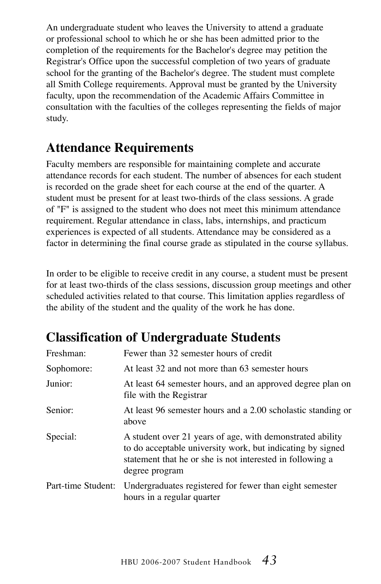An undergraduate student who leaves the University to attend a graduate or professional school to which he or she has been admitted prior to the completion of the requirements for the Bachelor's degree may petition the Registrar's Office upon the successful completion of two years of graduate school for the granting of the Bachelor's degree. The student must complete all Smith College requirements. Approval must be granted by the University faculty, upon the recommendation of the Academic Affairs Committee in consultation with the faculties of the colleges representing the fields of major study.

### **Attendance Requirements**

Faculty members are responsible for maintaining complete and accurate attendance records for each student. The number of absences for each student is recorded on the grade sheet for each course at the end of the quarter. A student must be present for at least two-thirds of the class sessions. A grade of "F" is assigned to the student who does not meet this minimum attendance requirement. Regular attendance in class, labs, internships, and practicum experiences is expected of all students. Attendance may be considered as a factor in determining the final course grade as stipulated in the course syllabus.

In order to be eligible to receive credit in any course, a student must be present for at least two-thirds of the class sessions, discussion group meetings and other scheduled activities related to that course. This limitation applies regardless of the ability of the student and the quality of the work he has done.

### **Classification of Undergraduate Students**

| Freshman:          | Fewer than 32 semester hours of credit                                                                                                                                                                 |
|--------------------|--------------------------------------------------------------------------------------------------------------------------------------------------------------------------------------------------------|
| Sophomore:         | At least 32 and not more than 63 semester hours                                                                                                                                                        |
| Junior:            | At least 64 semester hours, and an approved degree plan on<br>file with the Registrar                                                                                                                  |
| Senior:            | At least 96 semester hours and a 2.00 scholastic standing or<br>above                                                                                                                                  |
| Special:           | A student over 21 years of age, with demonstrated ability<br>to do acceptable university work, but indicating by signed<br>statement that he or she is not interested in following a<br>degree program |
| Part-time Student: | Undergraduates registered for fewer than eight semester<br>hours in a regular quarter                                                                                                                  |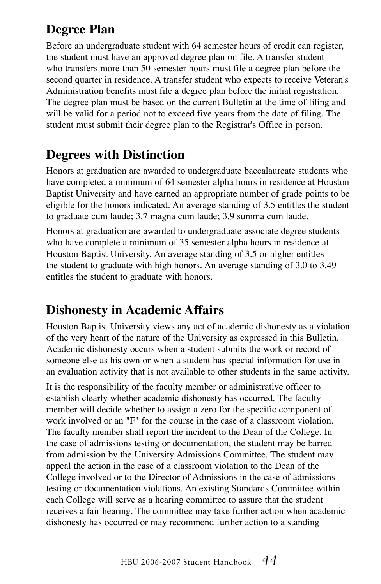### **Degree Plan**

Before an undergraduate student with 64 semester hours of credit can register, the student must have an approved degree plan on file. A transfer student who transfers more than 50 semester hours must file a degree plan before the second quarter in residence. A transfer student who expects to receive Veteran's Administration benefits must file a degree plan before the initial registration. The degree plan must be based on the current Bulletin at the time of filing and will be valid for a period not to exceed five years from the date of filing. The student must submit their degree plan to the Registrar's Office in person.

### **Degrees with Distinction**

Honors at graduation are awarded to undergraduate baccalaureate students who have completed a minimum of 64 semester alpha hours in residence at Houston Baptist University and have earned an appropriate number of grade points to be eligible for the honors indicated. An average standing of 3.5 entitles the student to graduate cum laude; 3.7 magna cum laude; 3.9 summa cum laude.

Honors at graduation are awarded to undergraduate associate degree students who have complete a minimum of 35 semester alpha hours in residence at Houston Baptist University. An average standing of 3.5 or higher entitles the student to graduate with high honors. An average standing of 3.0 to 3.49 entitles the student to graduate with honors.

### **Dishonesty in Academic Affairs**

Houston Baptist University views any act of academic dishonesty as a violation of the very heart of the nature of the University as expressed in this Bulletin. Academic dishonesty occurs when a student submits the work or record of someone else as his own or when a student has special information for use in an evaluation activity that is not available to other students in the same activity.

It is the responsibility of the faculty member or administrative officer to establish clearly whether academic dishonesty has occurred. The faculty member will decide whether to assign a zero for the specific component of work involved or an "F" for the course in the case of a classroom violation. The faculty member shall report the incident to the Dean of the College. In the case of admissions testing or documentation, the student may be barred from admission by the University Admissions Committee. The student may appeal the action in the case of a classroom violation to the Dean of the College involved or to the Director of Admissions in the case of admissions testing or documentation violations. An existing Standards Committee within each College will serve as a hearing committee to assure that the student receives a fair hearing. The committee may take further action when academic dishonesty has occurred or may recommend further action to a standing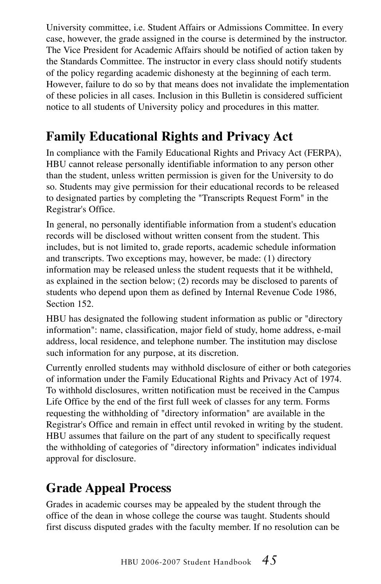University committee, i.e. Student Affairs or Admissions Committee. In every case, however, the grade assigned in the course is determined by the instructor. The Vice President for Academic Affairs should be notified of action taken by the Standards Committee. The instructor in every class should notify students of the policy regarding academic dishonesty at the beginning of each term. However, failure to do so by that means does not invalidate the implementation of these policies in all cases. Inclusion in this Bulletin is considered sufficient notice to all students of University policy and procedures in this matter.

### **Family Educational Rights and Privacy Act**

In compliance with the Family Educational Rights and Privacy Act (FERPA), HBU cannot release personally identifiable information to any person other than the student, unless written permission is given for the University to do so. Students may give permission for their educational records to be released to designated parties by completing the "Transcripts Request Form" in the Registrar's Office.

In general, no personally identifiable information from a student's education records will be disclosed without written consent from the student. This includes, but is not limited to, grade reports, academic schedule information and transcripts. Two exceptions may, however, be made: (1) directory information may be released unless the student requests that it be withheld, as explained in the section below; (2) records may be disclosed to parents of students who depend upon them as defined by Internal Revenue Code 1986, Section 152.

HBU has designated the following student information as public or "directory information": name, classification, major field of study, home address, e-mail address, local residence, and telephone number. The institution may disclose such information for any purpose, at its discretion.

Currently enrolled students may withhold disclosure of either or both categories of information under the Family Educational Rights and Privacy Act of 1974. To withhold disclosures, written notification must be received in the Campus Life Office by the end of the first full week of classes for any term. Forms requesting the withholding of "directory information" are available in the Registrar's Office and remain in effect until revoked in writing by the student. HBU assumes that failure on the part of any student to specifically request the withholding of categories of "directory information" indicates individual approval for disclosure.

### **Grade Appeal Process**

Grades in academic courses may be appealed by the student through the office of the dean in whose college the course was taught. Students should first discuss disputed grades with the faculty member. If no resolution can be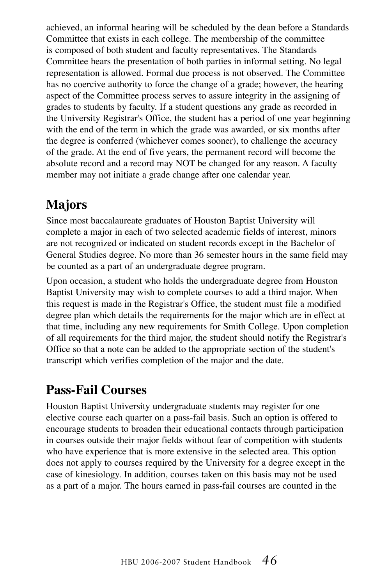achieved, an informal hearing will be scheduled by the dean before a Standards Committee that exists in each college. The membership of the committee is composed of both student and faculty representatives. The Standards Committee hears the presentation of both parties in informal setting. No legal representation is allowed. Formal due process is not observed. The Committee has no coercive authority to force the change of a grade; however, the hearing aspect of the Committee process serves to assure integrity in the assigning of grades to students by faculty. If a student questions any grade as recorded in the University Registrar's Office, the student has a period of one year beginning with the end of the term in which the grade was awarded, or six months after the degree is conferred (whichever comes sooner), to challenge the accuracy of the grade. At the end of five years, the permanent record will become the absolute record and a record may NOT be changed for any reason. A faculty member may not initiate a grade change after one calendar year.

### **Majors**

Since most baccalaureate graduates of Houston Baptist University will complete a major in each of two selected academic fields of interest, minors are not recognized or indicated on student records except in the Bachelor of General Studies degree. No more than 36 semester hours in the same field may be counted as a part of an undergraduate degree program.

Upon occasion, a student who holds the undergraduate degree from Houston Baptist University may wish to complete courses to add a third major. When this request is made in the Registrar's Office, the student must file a modified degree plan which details the requirements for the major which are in effect at that time, including any new requirements for Smith College. Upon completion of all requirements for the third major, the student should notify the Registrar's Office so that a note can be added to the appropriate section of the student's transcript which verifies completion of the major and the date.

### **Pass-Fail Courses**

Houston Baptist University undergraduate students may register for one elective course each quarter on a pass-fail basis. Such an option is offered to encourage students to broaden their educational contacts through participation in courses outside their major fields without fear of competition with students who have experience that is more extensive in the selected area. This option does not apply to courses required by the University for a degree except in the case of kinesiology. In addition, courses taken on this basis may not be used as a part of a major. The hours earned in pass-fail courses are counted in the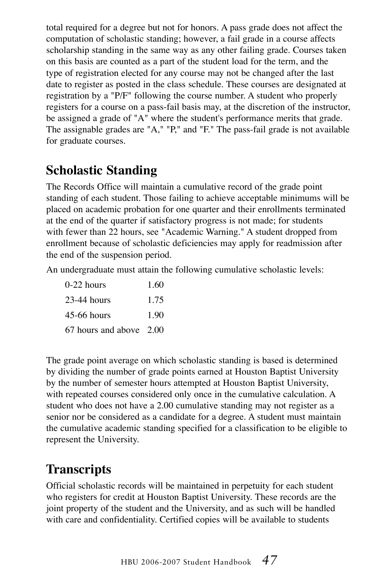total required for a degree but not for honors. A pass grade does not affect the computation of scholastic standing; however, a fail grade in a course affects scholarship standing in the same way as any other failing grade. Courses taken on this basis are counted as a part of the student load for the term, and the type of registration elected for any course may not be changed after the last date to register as posted in the class schedule. These courses are designated at registration by a "P/F" following the course number. A student who properly registers for a course on a pass-fail basis may, at the discretion of the instructor, be assigned a grade of "A" where the student's performance merits that grade. The assignable grades are "A," "P," and "F." The pass-fail grade is not available for graduate courses.

### **Scholastic Standing**

The Records Office will maintain a cumulative record of the grade point standing of each student. Those failing to achieve acceptable minimums will be placed on academic probation for one quarter and their enrollments terminated at the end of the quarter if satisfactory progress is not made; for students with fewer than 22 hours, see "Academic Warning." A student dropped from enrollment because of scholastic deficiencies may apply for readmission after the end of the suspension period.

An undergraduate must attain the following cumulative scholastic levels:

| $0-22$ hours            | 1.60 |
|-------------------------|------|
| $23-44$ hours           | 1.75 |
| $45-66$ hours           | 190  |
| 67 hours and above 2.00 |      |

The grade point average on which scholastic standing is based is determined by dividing the number of grade points earned at Houston Baptist University by the number of semester hours attempted at Houston Baptist University, with repeated courses considered only once in the cumulative calculation. A student who does not have a 2.00 cumulative standing may not register as a senior nor be considered as a candidate for a degree. A student must maintain the cumulative academic standing specified for a classification to be eligible to represent the University.

### **Transcripts**

Official scholastic records will be maintained in perpetuity for each student who registers for credit at Houston Baptist University. These records are the joint property of the student and the University, and as such will be handled with care and confidentiality. Certified copies will be available to students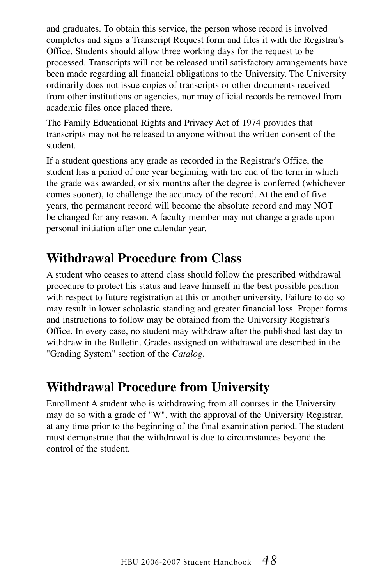and graduates. To obtain this service, the person whose record is involved completes and signs a Transcript Request form and files it with the Registrar's Office. Students should allow three working days for the request to be processed. Transcripts will not be released until satisfactory arrangements have been made regarding all financial obligations to the University. The University ordinarily does not issue copies of transcripts or other documents received from other institutions or agencies, nor may official records be removed from academic files once placed there.

The Family Educational Rights and Privacy Act of 1974 provides that transcripts may not be released to anyone without the written consent of the student.

If a student questions any grade as recorded in the Registrar's Office, the student has a period of one year beginning with the end of the term in which the grade was awarded, or six months after the degree is conferred (whichever comes sooner), to challenge the accuracy of the record. At the end of five years, the permanent record will become the absolute record and may NOT be changed for any reason. A faculty member may not change a grade upon personal initiation after one calendar year.

### **Withdrawal Procedure from Class**

A student who ceases to attend class should follow the prescribed withdrawal procedure to protect his status and leave himself in the best possible position with respect to future registration at this or another university. Failure to do so may result in lower scholastic standing and greater financial loss. Proper forms and instructions to follow may be obtained from the University Registrar's Office. In every case, no student may withdraw after the published last day to withdraw in the Bulletin. Grades assigned on withdrawal are described in the "Grading System" section of the *Catalog*.

### **Withdrawal Procedure from University**

Enrollment A student who is withdrawing from all courses in the University may do so with a grade of "W", with the approval of the University Registrar, at any time prior to the beginning of the final examination period. The student must demonstrate that the withdrawal is due to circumstances beyond the control of the student.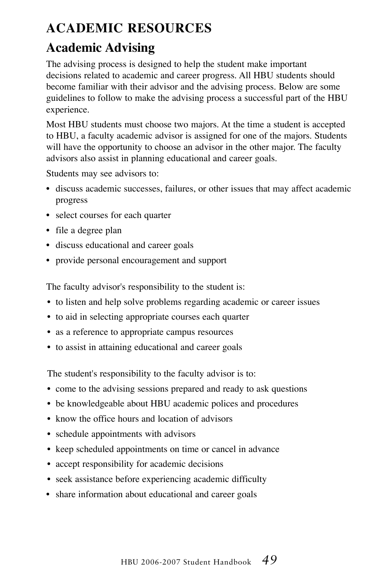### **Academic Resources**

### **Academic Advising**

The advising process is designed to help the student make important decisions related to academic and career progress. All HBU students should become familiar with their advisor and the advising process. Below are some guidelines to follow to make the advising process a successful part of the HBU experience.

Most HBU students must choose two majors. At the time a student is accepted to HBU, a faculty academic advisor is assigned for one of the majors. Students will have the opportunity to choose an advisor in the other major. The faculty advisors also assist in planning educational and career goals.

Students may see advisors to:

- discuss academic successes, failures, or other issues that may affect academic progress
- select courses for each quarter
- file a degree plan
- discuss educational and career goals
- provide personal encouragement and support

The faculty advisor's responsibility to the student is:

- to listen and help solve problems regarding academic or career issues
- to aid in selecting appropriate courses each quarter
- as a reference to appropriate campus resources
- to assist in attaining educational and career goals

The student's responsibility to the faculty advisor is to:

- come to the advising sessions prepared and ready to ask questions
- be knowledgeable about HBU academic polices and procedures
- know the office hours and location of advisors
- schedule appointments with advisors
- keep scheduled appointments on time or cancel in advance
- accept responsibility for academic decisions
- seek assistance before experiencing academic difficulty
- share information about educational and career goals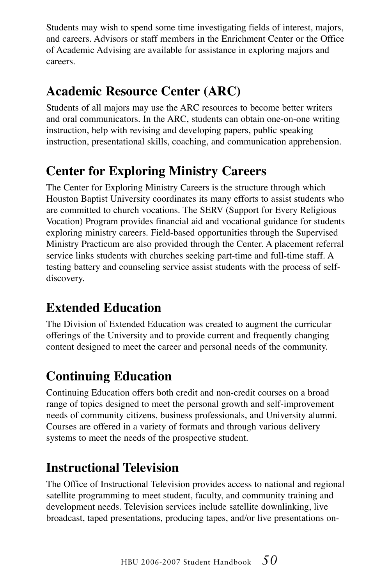Students may wish to spend some time investigating fields of interest, majors, and careers. Advisors or staff members in the Enrichment Center or the Office of Academic Advising are available for assistance in exploring majors and careers.

### **Academic Resource Center (ARC)**

Students of all majors may use the ARC resources to become better writers and oral communicators. In the ARC, students can obtain one-on-one writing instruction, help with revising and developing papers, public speaking instruction, presentational skills, coaching, and communication apprehension.

### **Center for Exploring Ministry Careers**

The Center for Exploring Ministry Careers is the structure through which Houston Baptist University coordinates its many efforts to assist students who are committed to church vocations. The SERV (Support for Every Religious Vocation) Program provides financial aid and vocational guidance for students exploring ministry careers. Field-based opportunities through the Supervised Ministry Practicum are also provided through the Center. A placement referral service links students with churches seeking part-time and full-time staff. A testing battery and counseling service assist students with the process of selfdiscovery.

### **Extended Education**

The Division of Extended Education was created to augment the curricular offerings of the University and to provide current and frequently changing content designed to meet the career and personal needs of the community.

### **Continuing Education**

Continuing Education offers both credit and non-credit courses on a broad range of topics designed to meet the personal growth and self-improvement needs of community citizens, business professionals, and University alumni. Courses are offered in a variety of formats and through various delivery systems to meet the needs of the prospective student.

### **Instructional Television**

The Office of Instructional Television provides access to national and regional satellite programming to meet student, faculty, and community training and development needs. Television services include satellite downlinking, live broadcast, taped presentations, producing tapes, and/or live presentations on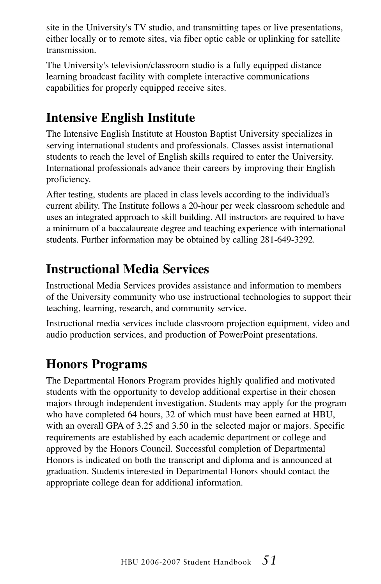site in the University's TV studio, and transmitting tapes or live presentations, either locally or to remote sites, via fiber optic cable or uplinking for satellite transmission.

The University's television/classroom studio is a fully equipped distance learning broadcast facility with complete interactive communications capabilities for properly equipped receive sites.

### **Intensive English Institute**

The Intensive English Institute at Houston Baptist University specializes in serving international students and professionals. Classes assist international students to reach the level of English skills required to enter the University. International professionals advance their careers by improving their English proficiency.

After testing, students are placed in class levels according to the individual's current ability. The Institute follows a 20-hour per week classroom schedule and uses an integrated approach to skill building. All instructors are required to have a minimum of a baccalaureate degree and teaching experience with international students. Further information may be obtained by calling 281-649-3292.

### **Instructional Media Services**

Instructional Media Services provides assistance and information to members of the University community who use instructional technologies to support their teaching, learning, research, and community service.

Instructional media services include classroom projection equipment, video and audio production services, and production of PowerPoint presentations.

### **Honors Programs**

The Departmental Honors Program provides highly qualified and motivated students with the opportunity to develop additional expertise in their chosen majors through independent investigation. Students may apply for the program who have completed 64 hours, 32 of which must have been earned at HBU, with an overall GPA of 3.25 and 3.50 in the selected major or majors. Specific requirements are established by each academic department or college and approved by the Honors Council. Successful completion of Departmental Honors is indicated on both the transcript and diploma and is announced at graduation. Students interested in Departmental Honors should contact the appropriate college dean for additional information.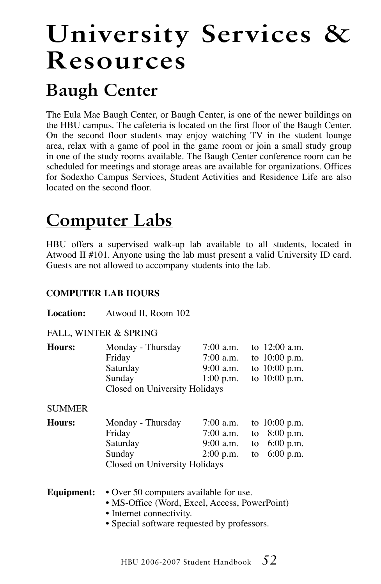# **University Services & Resources**

## **Baugh Center**

The Eula Mae Baugh Center, or Baugh Center, is one of the newer buildings on the HBU campus. The cafeteria is located on the first floor of the Baugh Center. On the second floor students may enjoy watching TV in the student lounge area, relax with a game of pool in the game room or join a small study group in one of the study rooms available. The Baugh Center conference room can be scheduled for meetings and storage areas are available for organizations. Offices for Sodexho Campus Services, Student Activities and Residence Life are also located on the second floor.

## **Computer Labs**

HBU offers a supervised walk-up lab available to all students, located in Atwood II #101. Anyone using the lab must present a valid University ID card. Guests are not allowed to accompany students into the lab.

#### **COMPUTER LAB HOURS**

#### **Location:** Atwood II, Room 102

#### FALL, WINTER & SPRING

| Hours: | Monday - Thursday             | 7:00 a.m.   | to 12:00 a.m.   |
|--------|-------------------------------|-------------|-----------------|
|        | Friday                        | $7:00$ a.m. | to $10:00$ p.m. |
|        | Saturday                      | $9:00$ a.m. | to $10:00$ p.m. |
|        | Sunday                        | $1:00$ p.m. | to $10:00$ p.m. |
|        | Closed on University Holidays |             |                 |

#### **SUMMER**

| Hours: | Monday - Thursday             | 7:00 a.m. to $10:00$ p.m. |  |
|--------|-------------------------------|---------------------------|--|
|        | Friday                        | 7:00 a.m. to $8:00$ p.m.  |  |
|        | Saturday                      | 9:00 a.m. to $6:00$ p.m.  |  |
|        | Sunday                        | 2:00 p.m. to $6:00$ p.m.  |  |
|        | Closed on University Holidays |                           |  |

#### **Equipment:** • Over 50 computers available for use.

- MS-Office (Word, Excel, Access, PowerPoint)
- Internet connectivity.
- Special software requested by professors.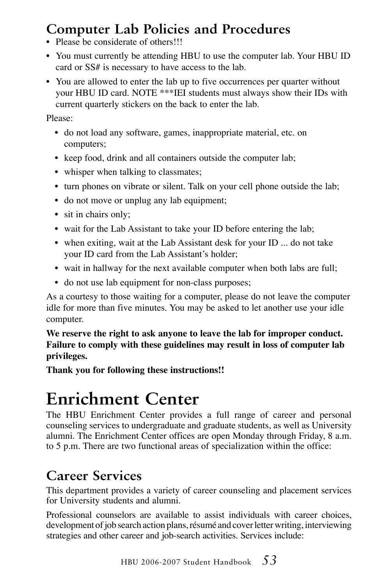### **Computer Lab Policies and Procedures**

- Please be considerate of others!!!
- You must currently be attending HBU to use the computer lab. Your HBU ID card or SS# is necessary to have access to the lab.
- You are allowed to enter the lab up to five occurrences per quarter without your HBU ID card. NOTE \*\*\*IEI students must always show their IDs with current quarterly stickers on the back to enter the lab.

Please:

- do not load any software, games, inappropriate material, etc. on computers;
- keep food, drink and all containers outside the computer lab;
- whisper when talking to classmates;
- turn phones on vibrate or silent. Talk on your cell phone outside the lab;
- do not move or unplug any lab equipment;
- sit in chairs only;
- wait for the Lab Assistant to take your ID before entering the lab;
- when exiting, wait at the Lab Assistant desk for your ID ... do not take your ID card from the Lab Assistant's holder;
- wait in hallway for the next available computer when both labs are full;
- do not use lab equipment for non-class purposes;

As a courtesy to those waiting for a computer, please do not leave the computer idle for more than five minutes. You may be asked to let another use your idle computer.

**We reserve the right to ask anyone to leave the lab for improper conduct. Failure to comply with these guidelines may result in loss of computer lab privileges.**

**Thank you for following these instructions!!**

## **Enrichment Center**

The HBU Enrichment Center provides a full range of career and personal counseling services to undergraduate and graduate students, as well as University alumni. The Enrichment Center offices are open Monday through Friday, 8 a.m. to 5 p.m. There are two functional areas of specialization within the office:

### **Career Services**

This department provides a variety of career counseling and placement services for University students and alumni.

Professional counselors are available to assist individuals with career choices, development of job search action plans, résumé and cover letter writing, interviewing strategies and other career and job-search activities. Services include: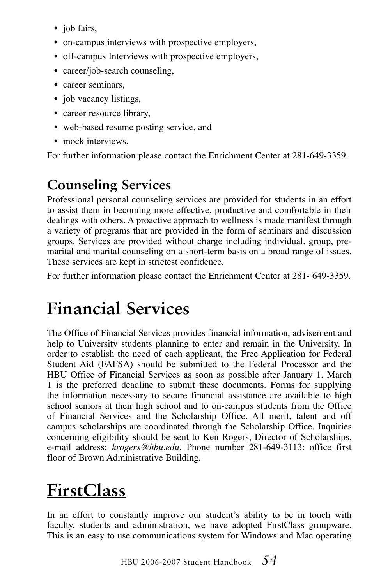- job fairs,
- on-campus interviews with prospective employers,
- off-campus Interviews with prospective employers,
- career/job-search counseling,
- career seminars,
- job vacancy listings,
- career resource library,
- web-based resume posting service, and
- mock interviews

For further information please contact the Enrichment Center at 281-649-3359.

### **Counseling Services**

Professional personal counseling services are provided for students in an effort to assist them in becoming more effective, productive and comfortable in their dealings with others. A proactive approach to wellness is made manifest through a variety of programs that are provided in the form of seminars and discussion groups. Services are provided without charge including individual, group, premarital and marital counseling on a short-term basis on a broad range of issues. These services are kept in strictest confidence.

For further information please contact the Enrichment Center at 281- 649-3359.

## **Financial Services**

The Office of Financial Services provides financial information, advisement and help to University students planning to enter and remain in the University. In order to establish the need of each applicant, the Free Application for Federal Student Aid (FAFSA) should be submitted to the Federal Processor and the HBU Office of Financial Services as soon as possible after January 1. March 1 is the preferred deadline to submit these documents. Forms for supplying the information necessary to secure financial assistance are available to high school seniors at their high school and to on-campus students from the Office of Financial Services and the Scholarship Office. All merit, talent and off campus scholarships are coordinated through the Scholarship Office. Inquiries concerning eligibility should be sent to Ken Rogers, Director of Scholarships, e-mail address: *krogers@hbu.edu*. Phone number 281-649-3113: office first floor of Brown Administrative Building.

## **FirstClass**

In an effort to constantly improve our student's ability to be in touch with faculty, students and administration, we have adopted FirstClass groupware. This is an easy to use communications system for Windows and Mac operating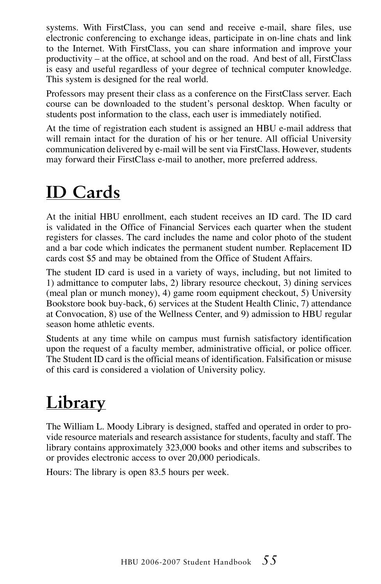systems. With FirstClass, you can send and receive e-mail, share files, use electronic conferencing to exchange ideas, participate in on-line chats and link to the Internet. With FirstClass, you can share information and improve your productivity – at the office, at school and on the road. And best of all, FirstClass is easy and useful regardless of your degree of technical computer knowledge. This system is designed for the real world.

Professors may present their class as a conference on the FirstClass server. Each course can be downloaded to the student's personal desktop. When faculty or students post information to the class, each user is immediately notified.

At the time of registration each student is assigned an HBU e-mail address that will remain intact for the duration of his or her tenure. All official University communication delivered by e-mail will be sent via FirstClass. However, students may forward their FirstClass e-mail to another, more preferred address.

## **ID Cards**

At the initial HBU enrollment, each student receives an ID card. The ID card is validated in the Office of Financial Services each quarter when the student registers for classes. The card includes the name and color photo of the student and a bar code which indicates the permanent student number. Replacement ID cards cost \$5 and may be obtained from the Office of Student Affairs.

The student ID card is used in a variety of ways, including, but not limited to 1) admittance to computer labs, 2) library resource checkout, 3) dining services (meal plan or munch money), 4) game room equipment checkout, 5) University Bookstore book buy-back, 6) services at the Student Health Clinic, 7) attendance at Convocation, 8) use of the Wellness Center, and 9) admission to HBU regular season home athletic events.

Students at any time while on campus must furnish satisfactory identification upon the request of a faculty member, administrative official, or police officer. The Student ID card is the official means of identification. Falsification or misuse of this card is considered a violation of University policy.

## **Library**

The William L. Moody Library is designed, staffed and operated in order to provide resource materials and research assistance for students, faculty and staff. The library contains approximately 323,000 books and other items and subscribes to or provides electronic access to over 20,000 periodicals.

Hours: The library is open 83.5 hours per week.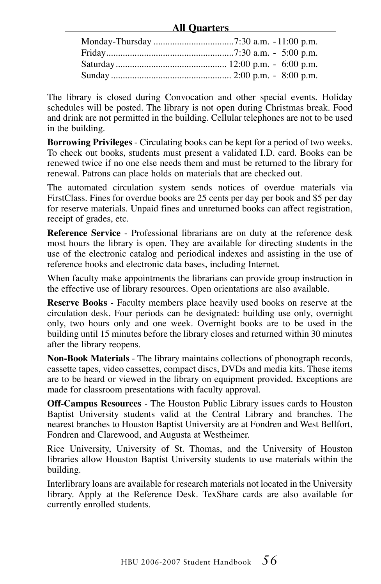#### **All Quarters**

The library is closed during Convocation and other special events. Holiday schedules will be posted. The library is not open during Christmas break. Food and drink are not permitted in the building. Cellular telephones are not to be used in the building.

**Borrowing Privileges** - Circulating books can be kept for a period of two weeks. To check out books, students must present a validated I.D. card. Books can be renewed twice if no one else needs them and must be returned to the library for renewal. Patrons can place holds on materials that are checked out.

The automated circulation system sends notices of overdue materials via FirstClass. Fines for overdue books are 25 cents per day per book and \$5 per day for reserve materials. Unpaid fines and unreturned books can affect registration, receipt of grades, etc.

**Reference Service** - Professional librarians are on duty at the reference desk most hours the library is open. They are available for directing students in the use of the electronic catalog and periodical indexes and assisting in the use of reference books and electronic data bases, including Internet.

When faculty make appointments the librarians can provide group instruction in the effective use of library resources. Open orientations are also available.

**Reserve Books** - Faculty members place heavily used books on reserve at the circulation desk. Four periods can be designated: building use only, overnight only, two hours only and one week. Overnight books are to be used in the building until 15 minutes before the library closes and returned within 30 minutes after the library reopens.

**Non-Book Materials** - The library maintains collections of phonograph records, cassette tapes, video cassettes, compact discs, DVDs and media kits. These items are to be heard or viewed in the library on equipment provided. Exceptions are made for classroom presentations with faculty approval.

**Off-Campus Resources** - The Houston Public Library issues cards to Houston Baptist University students valid at the Central Library and branches. The nearest branches to Houston Baptist University are at Fondren and West Bellfort, Fondren and Clarewood, and Augusta at Westheimer.

Rice University, University of St. Thomas, and the University of Houston libraries allow Houston Baptist University students to use materials within the building.

Interlibrary loans are available for research materials not located in the University library. Apply at the Reference Desk. TexShare cards are also available for currently enrolled students.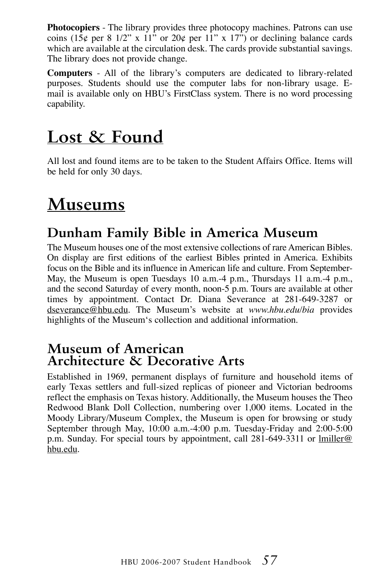**Photocopiers** - The library provides three photocopy machines. Patrons can use coins ( $15¢$  per 8  $1/2"$  x  $11"$  or  $20¢$  per  $11"$  x  $17"$ ) or declining balance cards which are available at the circulation desk. The cards provide substantial savings. The library does not provide change.

**Computers** - All of the library's computers are dedicated to library-related purposes. Students should use the computer labs for non-library usage. Email is available only on HBU's FirstClass system. There is no word processing capability.

## **Lost & Found**

All lost and found items are to be taken to the Student Affairs Office. Items will be held for only 30 days.

## **Museums**

### **Dunham Family Bible in America Museum**

The Museum houses one of the most extensive collections of rare American Bibles. On display are first editions of the earliest Bibles printed in America. Exhibits focus on the Bible and its influence in American life and culture. From September-May, the Museum is open Tuesdays 10 a.m.-4 p.m., Thursdays 11 a.m.-4 p.m., and the second Saturday of every month, noon-5 p.m. Tours are available at other times by appointment. Contact Dr. Diana Severance at 281-649-3287 or dseverance@hbu.edu. The Museum's website at *www.hbu.edu/bia* provides highlights of the Museum's collection and additional information.

#### **Museum of American Architecture & Decorative Arts**

Established in 1969, permanent displays of furniture and household items of early Texas settlers and full-sized replicas of pioneer and Victorian bedrooms reflect the emphasis on Texas history. Additionally, the Museum houses the Theo Redwood Blank Doll Collection, numbering over 1,000 items. Located in the Moody Library/Museum Complex, the Museum is open for browsing or study September through May, 10:00 a.m.-4:00 p.m. Tuesday-Friday and 2:00-5:00 p.m. Sunday. For special tours by appointment, call 281-649-3311 or lmiller@ hbu.edu.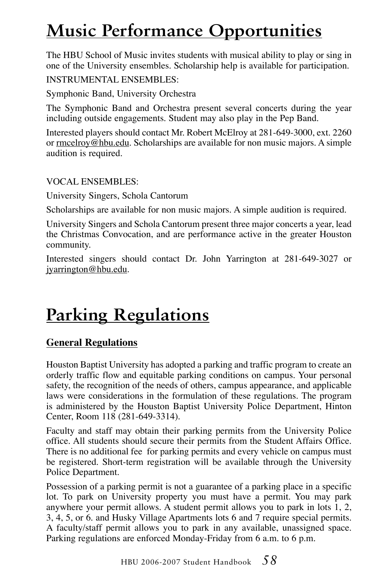## **Music Performance Opportunities**

The HBU School of Music invites students with musical ability to play or sing in one of the University ensembles. Scholarship help is available for participation.

INSTRUMENTAL ENSEMBLES:

Symphonic Band, University Orchestra

The Symphonic Band and Orchestra present several concerts during the year including outside engagements. Student may also play in the Pep Band.

Interested players should contact Mr. Robert McElroy at 281-649-3000, ext. 2260 or rmcelroy@hbu.edu. Scholarships are available for non music majors. A simple audition is required.

VOCAL ENSEMBLES:

University Singers, Schola Cantorum

Scholarships are available for non music majors. A simple audition is required.

University Singers and Schola Cantorum present three major concerts a year, lead the Christmas Convocation, and are performance active in the greater Houston community.

Interested singers should contact Dr. John Yarrington at 281-649-3027 or jyarrington@hbu.edu.

## **Parking Regulations**

#### **General Regulations**

Houston Baptist University has adopted a parking and traffic program to create an orderly traffic flow and equitable parking conditions on campus. Your personal safety, the recognition of the needs of others, campus appearance, and applicable laws were considerations in the formulation of these regulations. The program is administered by the Houston Baptist University Police Department, Hinton Center, Room 118 (281-649-3314).

Faculty and staff may obtain their parking permits from the University Police office. All students should secure their permits from the Student Affairs Office. There is no additional fee for parking permits and every vehicle on campus must be registered. Short-term registration will be available through the University Police Department.

Possession of a parking permit is not a guarantee of a parking place in a specific lot. To park on University property you must have a permit. You may park anywhere your permit allows. A student permit allows you to park in lots 1, 2, 3, 4, 5, or 6. and Husky Village Apartments lots 6 and 7 require special permits. A faculty/staff permit allows you to park in any available, unassigned space. Parking regulations are enforced Monday-Friday from 6 a.m. to 6 p.m.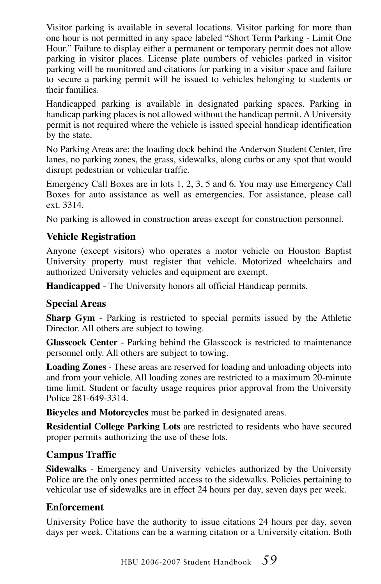Visitor parking is available in several locations. Visitor parking for more than one hour is not permitted in any space labeled "Short Term Parking - Limit One Hour." Failure to display either a permanent or temporary permit does not allow parking in visitor places. License plate numbers of vehicles parked in visitor parking will be monitored and citations for parking in a visitor space and failure to secure a parking permit will be issued to vehicles belonging to students or their families.

Handicapped parking is available in designated parking spaces. Parking in handicap parking places is not allowed without the handicap permit. A University permit is not required where the vehicle is issued special handicap identification by the state.

No Parking Areas are: the loading dock behind the Anderson Student Center, fire lanes, no parking zones, the grass, sidewalks, along curbs or any spot that would disrupt pedestrian or vehicular traffic.

Emergency Call Boxes are in lots 1, 2, 3, 5 and 6. You may use Emergency Call Boxes for auto assistance as well as emergencies. For assistance, please call ext. 3314.

No parking is allowed in construction areas except for construction personnel.

#### **Vehicle Registration**

Anyone (except visitors) who operates a motor vehicle on Houston Baptist University property must register that vehicle. Motorized wheelchairs and authorized University vehicles and equipment are exempt.

**Handicapped** - The University honors all official Handicap permits.

#### **Special Areas**

**Sharp Gym** - Parking is restricted to special permits issued by the Athletic Director. All others are subject to towing.

**Glasscock Center** - Parking behind the Glasscock is restricted to maintenance personnel only. All others are subject to towing.

**Loading Zones** - These areas are reserved for loading and unloading objects into and from your vehicle. All loading zones are restricted to a maximum 20-minute time limit. Student or faculty usage requires prior approval from the University Police 281-649-3314.

**Bicycles and Motorcycles** must be parked in designated areas.

**Residential College Parking Lots** are restricted to residents who have secured proper permits authorizing the use of these lots.

#### **Campus Traffic**

**Sidewalks** - Emergency and University vehicles authorized by the University Police are the only ones permitted access to the sidewalks. Policies pertaining to vehicular use of sidewalks are in effect 24 hours per day, seven days per week.

#### **Enforcement**

University Police have the authority to issue citations 24 hours per day, seven days per week. Citations can be a warning citation or a University citation. Both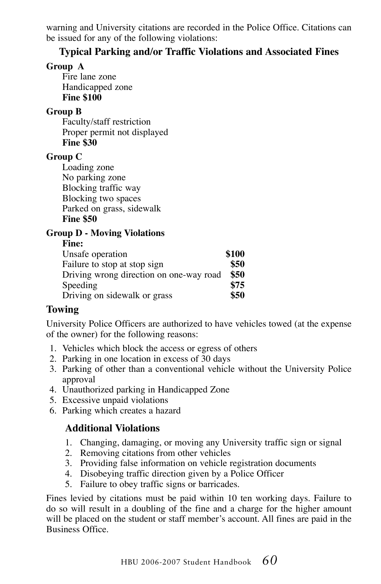warning and University citations are recorded in the Police Office. Citations can be issued for any of the following violations:

#### **Typical Parking and/or Traffic Violations and Associated Fines**

#### **Group A**

Fire lane zone Handicapped zone **Fine \$100**

#### **Group B**

Faculty/staff restriction Proper permit not displayed **Fine \$30**

#### **Group C**

Loading zone No parking zone Blocking traffic way Blocking two spaces Parked on grass, sidewalk **Fine \$50**

#### **Group D - Moving Violations**

#### **Fine:**

| Unsafe operation                        | \$100 |
|-----------------------------------------|-------|
| Failure to stop at stop sign            | \$50  |
| Driving wrong direction on one-way road | \$50  |
| Speeding                                | \$75  |
| Driving on sidewalk or grass            | \$50  |

#### **Towing**

University Police Officers are authorized to have vehicles towed (at the expense of the owner) for the following reasons:

- 1. Vehicles which block the access or egress of others
- 2. Parking in one location in excess of 30 days
- 3. Parking of other than a conventional vehicle without the University Police approval
- 4. Unauthorized parking in Handicapped Zone
- 5. Excessive unpaid violations
- 6. Parking which creates a hazard

#### **Additional Violations**

- 1. Changing, damaging, or moving any University traffic sign or signal
- 2. Removing citations from other vehicles
- 3. Providing false information on vehicle registration documents
- 4. Disobeying traffic direction given by a Police Officer
- 5. Failure to obey traffic signs or barricades.

Fines levied by citations must be paid within 10 ten working days. Failure to do so will result in a doubling of the fine and a charge for the higher amount will be placed on the student or staff member's account. All fines are paid in the Business Office.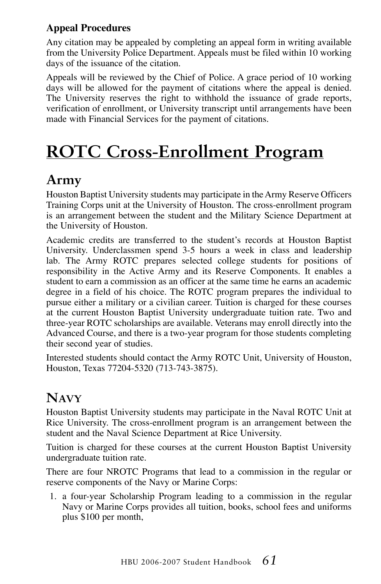#### **Appeal Procedures**

Any citation may be appealed by completing an appeal form in writing available from the University Police Department. Appeals must be filed within 10 working days of the issuance of the citation.

Appeals will be reviewed by the Chief of Police. A grace period of 10 working days will be allowed for the payment of citations where the appeal is denied. The University reserves the right to withhold the issuance of grade reports, verification of enrollment, or University transcript until arrangements have been made with Financial Services for the payment of citations.

## **ROTC Cross-Enrollment Program**

### **Army**

Houston Baptist University students may participate in the Army Reserve Officers Training Corps unit at the University of Houston. The cross-enrollment program is an arrangement between the student and the Military Science Department at the University of Houston.

Academic credits are transferred to the student's records at Houston Baptist University. Underclassmen spend 3-5 hours a week in class and leadership lab. The Army ROTC prepares selected college students for positions of responsibility in the Active Army and its Reserve Components. It enables a student to earn a commission as an officer at the same time he earns an academic degree in a field of his choice. The ROTC program prepares the individual to pursue either a military or a civilian career. Tuition is charged for these courses at the current Houston Baptist University undergraduate tuition rate. Two and three-year ROTC scholarships are available. Veterans may enroll directly into the Advanced Course, and there is a two-year program for those students completing their second year of studies.

Interested students should contact the Army ROTC Unit, University of Houston, Houston, Texas 77204-5320 (713-743-3875).

### **Navy**

Houston Baptist University students may participate in the Naval ROTC Unit at Rice University. The cross-enrollment program is an arrangement between the student and the Naval Science Department at Rice University.

Tuition is charged for these courses at the current Houston Baptist University undergraduate tuition rate.

There are four NROTC Programs that lead to a commission in the regular or reserve components of the Navy or Marine Corps:

1. a four-year Scholarship Program leading to a commission in the regular Navy or Marine Corps provides all tuition, books, school fees and uniforms plus \$100 per month,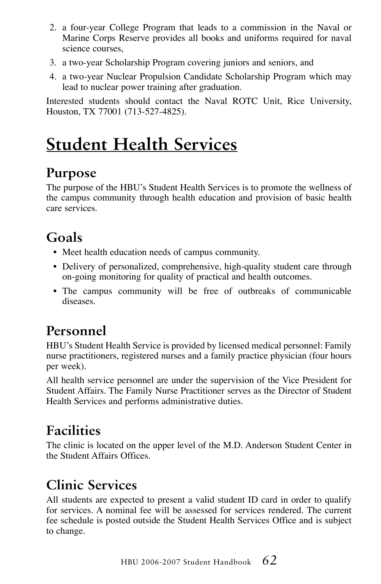- 2. a four-year College Program that leads to a commission in the Naval or Marine Corps Reserve provides all books and uniforms required for naval science courses,
- 3. a two-year Scholarship Program covering juniors and seniors, and
- 4. a two-year Nuclear Propulsion Candidate Scholarship Program which may lead to nuclear power training after graduation.

Interested students should contact the Naval ROTC Unit, Rice University, Houston, TX 77001 (713-527-4825).

## **Student Health Services**

### **Purpose**

The purpose of the HBU's Student Health Services is to promote the wellness of the campus community through health education and provision of basic health care services.

### **Goals**

- Meet health education needs of campus community.
- Delivery of personalized, comprehensive, high-quality student care through on-going monitoring for quality of practical and health outcomes.
- The campus community will be free of outbreaks of communicable diseases.

### **Personnel**

HBU's Student Health Service is provided by licensed medical personnel: Family nurse practitioners, registered nurses and a family practice physician (four hours per week).

All health service personnel are under the supervision of the Vice President for Student Affairs. The Family Nurse Practitioner serves as the Director of Student Health Services and performs administrative duties.

### **Facilities**

The clinic is located on the upper level of the M.D. Anderson Student Center in the Student Affairs Offices.

### **Clinic Services**

All students are expected to present a valid student ID card in order to qualify for services. A nominal fee will be assessed for services rendered. The current fee schedule is posted outside the Student Health Services Office and is subject to change.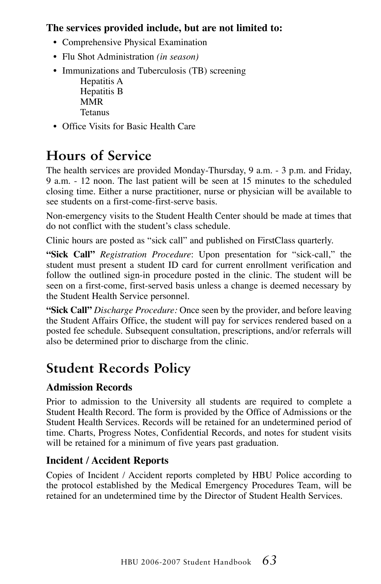#### **The services provided include, but are not limited to:**

- Comprehensive Physical Examination
- Flu Shot Administration *(in season)*
- Immunizations and Tuberculosis (TB) screening
	- Hepatitis A Hepatitis B MMR Tetanus
- Office Visits for Basic Health Care

### **Hours of Service**

The health services are provided Monday-Thursday, 9 a.m. - 3 p.m. and Friday, 9 a.m. - 12 noon. The last patient will be seen at 15 minutes to the scheduled closing time. Either a nurse practitioner, nurse or physician will be available to see students on a first-come-first-serve basis.

Non-emergency visits to the Student Health Center should be made at times that do not conflict with the student's class schedule.

Clinic hours are posted as "sick call" and published on FirstClass quarterly.

**"Sick Call"** *Registration Procedure*: Upon presentation for "sick-call," the student must present a student ID card for current enrollment verification and follow the outlined sign-in procedure posted in the clinic. The student will be seen on a first-come, first-served basis unless a change is deemed necessary by the Student Health Service personnel.

**"Sick Call"** *Discharge Procedure:* Once seen by the provider, and before leaving the Student Affairs Office, the student will pay for services rendered based on a posted fee schedule. Subsequent consultation, prescriptions, and/or referrals will also be determined prior to discharge from the clinic.

### **Student Records Policy**

#### **Admission Records**

Prior to admission to the University all students are required to complete a Student Health Record. The form is provided by the Office of Admissions or the Student Health Services. Records will be retained for an undetermined period of time. Charts, Progress Notes, Confidential Records, and notes for student visits will be retained for a minimum of five years past graduation.

#### **Incident / Accident Reports**

Copies of Incident / Accident reports completed by HBU Police according to the protocol established by the Medical Emergency Procedures Team, will be retained for an undetermined time by the Director of Student Health Services.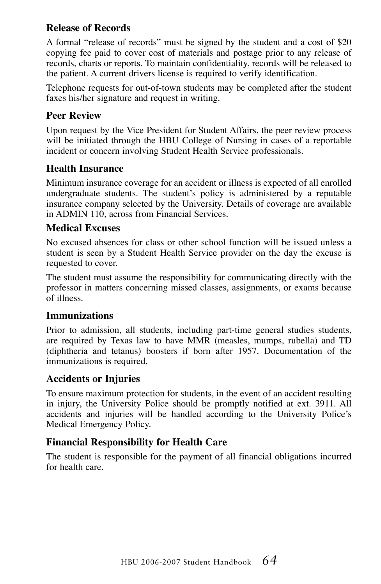#### **Release of Records**

A formal "release of records" must be signed by the student and a cost of \$20 copying fee paid to cover cost of materials and postage prior to any release of records, charts or reports. To maintain confidentiality, records will be released to the patient. A current drivers license is required to verify identification.

Telephone requests for out-of-town students may be completed after the student faxes his/her signature and request in writing.

#### **Peer Review**

Upon request by the Vice President for Student Affairs, the peer review process will be initiated through the HBU College of Nursing in cases of a reportable incident or concern involving Student Health Service professionals.

#### **Health Insurance**

Minimum insurance coverage for an accident or illness is expected of all enrolled undergraduate students. The student's policy is administered by a reputable insurance company selected by the University. Details of coverage are available in ADMIN 110, across from Financial Services.

#### **Medical Excuses**

No excused absences for class or other school function will be issued unless a student is seen by a Student Health Service provider on the day the excuse is requested to cover.

The student must assume the responsibility for communicating directly with the professor in matters concerning missed classes, assignments, or exams because of illness.

#### **Immunizations**

Prior to admission, all students, including part-time general studies students, are required by Texas law to have MMR (measles, mumps, rubella) and TD (diphtheria and tetanus) boosters if born after 1957. Documentation of the immunizations is required.

#### **Accidents or Injuries**

To ensure maximum protection for students, in the event of an accident resulting in injury, the University Police should be promptly notified at ext. 3911. All accidents and injuries will be handled according to the University Police's Medical Emergency Policy.

#### **Financial Responsibility for Health Care**

The student is responsible for the payment of all financial obligations incurred for health care.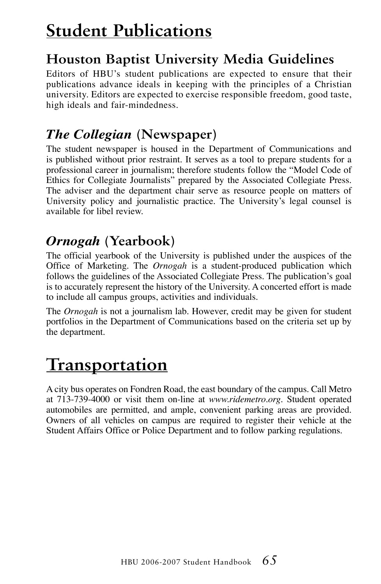## **Student Publications**

### **Houston Baptist University Media Guidelines**

Editors of HBU's student publications are expected to ensure that their publications advance ideals in keeping with the principles of a Christian university. Editors are expected to exercise responsible freedom, good taste, high ideals and fair-mindedness.

### *The Collegian* **(Newspaper)**

The student newspaper is housed in the Department of Communications and is published without prior restraint. It serves as a tool to prepare students for a professional career in journalism; therefore students follow the "Model Code of Ethics for Collegiate Journalists" prepared by the Associated Collegiate Press. The adviser and the department chair serve as resource people on matters of University policy and journalistic practice. The University's legal counsel is available for libel review.

### *Ornogah* **(Yearbook)**

The official yearbook of the University is published under the auspices of the Office of Marketing. The *Ornogah* is a student-produced publication which follows the guidelines of the Associated Collegiate Press. The publication's goal is to accurately represent the history of the University. A concerted effort is made to include all campus groups, activities and individuals.

The *Ornogah* is not a journalism lab. However, credit may be given for student portfolios in the Department of Communications based on the criteria set up by the department.

## **Transportation**

A city bus operates on Fondren Road, the east boundary of the campus. Call Metro at 713-739-4000 or visit them on-line at *www.ridemetro.org*. Student operated automobiles are permitted, and ample, convenient parking areas are provided. Owners of all vehicles on campus are required to register their vehicle at the Student Affairs Office or Police Department and to follow parking regulations.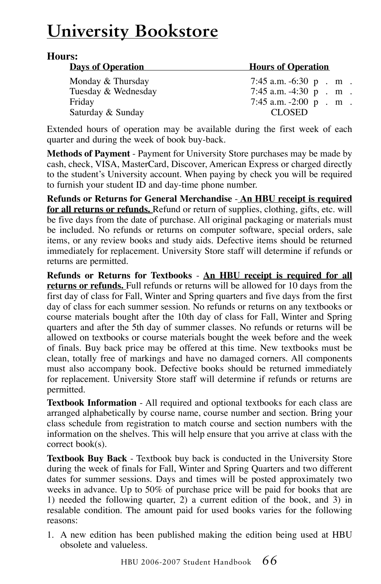## **University Bookstore**

#### **Hours:**

| <b>Days of Operation</b> | <b>Hours of Operation</b>   |
|--------------------------|-----------------------------|
| Monday & Thursday        | 7:45 a.m. $-6:30$ p . m .   |
| Tuesday & Wednesday      | $7:45$ a.m. $-4:30$ p . m . |
| Friday                   | $7:45$ a.m. $-2:00$ p . m . |
| Saturday & Sunday        | <b>CLOSED</b>               |

Extended hours of operation may be available during the first week of each quarter and during the week of book buy-back.

**Methods of Payment** - Payment for University Store purchases may be made by cash, check, VISA, MasterCard, Discover, American Express or charged directly to the student's University account. When paying by check you will be required to furnish your student ID and day-time phone number.

**Refunds or Returns for General Merchandise** - **An HBU receipt is required for all returns or refunds.** Refund or return of supplies, clothing, gifts, etc. will be five days from the date of purchase. All original packaging or materials must be included. No refunds or returns on computer software, special orders, sale items, or any review books and study aids. Defective items should be returned immediately for replacement. University Store staff will determine if refunds or returns are permitted.

**Refunds or Returns for Textbooks** - **An HBU receipt is required for all returns or refunds.** Full refunds or returns will be allowed for 10 days from the first day of class for Fall, Winter and Spring quarters and five days from the first day of class for each summer session. No refunds or returns on any textbooks or course materials bought after the 10th day of class for Fall, Winter and Spring quarters and after the 5th day of summer classes. No refunds or returns will be allowed on textbooks or course materials bought the week before and the week of finals. Buy back price may be offered at this time. New textbooks must be clean, totally free of markings and have no damaged corners. All components must also accompany book. Defective books should be returned immediately for replacement. University Store staff will determine if refunds or returns are permitted.

**Textbook Information** - All required and optional textbooks for each class are arranged alphabetically by course name, course number and section. Bring your class schedule from registration to match course and section numbers with the information on the shelves. This will help ensure that you arrive at class with the correct book(s).

**Textbook Buy Back** - Textbook buy back is conducted in the University Store during the week of finals for Fall, Winter and Spring Quarters and two different dates for summer sessions. Days and times will be posted approximately two weeks in advance. Up to 50% of purchase price will be paid for books that are 1) needed the following quarter, 2) a current edition of the book, and 3) in resalable condition. The amount paid for used books varies for the following reasons:

1. A new edition has been published making the edition being used at HBU obsolete and valueless.

HBU 2006-2007 Student Handbook *66*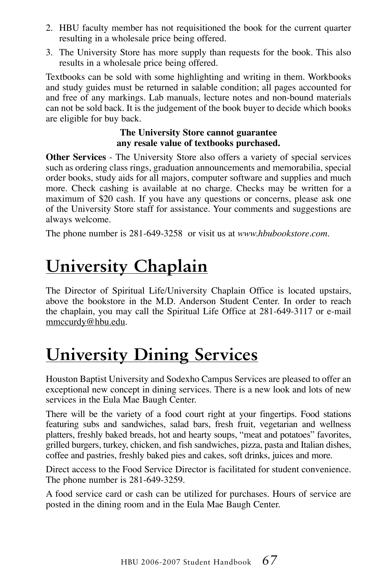- 2. HBU faculty member has not requisitioned the book for the current quarter resulting in a wholesale price being offered.
- 3. The University Store has more supply than requests for the book. This also results in a wholesale price being offered.

Textbooks can be sold with some highlighting and writing in them. Workbooks and study guides must be returned in salable condition; all pages accounted for and free of any markings. Lab manuals, lecture notes and non-bound materials can not be sold back. It is the judgement of the book buyer to decide which books are eligible for buy back.

#### **The University Store cannot guarantee any resale value of textbooks purchased.**

**Other Services** - The University Store also offers a variety of special services such as ordering class rings, graduation announcements and memorabilia, special order books, study aids for all majors, computer software and supplies and much more. Check cashing is available at no charge. Checks may be written for a maximum of \$20 cash. If you have any questions or concerns, please ask one of the University Store staff for assistance. Your comments and suggestions are always welcome.

The phone number is 281-649-3258 or visit us at *www.hbubookstore.com*.

## **University Chaplain**

The Director of Spiritual Life/University Chaplain Office is located upstairs, above the bookstore in the M.D. Anderson Student Center. In order to reach the chaplain, you may call the Spiritual Life Office at 281-649-3117 or e-mail mmccurdy@hbu.edu.

## **University Dining Services**

Houston Baptist University and Sodexho Campus Services are pleased to offer an exceptional new concept in dining services. There is a new look and lots of new services in the Eula Mae Baugh Center.

There will be the variety of a food court right at your fingertips. Food stations featuring subs and sandwiches, salad bars, fresh fruit, vegetarian and wellness platters, freshly baked breads, hot and hearty soups, "meat and potatoes" favorites, grilled burgers, turkey, chicken, and fish sandwiches, pizza, pasta and Italian dishes, coffee and pastries, freshly baked pies and cakes, soft drinks, juices and more.

Direct access to the Food Service Director is facilitated for student convenience. The phone number is 281-649-3259.

A food service card or cash can be utilized for purchases. Hours of service are posted in the dining room and in the Eula Mae Baugh Center.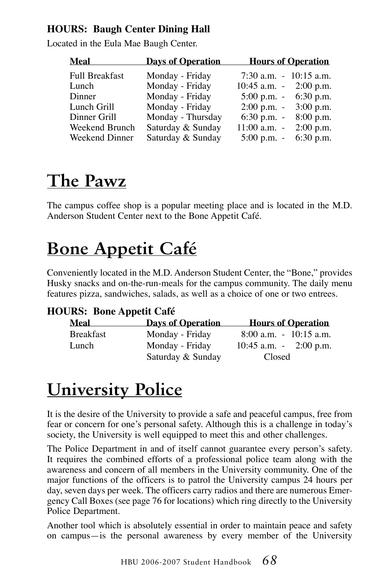#### **HOURS: Baugh Center Dining Hall**

Located in the Eula Mae Baugh Center.

| Meal                  | <b>Days of Operation</b> | <b>Hours of Operation</b>               |
|-----------------------|--------------------------|-----------------------------------------|
| <b>Full Breakfast</b> | Monday - Friday          | $7:30$ a.m. $-10:15$ a.m.               |
| Lunch                 | Monday - Friday          | 10:45 a.m. $-$ 2:00 p.m.                |
| Dinner                | Monday - Friday          | 5:00 p.m. $-6:30$ p.m.                  |
| Lunch Grill           | Monday - Friday          | $2:00 \text{ p.m.} - 3:00 \text{ p.m.}$ |
| Dinner Grill          | Monday - Thursday        | 6:30 p.m. $-8:00$ p.m.                  |
| Weekend Brunch        | Saturday & Sunday        | $11:00$ a.m. $-2:00$ p.m.               |
| Weekend Dinner        | Saturday & Sunday        | $5:00$ p.m. $-6:30$ p.m.                |

## **The Pawz**

The campus coffee shop is a popular meeting place and is located in the M.D. Anderson Student Center next to the Bone Appetit Café.

## **Bone Appetit Café**

Conveniently located in the M.D. Anderson Student Center, the "Bone," provides Husky snacks and on-the-run-meals for the campus community. The daily menu features pizza, sandwiches, salads, as well as a choice of one or two entrees.

#### **HOURS: Bone Appetit Café**

| Meal             | <b>Days of Operation</b> | <b>Hours of Operation</b> |
|------------------|--------------------------|---------------------------|
| <b>Breakfast</b> | Monday - Friday          | $8:00$ a.m. $-10:15$ a.m. |
| Lunch            | Monday - Friday          | 10:45 a.m. $-$ 2:00 p.m.  |
|                  | Saturday & Sunday        | Closed                    |

## **University Police**

It is the desire of the University to provide a safe and peaceful campus, free from fear or concern for one's personal safety. Although this is a challenge in today's society, the University is well equipped to meet this and other challenges.

The Police Department in and of itself cannot guarantee every person's safety. It requires the combined efforts of a professional police team along with the awareness and concern of all members in the University community. One of the major functions of the officers is to patrol the University campus 24 hours per day, seven days per week. The officers carry radios and there are numerous Emergency Call Boxes (see page 76 for locations) which ring directly to the University Police Department.

Another tool which is absolutely essential in order to maintain peace and safety on campus—is the personal awareness by every member of the University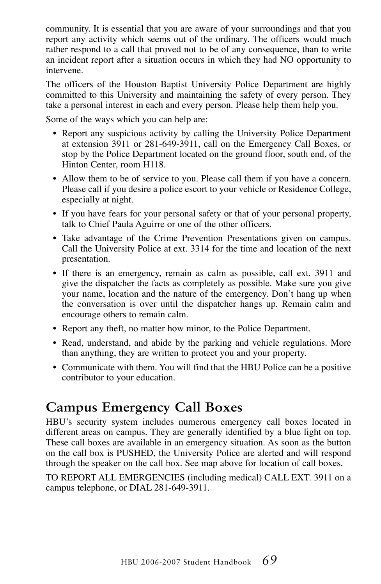community. It is essential that you are aware of your surroundings and that you report any activity which seems out of the ordinary. The officers would much rather respond to a call that proved not to be of any consequence, than to write an incident report after a situation occurs in which they had NO opportunity to intervene.

The officers of the Houston Baptist University Police Department are highly committed to this University and maintaining the safety of every person. They take a personal interest in each and every person. Please help them help you.

Some of the ways which you can help are:

- Report any suspicious activity by calling the University Police Department at extension 3911 or 281-649-3911, call on the Emergency Call Boxes, or stop by the Police Department located on the ground floor, south end, of the Hinton Center, room H118.
- Allow them to be of service to you. Please call them if you have a concern. Please call if you desire a police escort to your vehicle or Residence College, especially at night.
- If you have fears for your personal safety or that of your personal property, talk to Chief Paula Aguirre or one of the other officers.
- Take advantage of the Crime Prevention Presentations given on campus. Call the University Police at ext. 3314 for the time and location of the next presentation.
- If there is an emergency, remain as calm as possible, call ext. 3911 and give the dispatcher the facts as completely as possible. Make sure you give your name, location and the nature of the emergency. Don't hang up when the conversation is over until the dispatcher hangs up. Remain calm and encourage others to remain calm.
- Report any theft, no matter how minor, to the Police Department.
- Read, understand, and abide by the parking and vehicle regulations. More than anything, they are written to protect you and your property.
- Communicate with them. You will find that the HBU Police can be a positive contributor to your education.

### **Campus Emergency Call Boxes**

HBU's security system includes numerous emergency call boxes located in different areas on campus. They are generally identified by a blue light on top. These call boxes are available in an emergency situation. As soon as the button on the call box is PUSHED, the University Police are alerted and will respond through the speaker on the call box. See map above for location of call boxes.

TO REPORT ALL EMERGENCIES (including medical) CALL EXT. 3911 on a campus telephone, or DIAL 281-649-3911.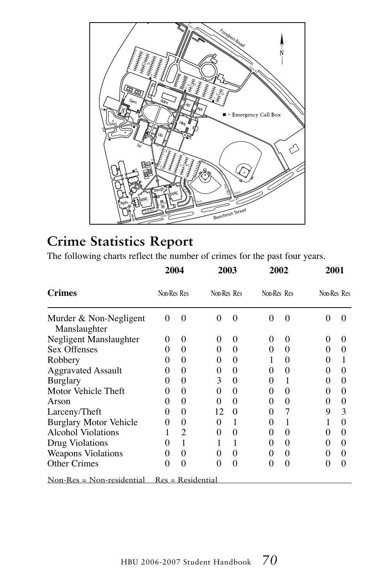

### **Crime Statistics Report**

The following charts reflect the number of crimes for the past four years.

|                                             | 2004<br>Non-Res Res |          | 2003<br>Non-Res Res |          | 2002<br>Non-Res Res |          | 2001<br>Non-Res Res |          |
|---------------------------------------------|---------------------|----------|---------------------|----------|---------------------|----------|---------------------|----------|
| <b>Crimes</b>                               |                     |          |                     |          |                     |          |                     |          |
| Murder & Non-Negligent<br>Manslaughter      | 0                   | $\Omega$ | 0                   | 0        | $\theta$            | 0        | $\mathbf{0}$        | 0        |
| Negligent Manslaughter                      | 0                   | 0        | $\theta$            | 0        | $^{(1)}$            | 0        | $^{(1)}$            | $\theta$ |
| Sex Offenses                                | 0                   | 0        | 0                   | $\theta$ | 0                   | 0        | $\theta$            | 0        |
| Robbery                                     | $\theta$            | 0        | 0                   | $\theta$ |                     | 0        | $\theta$            |          |
| <b>Aggravated Assault</b>                   | 0                   | 0        | 0                   | 0        | $\mathbf{0}$        | 0        | $\theta$            | 0        |
| Burglary                                    | 0                   | 0        | 3                   | 0        | $\theta$            | 1        | $\theta$            | 0        |
| Motor Vehicle Theft                         | 0                   | 0        | 0                   | 0        | $_{0}$              | 0        | $\theta$            | 0        |
| Arson                                       | 0                   | 0        | 0                   | $\theta$ | $\mathbf{\Omega}$   | 0        | $\mathbf{0}$        | 0        |
| Larceny/Theft                               | 0                   | 0        | 12                  | $\theta$ | $\mathbf{\Omega}$   | 7        | 9                   | 3        |
| <b>Burglary Motor Vehicle</b>               | 0                   | 0        | 0                   | 1        | $\theta$            | 1        |                     | 0        |
| Alcohol Violations                          |                     | 2        | 0                   | $\theta$ | $\mathbf{0}$        | $\Omega$ | $\mathbf{0}$        | 0        |
| Drug Violations                             | $\mathbf{\Omega}$   |          |                     | 1        | $\mathbf{\Omega}$   | 0        | $\mathbf{0}$        | 0        |
| <b>Weapons Violations</b>                   | 0                   | 0        | 0                   | $\theta$ | 0                   | $\theta$ | 0                   | $\theta$ |
| <b>Other Crimes</b>                         | 0                   | 0        | 0                   | $\theta$ | $\mathbf{\Omega}$   | 0        | 0                   | 0        |
| $Non-Res = Non-residental Res = Residental$ |                     |          |                     |          |                     |          |                     |          |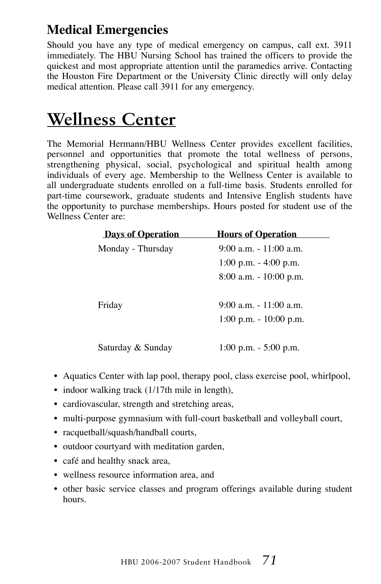### **Medical Emergencies**

Should you have any type of medical emergency on campus, call ext. 3911 immediately. The HBU Nursing School has trained the officers to provide the quickest and most appropriate attention until the paramedics arrive. Contacting the Houston Fire Department or the University Clinic directly will only delay medical attention. Please call 3911 for any emergency.

## **Wellness Center**

The Memorial Hermann/HBU Wellness Center provides excellent facilities, personnel and opportunities that promote the total wellness of persons, strengthening physical, social, psychological and spiritual health among individuals of every age. Membership to the Wellness Center is available to all undergraduate students enrolled on a full-time basis. Students enrolled for part-time coursework, graduate students and Intensive English students have the opportunity to purchase memberships. Hours posted for student use of the Wellness Center are:

| <b>Days of Operation</b> | <b>Hours of Operation</b> |
|--------------------------|---------------------------|
| Monday - Thursday        | 9:00 a.m. - 11:00 a.m.    |
|                          | 1:00 p.m. $-$ 4:00 p.m.   |
|                          | 8:00 a.m. - 10:00 p.m.    |
|                          |                           |
| Friday                   | $9:00$ a.m. $-11:00$ a.m. |
|                          | 1:00 p.m. $-10:00$ p.m.   |
|                          |                           |
| Saturday & Sunday        | 1:00 p.m. $-$ 5:00 p.m.   |

- Aquatics Center with lap pool, therapy pool, class exercise pool, whirlpool,
- indoor walking track (1/17th mile in length),
- cardiovascular, strength and stretching areas,
- multi-purpose gymnasium with full-court basketball and volleyball court,
- racquetball/squash/handball courts,
- outdoor courtyard with meditation garden,
- café and healthy snack area,
- wellness resource information area, and
- other basic service classes and program offerings available during student hours.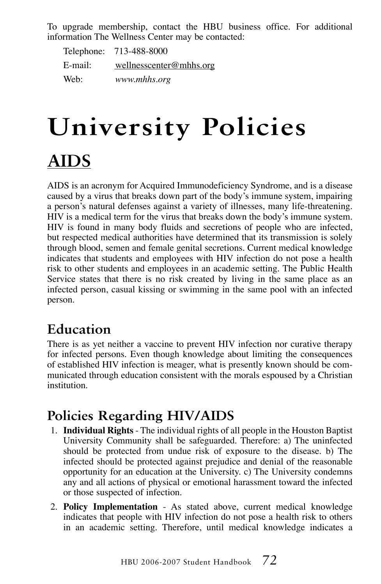To upgrade membership, contact the HBU business office. For additional information The Wellness Center may be contacted:

|         | Telephone: 713-488-8000 |
|---------|-------------------------|
| E-mail: | wellnesscenter@mhhs.org |
| Web:    | www.mhhs.org            |

# **University Policies AIDS**

AIDS is an acronym for Acquired Immunodeficiency Syndrome, and is a disease caused by a virus that breaks down part of the body's immune system, impairing a person's natural defenses against a variety of illnesses, many life-threatening. HIV is a medical term for the virus that breaks down the body's immune system. HIV is found in many body fluids and secretions of people who are infected, but respected medical authorities have determined that its transmission is solely through blood, semen and female genital secretions. Current medical knowledge indicates that students and employees with HIV infection do not pose a health risk to other students and employees in an academic setting. The Public Health Service states that there is no risk created by living in the same place as an infected person, casual kissing or swimming in the same pool with an infected person.

### **Education**

There is as yet neither a vaccine to prevent HIV infection nor curative therapy for infected persons. Even though knowledge about limiting the consequences of established HIV infection is meager, what is presently known should be communicated through education consistent with the morals espoused by a Christian institution.

### **Policies Regarding HIV/AIDS**

- 1. **Individual Rights** The individual rights of all people in the Houston Baptist University Community shall be safeguarded. Therefore: a) The uninfected should be protected from undue risk of exposure to the disease. b) The infected should be protected against prejudice and denial of the reasonable opportunity for an education at the University. c) The University condemns any and all actions of physical or emotional harassment toward the infected or those suspected of infection.
- 2. **Policy Implementation** As stated above, current medical knowledge indicates that people with HIV infection do not pose a health risk to others in an academic setting. Therefore, until medical knowledge indicates a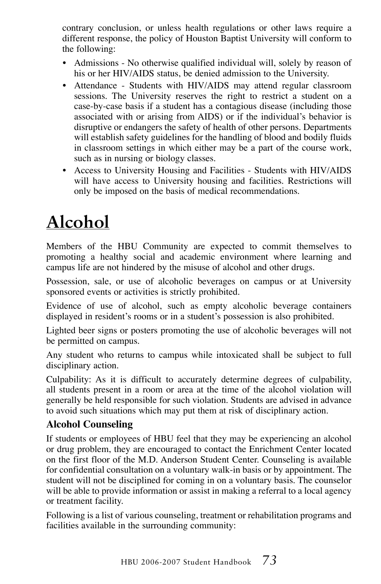contrary conclusion, or unless health regulations or other laws require a different response, the policy of Houston Baptist University will conform to the following:

- Admissions No otherwise qualified individual will, solely by reason of his or her HIV/AIDS status, be denied admission to the University.
- Attendance Students with HIV/AIDS may attend regular classroom sessions. The University reserves the right to restrict a student on a case-by-case basis if a student has a contagious disease (including those associated with or arising from AIDS) or if the individual's behavior is disruptive or endangers the safety of health of other persons. Departments will establish safety guidelines for the handling of blood and bodily fluids in classroom settings in which either may be a part of the course work, such as in nursing or biology classes.
- Access to University Housing and Facilities Students with HIV/AIDS will have access to University housing and facilities. Restrictions will only be imposed on the basis of medical recommendations.

# **Alcohol**

Members of the HBU Community are expected to commit themselves to promoting a healthy social and academic environment where learning and campus life are not hindered by the misuse of alcohol and other drugs.

Possession, sale, or use of alcoholic beverages on campus or at University sponsored events or activities is strictly prohibited.

Evidence of use of alcohol, such as empty alcoholic beverage containers displayed in resident's rooms or in a student's possession is also prohibited.

Lighted beer signs or posters promoting the use of alcoholic beverages will not be permitted on campus.

Any student who returns to campus while intoxicated shall be subject to full disciplinary action.

Culpability: As it is difficult to accurately determine degrees of culpability, all students present in a room or area at the time of the alcohol violation will generally be held responsible for such violation. Students are advised in advance to avoid such situations which may put them at risk of disciplinary action.

#### **Alcohol Counseling**

If students or employees of HBU feel that they may be experiencing an alcohol or drug problem, they are encouraged to contact the Enrichment Center located on the first floor of the M.D. Anderson Student Center. Counseling is available for confidential consultation on a voluntary walk-in basis or by appointment. The student will not be disciplined for coming in on a voluntary basis. The counselor will be able to provide information or assist in making a referral to a local agency or treatment facility.

Following is a list of various counseling, treatment or rehabilitation programs and facilities available in the surrounding community: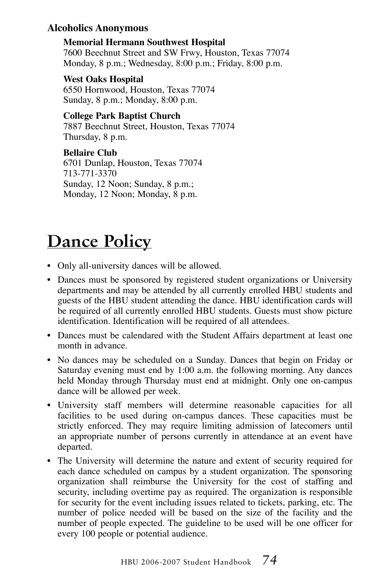#### **Alcoholics Anonymous**

 **Memorial Hermann Southwest Hospital** 7600 Beechnut Street and SW Frwy, Houston, Texas 77074 Monday, 8 p.m.; Wednesday, 8:00 p.m.; Friday, 8:00 p.m.

 **West Oaks Hospital** 6550 Hornwood, Houston, Texas 77074 Sunday, 8 p.m.; Monday, 8:00 p.m.

**College Park Baptist Church**

7887 Beechnut Street, Houston, Texas 77074 Thursday, 8 p.m.

 **Bellaire Club** 6701 Dunlap, Houston, Texas 77074 713-771-3370 Sunday, 12 Noon; Sunday, 8 p.m.; Monday, 12 Noon; Monday, 8 p.m.

# **Dance Policy**

- Only all-university dances will be allowed.
- Dances must be sponsored by registered student organizations or University departments and may be attended by all currently enrolled HBU students and guests of the HBU student attending the dance. HBU identification cards will be required of all currently enrolled HBU students. Guests must show picture identification. Identification will be required of all attendees.
- Dances must be calendared with the Student Affairs department at least one month in advance.
- No dances may be scheduled on a Sunday. Dances that begin on Friday or Saturday evening must end by 1:00 a.m. the following morning. Any dances held Monday through Thursday must end at midnight. Only one on-campus dance will be allowed per week.
- University staff members will determine reasonable capacities for all facilities to be used during on-campus dances. These capacities must be strictly enforced. They may require limiting admission of latecomers until an appropriate number of persons currently in attendance at an event have departed.
- The University will determine the nature and extent of security required for each dance scheduled on campus by a student organization. The sponsoring organization shall reimburse the University for the cost of staffing and security, including overtime pay as required. The organization is responsible for security for the event including issues related to tickets, parking, etc. The number of police needed will be based on the size of the facility and the number of people expected. The guideline to be used will be one officer for every 100 people or potential audience.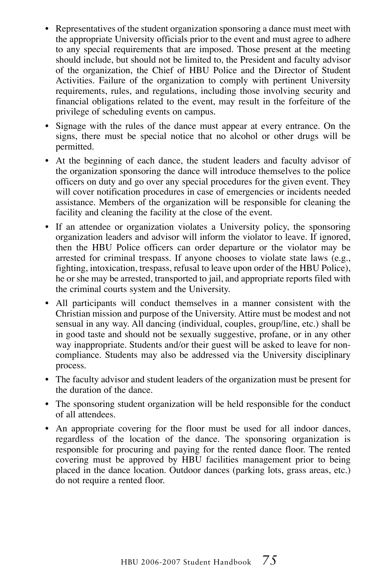- Representatives of the student organization sponsoring a dance must meet with the appropriate University officials prior to the event and must agree to adhere to any special requirements that are imposed. Those present at the meeting should include, but should not be limited to, the President and faculty advisor of the organization, the Chief of HBU Police and the Director of Student Activities. Failure of the organization to comply with pertinent University requirements, rules, and regulations, including those involving security and financial obligations related to the event, may result in the forfeiture of the privilege of scheduling events on campus.
- Signage with the rules of the dance must appear at every entrance. On the signs, there must be special notice that no alcohol or other drugs will be permitted.
- At the beginning of each dance, the student leaders and faculty advisor of the organization sponsoring the dance will introduce themselves to the police officers on duty and go over any special procedures for the given event. They will cover notification procedures in case of emergencies or incidents needed assistance. Members of the organization will be responsible for cleaning the facility and cleaning the facility at the close of the event.
- If an attendee or organization violates a University policy, the sponsoring organization leaders and advisor will inform the violator to leave. If ignored, then the HBU Police officers can order departure or the violator may be arrested for criminal trespass. If anyone chooses to violate state laws (e.g., fighting, intoxication, trespass, refusal to leave upon order of the HBU Police), he or she may be arrested, transported to jail, and appropriate reports filed with the criminal courts system and the University.
- All participants will conduct themselves in a manner consistent with the Christian mission and purpose of the University. Attire must be modest and not sensual in any way. All dancing (individual, couples, group/line, etc.) shall be in good taste and should not be sexually suggestive, profane, or in any other way inappropriate. Students and/or their guest will be asked to leave for noncompliance. Students may also be addressed via the University disciplinary process.
- The faculty advisor and student leaders of the organization must be present for the duration of the dance.
- The sponsoring student organization will be held responsible for the conduct of all attendees.
- An appropriate covering for the floor must be used for all indoor dances, regardless of the location of the dance. The sponsoring organization is responsible for procuring and paying for the rented dance floor. The rented covering must be approved by HBU facilities management prior to being placed in the dance location. Outdoor dances (parking lots, grass areas, etc.) do not require a rented floor.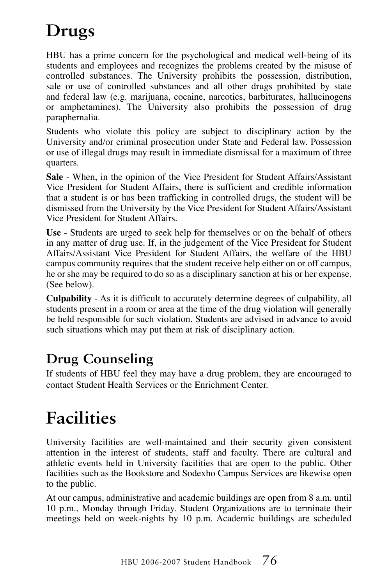# **Drugs**

HBU has a prime concern for the psychological and medical well-being of its students and employees and recognizes the problems created by the misuse of controlled substances. The University prohibits the possession, distribution, sale or use of controlled substances and all other drugs prohibited by state and federal law (e.g. marijuana, cocaine, narcotics, barbiturates, hallucinogens or amphetamines). The University also prohibits the possession of drug paraphernalia.

Students who violate this policy are subject to disciplinary action by the University and/or criminal prosecution under State and Federal law. Possession or use of illegal drugs may result in immediate dismissal for a maximum of three quarters.

**Sale** - When, in the opinion of the Vice President for Student Affairs/Assistant Vice President for Student Affairs, there is sufficient and credible information that a student is or has been trafficking in controlled drugs, the student will be dismissed from the University by the Vice President for Student Affairs/Assistant Vice President for Student Affairs.

**Use** - Students are urged to seek help for themselves or on the behalf of others in any matter of drug use. If, in the judgement of the Vice President for Student Affairs/Assistant Vice President for Student Affairs, the welfare of the HBU campus community requires that the student receive help either on or off campus, he or she may be required to do so as a disciplinary sanction at his or her expense. (See below).

**Culpability** - As it is difficult to accurately determine degrees of culpability, all students present in a room or area at the time of the drug violation will generally be held responsible for such violation. Students are advised in advance to avoid such situations which may put them at risk of disciplinary action.

### **Drug Counseling**

If students of HBU feel they may have a drug problem, they are encouraged to contact Student Health Services or the Enrichment Center.

### **Facilities**

University facilities are well-maintained and their security given consistent attention in the interest of students, staff and faculty. There are cultural and athletic events held in University facilities that are open to the public. Other facilities such as the Bookstore and Sodexho Campus Services are likewise open to the public.

At our campus, administrative and academic buildings are open from 8 a.m. until 10 p.m., Monday through Friday. Student Organizations are to terminate their meetings held on week-nights by 10 p.m. Academic buildings are scheduled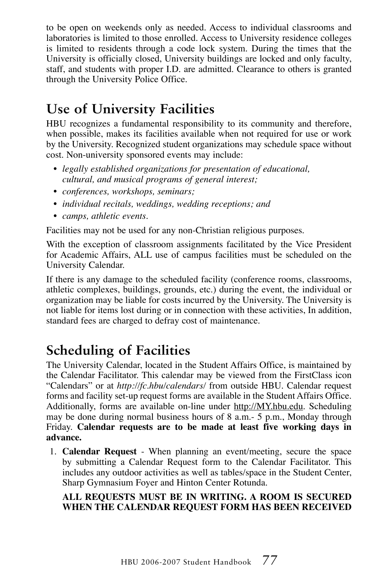to be open on weekends only as needed. Access to individual classrooms and laboratories is limited to those enrolled. Access to University residence colleges is limited to residents through a code lock system. During the times that the University is officially closed, University buildings are locked and only faculty, staff, and students with proper I.D. are admitted. Clearance to others is granted through the University Police Office.

### **Use of University Facilities**

HBU recognizes a fundamental responsibility to its community and therefore, when possible, makes its facilities available when not required for use or work by the University. Recognized student organizations may schedule space without cost. Non-university sponsored events may include:

- *• legally established organizations for presentation of educational, cultural, and musical programs of general interest;*
- *• conferences, workshops, seminars;*
- *• individual recitals, weddings, wedding receptions; and*
- *• camps, athletic events.*

Facilities may not be used for any non-Christian religious purposes.

With the exception of classroom assignments facilitated by the Vice President for Academic Affairs, ALL use of campus facilities must be scheduled on the University Calendar.

If there is any damage to the scheduled facility (conference rooms, classrooms, athletic complexes, buildings, grounds, etc.) during the event, the individual or organization may be liable for costs incurred by the University. The University is not liable for items lost during or in connection with these activities, In addition, standard fees are charged to defray cost of maintenance.

### **Scheduling of Facilities**

The University Calendar, located in the Student Affairs Office, is maintained by the Calendar Facilitator. This calendar may be viewed from the FirstClass icon "Calendars" or at *http://fc.hbu/calendars/* from outside HBU. Calendar request forms and facility set-up request forms are available in the Student Affairs Office. Additionally, forms are available on-line under http://MY.hbu.edu. Scheduling may be done during normal business hours of 8 a.m.- 5 p.m., Monday through Friday. **Calendar requests are to be made at least five working days in advance.**

1. **Calendar Request** - When planning an event/meeting, secure the space by submitting a Calendar Request form to the Calendar Facilitator. This includes any outdoor activities as well as tables/space in the Student Center, Sharp Gymnasium Foyer and Hinton Center Rotunda.

#### **ALL REQUESTS MUST BE IN WRITING. A ROOM IS SECURED WHEN THE CALENDAR REQUEST FORM HAS BEEN RECEIVED**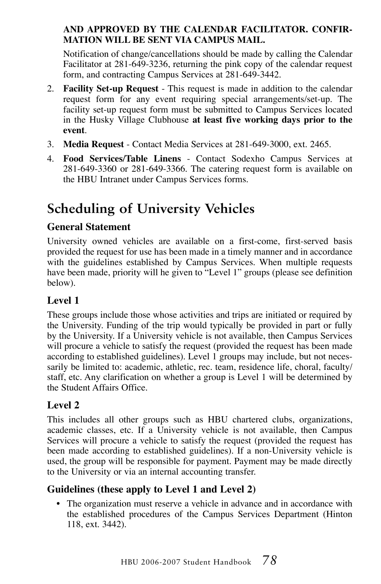#### **AND APPROVED BY THE CALENDAR FACILITATOR. CONFIR-MATION WILL BE SENT VIA CAMPUS MAIL.**

 Notification of change/cancellations should be made by calling the Calendar Facilitator at 281-649-3236, returning the pink copy of the calendar request form, and contracting Campus Services at 281-649-3442.

- 2. **Facility Set-up Request**  This request is made in addition to the calendar request form for any event requiring special arrangements/set-up. The facility set-up request form must be submitted to Campus Services located in the Husky Village Clubhouse **at least five working days prior to the event**.
- 3. **Media Request** Contact Media Services at 281-649-3000, ext. 2465.
- 4. **Food Services/Table Linens** Contact Sodexho Campus Services at 281-649-3360 or 281-649-3366. The catering request form is available on the HBU Intranet under Campus Services forms.

### **Scheduling of University Vehicles**

#### **General Statement**

University owned vehicles are available on a first-come, first-served basis provided the request for use has been made in a timely manner and in accordance with the guidelines established by Campus Services. When multiple requests have been made, priority will he given to "Level 1" groups (please see definition below).

#### **Level 1**

These groups include those whose activities and trips are initiated or required by the University. Funding of the trip would typically be provided in part or fully by the University. If a University vehicle is not available, then Campus Services will procure a vehicle to satisfy the request (provided the request has been made according to established guidelines). Level 1 groups may include, but not necessarily be limited to: academic, athletic, rec. team, residence life, choral, faculty/ staff, etc. Any clarification on whether a group is Level 1 will be determined by the Student Affairs Office.

#### **Level 2**

This includes all other groups such as HBU chartered clubs, organizations, academic classes, etc. If a University vehicle is not available, then Campus Services will procure a vehicle to satisfy the request (provided the request has been made according to established guidelines). If a non-University vehicle is used, the group will be responsible for payment. Payment may be made directly to the University or via an internal accounting transfer.

#### **Guidelines (these apply to Level 1 and Level 2)**

• The organization must reserve a vehicle in advance and in accordance with the established procedures of the Campus Services Department (Hinton 118, ext. 3442).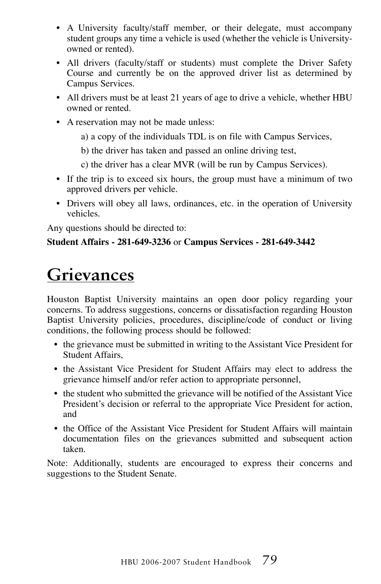- A University faculty/staff member, or their delegate, must accompany student groups any time a vehicle is used (whether the vehicle is Universityowned or rented).
- All drivers (faculty/staff or students) must complete the Driver Safety Course and currently be on the approved driver list as determined by Campus Services.
- All drivers must be at least 21 years of age to drive a vehicle, whether HBU owned or rented.
- A reservation may not be made unless:
	- a) a copy of the individuals TDL is on file with Campus Services,
	- b) the driver has taken and passed an online driving test,
	- c) the driver has a clear MVR (will be run by Campus Services).
- If the trip is to exceed six hours, the group must have a minimum of two approved drivers per vehicle.
- Drivers will obey all laws, ordinances, etc. in the operation of University vehicles.

Any questions should be directed to:

#### **Student Affairs - 281-649-3236** or **Campus Services - 281-649-3442**

# **Grievances**

Houston Baptist University maintains an open door policy regarding your concerns. To address suggestions, concerns or dissatisfaction regarding Houston Baptist University policies, procedures, discipline/code of conduct or living conditions, the following process should be followed:

- the grievance must be submitted in writing to the Assistant Vice President for Student Affairs,
- the Assistant Vice President for Student Affairs may elect to address the grievance himself and/or refer action to appropriate personnel,
- the student who submitted the grievance will be notified of the Assistant Vice President's decision or referral to the appropriate Vice President for action, and
- the Office of the Assistant Vice President for Student Affairs will maintain documentation files on the grievances submitted and subsequent action taken.

Note: Additionally, students are encouraged to express their concerns and suggestions to the Student Senate.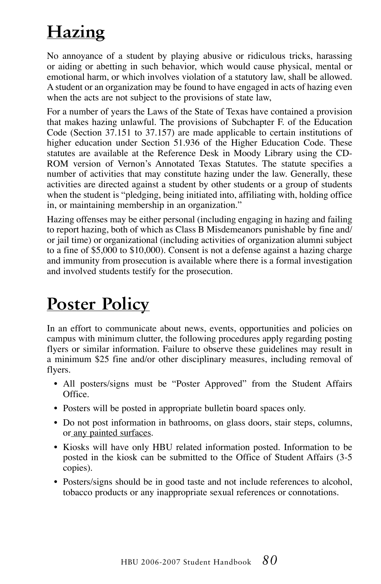# **Hazing**

No annoyance of a student by playing abusive or ridiculous tricks, harassing or aiding or abetting in such behavior, which would cause physical, mental or emotional harm, or which involves violation of a statutory law, shall be allowed. A student or an organization may be found to have engaged in acts of hazing even when the acts are not subject to the provisions of state law.

For a number of years the Laws of the State of Texas have contained a provision that makes hazing unlawful. The provisions of Subchapter F. of the Education Code (Section 37.151 to 37.157) are made applicable to certain institutions of higher education under Section 51.936 of the Higher Education Code. These statutes are available at the Reference Desk in Moody Library using the CD-ROM version of Vernon's Annotated Texas Statutes. The statute specifies a number of activities that may constitute hazing under the law. Generally, these activities are directed against a student by other students or a group of students when the student is "pledging, being initiated into, affiliating with, holding office in, or maintaining membership in an organization."

Hazing offenses may be either personal (including engaging in hazing and failing to report hazing, both of which as Class B Misdemeanors punishable by fine and/ or jail time) or organizational (including activities of organization alumni subject to a fine of \$5,000 to \$10,000). Consent is not a defense against a hazing charge and immunity from prosecution is available where there is a formal investigation and involved students testify for the prosecution.

# **Poster Policy**

In an effort to communicate about news, events, opportunities and policies on campus with minimum clutter, the following procedures apply regarding posting flyers or similar information. Failure to observe these guidelines may result in a minimum \$25 fine and/or other disciplinary measures, including removal of flyers.

- All posters/signs must be "Poster Approved" from the Student Affairs Office.
- Posters will be posted in appropriate bulletin board spaces only.
- Do not post information in bathrooms, on glass doors, stair steps, columns, or any painted surfaces.
- Kiosks will have only HBU related information posted. Information to be posted in the kiosk can be submitted to the Office of Student Affairs (3-5 copies).
- Posters/signs should be in good taste and not include references to alcohol, tobacco products or any inappropriate sexual references or connotations.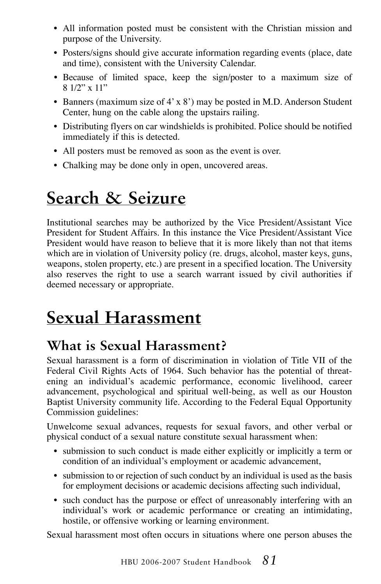- All information posted must be consistent with the Christian mission and purpose of the University.
- Posters/signs should give accurate information regarding events (place, date and time), consistent with the University Calendar.
- Because of limited space, keep the sign/poster to a maximum size of 8 1/2" x 11"
- Banners (maximum size of 4' x 8') may be posted in M.D. Anderson Student Center, hung on the cable along the upstairs railing.
- Distributing flyers on car windshields is prohibited. Police should be notified immediately if this is detected.
- All posters must be removed as soon as the event is over.
- Chalking may be done only in open, uncovered areas.

## **Search & Seizure**

Institutional searches may be authorized by the Vice President/Assistant Vice President for Student Affairs. In this instance the Vice President/Assistant Vice President would have reason to believe that it is more likely than not that items which are in violation of University policy (re. drugs, alcohol, master keys, guns, weapons, stolen property, etc.) are present in a specified location. The University also reserves the right to use a search warrant issued by civil authorities if deemed necessary or appropriate.

# **Sexual Harassment**

### **What is Sexual Harassment?**

Sexual harassment is a form of discrimination in violation of Title VII of the Federal Civil Rights Acts of 1964. Such behavior has the potential of threatening an individual's academic performance, economic livelihood, career advancement, psychological and spiritual well-being, as well as our Houston Baptist University community life. According to the Federal Equal Opportunity Commission guidelines:

Unwelcome sexual advances, requests for sexual favors, and other verbal or physical conduct of a sexual nature constitute sexual harassment when:

- submission to such conduct is made either explicitly or implicitly a term or condition of an individual's employment or academic advancement,
- submission to or rejection of such conduct by an individual is used as the basis for employment decisions or academic decisions affecting such individual,
- such conduct has the purpose or effect of unreasonably interfering with an individual's work or academic performance or creating an intimidating, hostile, or offensive working or learning environment.

Sexual harassment most often occurs in situations where one person abuses the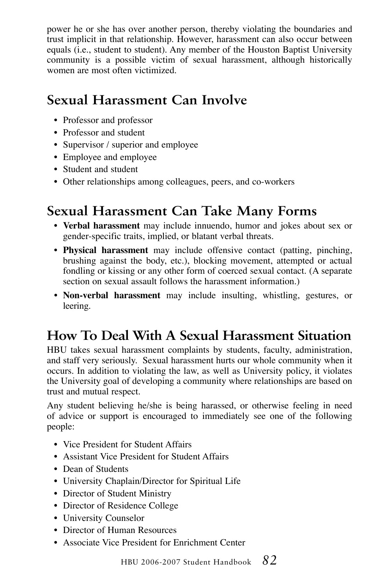power he or she has over another person, thereby violating the boundaries and trust implicit in that relationship. However, harassment can also occur between equals (i.e., student to student). Any member of the Houston Baptist University community is a possible victim of sexual harassment, although historically women are most often victimized.

### **Sexual Harassment Can Involve**

- Professor and professor
- Professor and student
- Supervisor / superior and employee
- Employee and employee
- Student and student
- Other relationships among colleagues, peers, and co-workers

### **Sexual Harassment Can Take Many Forms**

- **Verbal harassment** may include innuendo, humor and jokes about sex or gender-specific traits, implied, or blatant verbal threats.
- **Physical harassment** may include offensive contact (patting, pinching, brushing against the body, etc.), blocking movement, attempted or actual fondling or kissing or any other form of coerced sexual contact. (A separate section on sexual assault follows the harassment information.)
- **Non-verbal harassment** may include insulting, whistling, gestures, or leering.

### **How To Deal With A Sexual Harassment Situation**

HBU takes sexual harassment complaints by students, faculty, administration, and staff very seriously. Sexual harassment hurts our whole community when it occurs. In addition to violating the law, as well as University policy, it violates the University goal of developing a community where relationships are based on trust and mutual respect.

Any student believing he/she is being harassed, or otherwise feeling in need of advice or support is encouraged to immediately see one of the following people:

- Vice President for Student Affairs
- Assistant Vice President for Student Affairs
- Dean of Students
- University Chaplain/Director for Spiritual Life
- Director of Student Ministry
- Director of Residence College
- University Counselor
- Director of Human Resources
- Associate Vice President for Enrichment Center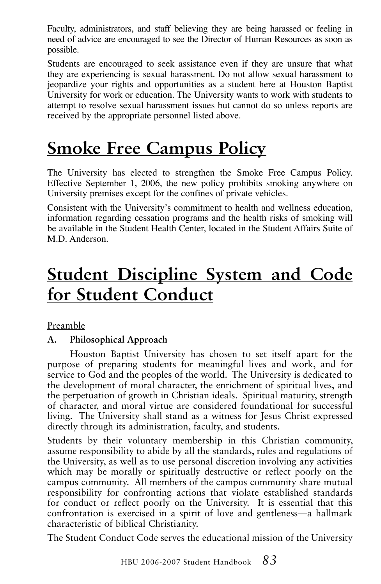Faculty, administrators, and staff believing they are being harassed or feeling in need of advice are encouraged to see the Director of Human Resources as soon as possible.

Students are encouraged to seek assistance even if they are unsure that what they are experiencing is sexual harassment. Do not allow sexual harassment to jeopardize your rights and opportunities as a student here at Houston Baptist University for work or education. The University wants to work with students to attempt to resolve sexual harassment issues but cannot do so unless reports are received by the appropriate personnel listed above.

### **Smoke Free Campus Policy**

The University has elected to strengthen the Smoke Free Campus Policy. Effective September 1, 2006, the new policy prohibits smoking anywhere on University premises except for the confines of private vehicles.

Consistent with the University's commitment to health and wellness education, information regarding cessation programs and the health risks of smoking will be available in the Student Health Center, located in the Student Affairs Suite of M.D. Anderson.

## **Student Discipline System and Code for Student Conduct**

Preamble

#### **A. Philosophical Approach**

Houston Baptist University has chosen to set itself apart for the purpose of preparing students for meaningful lives and work, and for service to God and the peoples of the world. The University is dedicated to the development of moral character, the enrichment of spiritual lives, and the perpetuation of growth in Christian ideals. Spiritual maturity, strength of character, and moral virtue are considered foundational for successful living. The University shall stand as a witness for Jesus Christ expressed directly through its administration, faculty, and students.

Students by their voluntary membership in this Christian community, assume responsibility to abide by all the standards, rules and regulations of the University, as well as to use personal discretion involving any activities which may be morally or spiritually destructive or reflect poorly on the campus community. All members of the campus community share mutual responsibility for confronting actions that violate established standards for conduct or reflect poorly on the University. It is essential that this confrontation is exercised in a spirit of love and gentleness—a hallmark characteristic of biblical Christianity.

The Student Conduct Code serves the educational mission of the University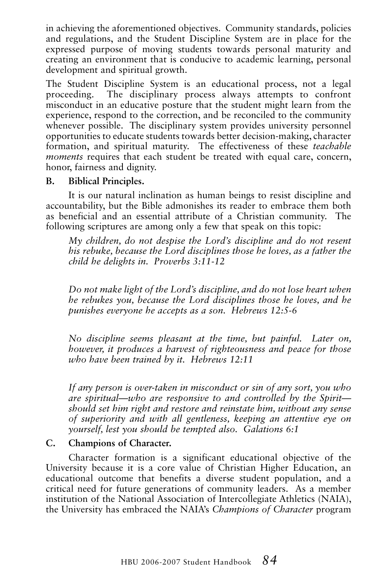in achieving the aforementioned objectives. Community standards, policies and regulations, and the Student Discipline System are in place for the expressed purpose of moving students towards personal maturity and creating an environment that is conducive to academic learning, personal development and spiritual growth.

The Student Discipline System is an educational process, not a legal proceeding. The disciplinary process always attempts to confront misconduct in an educative posture that the student might learn from the experience, respond to the correction, and be reconciled to the community whenever possible. The disciplinary system provides university personnel opportunities to educate students towards better decision-making, character formation, and spiritual maturity. The effectiveness of these *teachable moments* requires that each student be treated with equal care, concern, honor, fairness and dignity.

#### **B. Biblical Principles.**

It is our natural inclination as human beings to resist discipline and accountability, but the Bible admonishes its reader to embrace them both as beneficial and an essential attribute of a Christian community. The following scriptures are among only a few that speak on this topic:

*My children, do not despise the Lord's discipline and do not resent his rebuke, because the Lord disciplines those he loves, as a father the child he delights in. Proverbs 3:11-12*

*Do not make light of the Lord's discipline, and do not lose heart when he rebukes you, because the Lord disciplines those he loves, and he punishes everyone he accepts as a son. Hebrews 12:5-6*

*No discipline seems pleasant at the time, but painful. Later on, however, it produces a harvest of righteousness and peace for those who have been trained by it. Hebrews 12:11*

*If any person is over-taken in misconduct or sin of any sort, you who are spiritual—who are responsive to and controlled by the Spirit should set him right and restore and reinstate him, without any sense of superiority and with all gentleness, keeping an attentive eye on yourself, lest you should be tempted also. Galations 6:1*

#### **C. Champions of Character.**

Character formation is a significant educational objective of the University because it is a core value of Christian Higher Education, an educational outcome that benefits a diverse student population, and a critical need for future generations of community leaders. As a member institution of the National Association of Intercollegiate Athletics (NAIA), the University has embraced the NAIA's *Champions of Character* program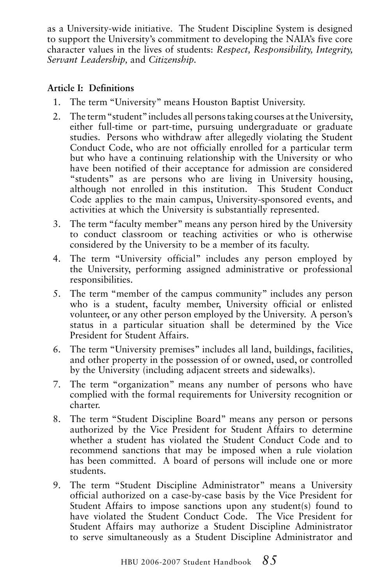as a University-wide initiative. The Student Discipline System is designed to support the University's commitment to developing the NAIA's five core character values in the lives of students: *Respect, Responsibility, Integrity, Servant Leadership,* and *Citizenship.*

#### **Article I: Definitions**

- 1. The term "University" means Houston Baptist University.
- 2. The term "student" includes all persons taking courses at the University, either full-time or part-time, pursuing undergraduate or graduate studies. Persons who withdraw after allegedly violating the Student Conduct Code, who are not officially enrolled for a particular term but who have a continuing relationship with the University or who have been notified of their acceptance for admission are considered "students" as are persons who are living in University housing, although not enrolled in this institution. This Student Conduct Code applies to the main campus, University-sponsored events, and activities at which the University is substantially represented.
- 3. The term "faculty member" means any person hired by the University to conduct classroom or teaching activities or who is otherwise considered by the University to be a member of its faculty.
- 4. The term "University official" includes any person employed by the University, performing assigned administrative or professional responsibilities.
- 5. The term "member of the campus community" includes any person who is a student, faculty member, University official or enlisted volunteer, or any other person employed by the University. A person's status in a particular situation shall be determined by the Vice President for Student Affairs.
- 6. The term "University premises" includes all land, buildings, facilities, and other property in the possession of or owned, used, or controlled by the University (including adjacent streets and sidewalks).
- 7. The term "organization" means any number of persons who have complied with the formal requirements for University recognition or charter.
- 8. The term "Student Discipline Board" means any person or persons authorized by the Vice President for Student Affairs to determine whether a student has violated the Student Conduct Code and to recommend sanctions that may be imposed when a rule violation has been committed. A board of persons will include one or more students.
- 9. The term "Student Discipline Administrator" means a University official authorized on a case-by-case basis by the Vice President for Student Affairs to impose sanctions upon any student(s) found to have violated the Student Conduct Code. The Vice President for Student Affairs may authorize a Student Discipline Administrator to serve simultaneously as a Student Discipline Administrator and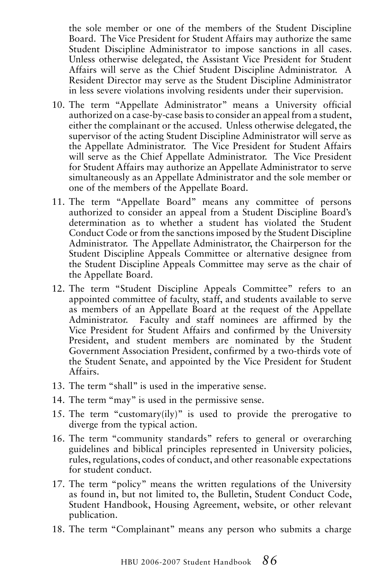the sole member or one of the members of the Student Discipline Board. The Vice President for Student Affairs may authorize the same Student Discipline Administrator to impose sanctions in all cases. Unless otherwise delegated, the Assistant Vice President for Student Affairs will serve as the Chief Student Discipline Administrator. A Resident Director may serve as the Student Discipline Administrator in less severe violations involving residents under their supervision.

- 10. The term "Appellate Administrator" means a University official authorized on a case-by-case basis to consider an appeal from a student, either the complainant or the accused. Unless otherwise delegated, the supervisor of the acting Student Discipline Administrator will serve as the Appellate Administrator. The Vice President for Student Affairs will serve as the Chief Appellate Administrator. The Vice President for Student Affairs may authorize an Appellate Administrator to serve simultaneously as an Appellate Administrator and the sole member or one of the members of the Appellate Board.
- 11. The term "Appellate Board" means any committee of persons authorized to consider an appeal from a Student Discipline Board's determination as to whether a student has violated the Student Conduct Code or from the sanctions imposed by the Student Discipline Administrator. The Appellate Administrator, the Chairperson for the Student Discipline Appeals Committee or alternative designee from the Student Discipline Appeals Committee may serve as the chair of the Appellate Board.
- 12. The term "Student Discipline Appeals Committee" refers to an appointed committee of faculty, staff, and students available to serve as members of an Appellate Board at the request of the Appellate Administrator. Faculty and staff nominees are affirmed by the Vice President for Student Affairs and confirmed by the University President, and student members are nominated by the Student Government Association President, confirmed by a two-thirds vote of the Student Senate, and appointed by the Vice President for Student Affairs.
- 13. The term "shall" is used in the imperative sense.
- 14. The term "may" is used in the permissive sense.
- 15. The term "customary(ily)" is used to provide the prerogative to diverge from the typical action.
- 16. The term "community standards" refers to general or overarching guidelines and biblical principles represented in University policies, rules, regulations, codes of conduct, and other reasonable expectations for student conduct.
- 17. The term "policy" means the written regulations of the University as found in, but not limited to, the Bulletin, Student Conduct Code, Student Handbook, Housing Agreement, website, or other relevant publication.
- 18. The term "Complainant" means any person who submits a charge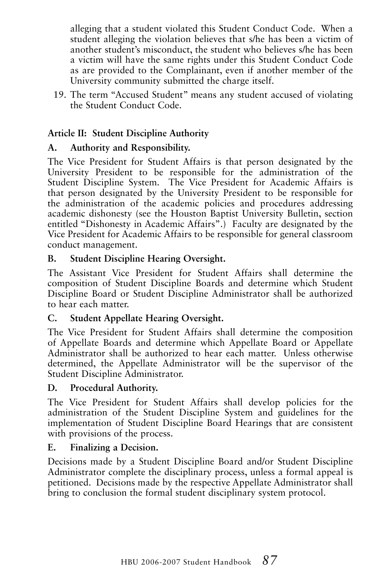alleging that a student violated this Student Conduct Code. When a student alleging the violation believes that s/he has been a victim of another student's misconduct, the student who believes s/he has been a victim will have the same rights under this Student Conduct Code as are provided to the Complainant, even if another member of the University community submitted the charge itself.

19. The term "Accused Student" means any student accused of violating the Student Conduct Code.

#### **Article II: Student Discipline Authority**

#### **A. Authority and Responsibility.**

The Vice President for Student Affairs is that person designated by the University President to be responsible for the administration of the Student Discipline System. The Vice President for Academic Affairs is that person designated by the University President to be responsible for the administration of the academic policies and procedures addressing academic dishonesty (see the Houston Baptist University Bulletin, section entitled "Dishonesty in Academic Affairs".) Faculty are designated by the Vice President for Academic Affairs to be responsible for general classroom conduct management.

#### **B. Student Discipline Hearing Oversight.**

The Assistant Vice President for Student Affairs shall determine the composition of Student Discipline Boards and determine which Student Discipline Board or Student Discipline Administrator shall be authorized to hear each matter.

#### **C. Student Appellate Hearing Oversight.**

The Vice President for Student Affairs shall determine the composition of Appellate Boards and determine which Appellate Board or Appellate Administrator shall be authorized to hear each matter. Unless otherwise determined, the Appellate Administrator will be the supervisor of the Student Discipline Administrator.

#### **D. Procedural Authority.**

The Vice President for Student Affairs shall develop policies for the administration of the Student Discipline System and guidelines for the implementation of Student Discipline Board Hearings that are consistent with provisions of the process.

#### **E. Finalizing a Decision.**

Decisions made by a Student Discipline Board and/or Student Discipline Administrator complete the disciplinary process, unless a formal appeal is petitioned. Decisions made by the respective Appellate Administrator shall bring to conclusion the formal student disciplinary system protocol.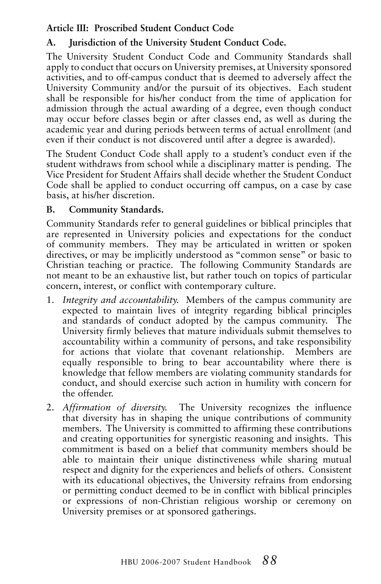#### **Article III: Proscribed Student Conduct Code**

#### **A. Jurisdiction of the University Student Conduct Code.**

The University Student Conduct Code and Community Standards shall apply to conduct that occurs on University premises, at University sponsored activities, and to off-campus conduct that is deemed to adversely affect the University Community and/or the pursuit of its objectives. Each student shall be responsible for his/her conduct from the time of application for admission through the actual awarding of a degree, even though conduct may occur before classes begin or after classes end, as well as during the academic year and during periods between terms of actual enrollment (and even if their conduct is not discovered until after a degree is awarded).

The Student Conduct Code shall apply to a student's conduct even if the student withdraws from school while a disciplinary matter is pending. The Vice President for Student Affairs shall decide whether the Student Conduct Code shall be applied to conduct occurring off campus, on a case by case basis, at his/her discretion.

#### **B. Community Standards.**

Community Standards refer to general guidelines or biblical principles that are represented in University policies and expectations for the conduct of community members. They may be articulated in written or spoken directives, or may be implicitly understood as "common sense" or basic to Christian teaching or practice. The following Community Standards are not meant to be an exhaustive list, but rather touch on topics of particular concern, interest, or conflict with contemporary culture.

- 1. *Integrity and accountability.* Members of the campus community are expected to maintain lives of integrity regarding biblical principles and standards of conduct adopted by the campus community. The University firmly believes that mature individuals submit themselves to accountability within a community of persons, and take responsibility for actions that violate that covenant relationship. Members are equally responsible to bring to bear accountability where there is knowledge that fellow members are violating community standards for conduct, and should exercise such action in humility with concern for the offender.
- 2. *Affirmation of diversity.* The University recognizes the influence that diversity has in shaping the unique contributions of community members. The University is committed to affirming these contributions and creating opportunities for synergistic reasoning and insights. This commitment is based on a belief that community members should be able to maintain their unique distinctiveness while sharing mutual respect and dignity for the experiences and beliefs of others. Consistent with its educational objectives, the University refrains from endorsing or permitting conduct deemed to be in conflict with biblical principles or expressions of non-Christian religious worship or ceremony on University premises or at sponsored gatherings.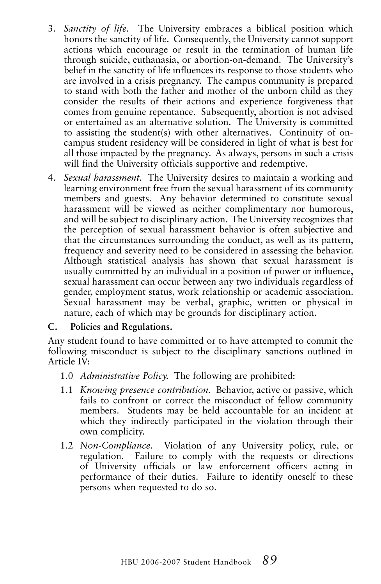- 3. *Sanctity of life.* The University embraces a biblical position which honors the sanctity of life. Consequently, the University cannot support actions which encourage or result in the termination of human life through suicide, euthanasia, or abortion-on-demand. The University's belief in the sanctity of life influences its response to those students who are involved in a crisis pregnancy. The campus community is prepared to stand with both the father and mother of the unborn child as they consider the results of their actions and experience forgiveness that comes from genuine repentance. Subsequently, abortion is not advised or entertained as an alternative solution. The University is committed to assisting the student(s) with other alternatives. Continuity of oncampus student residency will be considered in light of what is best for all those impacted by the pregnancy. As always, persons in such a crisis will find the University officials supportive and redemptive.
- 4. *Sexual harassment.* The University desires to maintain a working and learning environment free from the sexual harassment of its community members and guests. Any behavior determined to constitute sexual harassment will be viewed as neither complimentary nor humorous, and will be subject to disciplinary action. The University recognizes that the perception of sexual harassment behavior is often subjective and that the circumstances surrounding the conduct, as well as its pattern, frequency and severity need to be considered in assessing the behavior. Although statistical analysis has shown that sexual harassment is usually committed by an individual in a position of power or influence, sexual harassment can occur between any two individuals regardless of gender, employment status, work relationship or academic association. Sexual harassment may be verbal, graphic, written or physical in nature, each of which may be grounds for disciplinary action.

#### **C. Policies and Regulations.**

Any student found to have committed or to have attempted to commit the following misconduct is subject to the disciplinary sanctions outlined in Article IV:

- 1.0 *Administrative Policy.* The following are prohibited:
- 1.1 *Knowing presence contribution.* Behavior, active or passive, which fails to confront or correct the misconduct of fellow community members. Students may be held accountable for an incident at which they indirectly participated in the violation through their own complicity.
- 1.2 *Non-Compliance.* Violation of any University policy, rule, or regulation. Failure to comply with the requests or directions of University officials or law enforcement officers acting in performance of their duties. Failure to identify oneself to these persons when requested to do so.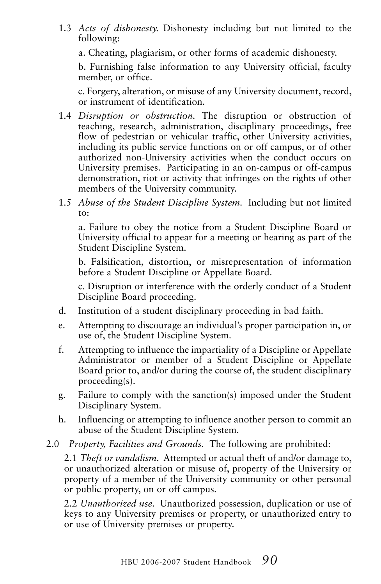1.3 *Acts of dishonesty.* Dishonesty including but not limited to the following:

a. Cheating, plagiarism, or other forms of academic dishonesty.

b. Furnishing false information to any University official, faculty member, or office.

c. Forgery, alteration, or misuse of any University document, record, or instrument of identification.

- 1.4 *Disruption or obstruction.* The disruption or obstruction of teaching, research, administration, disciplinary proceedings, free flow of pedestrian or vehicular traffic, other University activities, including its public service functions on or off campus, or of other authorized non-University activities when the conduct occurs on University premises. Participating in an on-campus or off-campus demonstration, riot or activity that infringes on the rights of other members of the University community.
- 1.5 *Abuse of the Student Discipline System.* Including but not limited to:

a. Failure to obey the notice from a Student Discipline Board or University official to appear for a meeting or hearing as part of the Student Discipline System.

b. Falsification, distortion, or misrepresentation of information before a Student Discipline or Appellate Board.

c. Disruption or interference with the orderly conduct of a Student Discipline Board proceeding.

- d. Institution of a student disciplinary proceeding in bad faith.
- e. Attempting to discourage an individual's proper participation in, or use of, the Student Discipline System.
- f. Attempting to influence the impartiality of a Discipline or Appellate Administrator or member of a Student Discipline or Appellate Board prior to, and/or during the course of, the student disciplinary proceeding(s).
- g. Failure to comply with the sanction(s) imposed under the Student Disciplinary System.
- h. Influencing or attempting to influence another person to commit an abuse of the Student Discipline System.
- 2.0 *Property, Facilities and Grounds.* The following are prohibited:

2.1 *Theft or vandalism.* Attempted or actual theft of and/or damage to, or unauthorized alteration or misuse of, property of the University or property of a member of the University community or other personal or public property, on or off campus.

2.2 *Unauthorized use.* Unauthorized possession, duplication or use of keys to any University premises or property, or unauthorized entry to or use of University premises or property.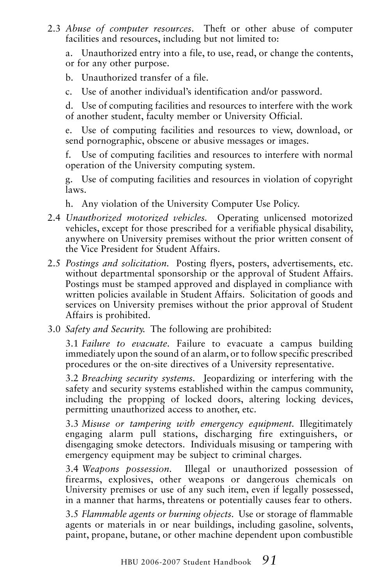2.3 *Abuse of computer resources*. Theft or other abuse of computer facilities and resources, including but not limited to:

a. Unauthorized entry into a file, to use, read, or change the contents, or for any other purpose.

b. Unauthorized transfer of a file.

c. Use of another individual's identification and/or password.

d. Use of computing facilities and resources to interfere with the work of another student, faculty member or University Official.

e. Use of computing facilities and resources to view, download, or send pornographic, obscene or abusive messages or images.

f. Use of computing facilities and resources to interfere with normal operation of the University computing system.

g. Use of computing facilities and resources in violation of copyright laws.

- h. Any violation of the University Computer Use Policy.
- 2.4 *Unauthorized motorized vehicles.* Operating unlicensed motorized vehicles, except for those prescribed for a verifiable physical disability, anywhere on University premises without the prior written consent of the Vice President for Student Affairs.
- 2.5 *Postings and solicitation.* Posting flyers, posters, advertisements, etc. without departmental sponsorship or the approval of Student Affairs. Postings must be stamped approved and displayed in compliance with written policies available in Student Affairs. Solicitation of goods and services on University premises without the prior approval of Student Affairs is prohibited.
- 3.0 *Safety and Security.* The following are prohibited:

3.1 *Failure to evacuate.* Failure to evacuate a campus building immediately upon the sound of an alarm, or to follow specific prescribed procedures or the on-site directives of a University representative.

3.2 *Breaching security systems.* Jeopardizing or interfering with the safety and security systems established within the campus community, including the propping of locked doors, altering locking devices, permitting unauthorized access to another, etc.

3.3 *Misuse or tampering with emergency equipment.* Illegitimately engaging alarm pull stations, discharging fire extinguishers, or disengaging smoke detectors. Individuals misusing or tampering with emergency equipment may be subject to criminal charges.

3.4 *Weapons possession.* Illegal or unauthorized possession of firearms, explosives, other weapons or dangerous chemicals on University premises or use of any such item, even if legally possessed, in a manner that harms, threatens or potentially causes fear to others.

3.5 *Flammable agents or burning objects.* Use or storage of flammable agents or materials in or near buildings, including gasoline, solvents, paint, propane, butane, or other machine dependent upon combustible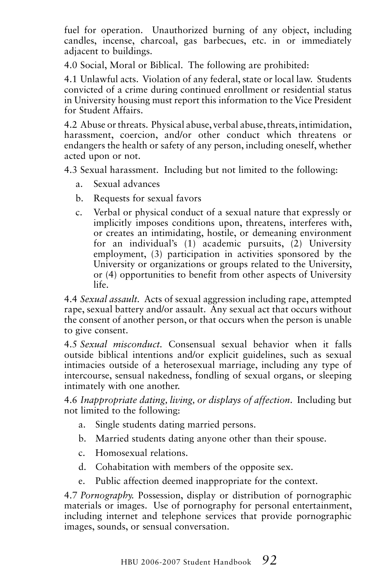fuel for operation. Unauthorized burning of any object, including candles, incense, charcoal, gas barbecues, etc. in or immediately adjacent to buildings.

4.0 Social, Moral or Biblical. The following are prohibited:

4.1 Unlawful acts. Violation of any federal, state or local law. Students convicted of a crime during continued enrollment or residential status in University housing must report this information to the Vice President for Student Affairs.

4.2 Abuse or threats. Physical abuse, verbal abuse, threats, intimidation, harassment, coercion, and/or other conduct which threatens or endangers the health or safety of any person, including oneself, whether acted upon or not.

4.3 Sexual harassment. Including but not limited to the following:

- a. Sexual advances
- b. Requests for sexual favors
- c. Verbal or physical conduct of a sexual nature that expressly or implicitly imposes conditions upon, threatens, interferes with, or creates an intimidating, hostile, or demeaning environment for an individual's (1) academic pursuits, (2) University employment, (3) participation in activities sponsored by the University or organizations or groups related to the University, or (4) opportunities to benefit from other aspects of University life.

4.4 *Sexual assault.* Acts of sexual aggression including rape, attempted rape, sexual battery and/or assault. Any sexual act that occurs without the consent of another person, or that occurs when the person is unable to give consent.

4.5 *Sexual misconduct.* Consensual sexual behavior when it falls outside biblical intentions and/or explicit guidelines, such as sexual intimacies outside of a heterosexual marriage, including any type of intercourse, sensual nakedness, fondling of sexual organs, or sleeping intimately with one another.

4.6 *Inappropriate dating, living, or displays of affection*. Including but not limited to the following:

- a. Single students dating married persons.
- b. Married students dating anyone other than their spouse.
- c. Homosexual relations.
- d. Cohabitation with members of the opposite sex.
- e. Public affection deemed inappropriate for the context.

4.7 *Pornography.* Possession, display or distribution of pornographic materials or images. Use of pornography for personal entertainment, including internet and telephone services that provide pornographic images, sounds, or sensual conversation.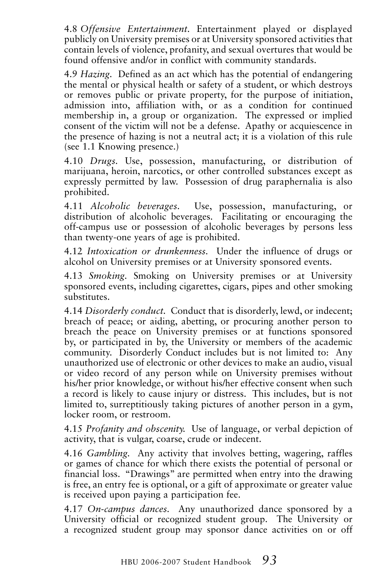4.8 *Offensive Entertainment.* Entertainment played or displayed publicly on University premises or at University sponsored activities that contain levels of violence, profanity, and sexual overtures that would be found offensive and/or in conflict with community standards.

4.9 *Hazing.* Defined as an act which has the potential of endangering the mental or physical health or safety of a student, or which destroys or removes public or private property, for the purpose of initiation, admission into, affiliation with, or as a condition for continued membership in, a group or organization. The expressed or implied consent of the victim will not be a defense. Apathy or acquiescence in the presence of hazing is not a neutral act; it is a violation of this rule (see 1.1 Knowing presence.)

4.10 *Drugs.* Use, possession, manufacturing, or distribution of marijuana, heroin, narcotics, or other controlled substances except as expressly permitted by law. Possession of drug paraphernalia is also prohibited.

4.11 *Alcoholic beverages.* Use, possession, manufacturing, or distribution of alcoholic beverages. Facilitating or encouraging the off-campus use or possession of alcoholic beverages by persons less than twenty-one years of age is prohibited.

4.12 *Intoxication or drunkenness.* Under the influence of drugs or alcohol on University premises or at University sponsored events.

4.13 *Smoking.* Smoking on University premises or at University sponsored events, including cigarettes, cigars, pipes and other smoking substitutes.

4.14 *Disorderly conduct.* Conduct that is disorderly, lewd, or indecent; breach of peace; or aiding, abetting, or procuring another person to breach the peace on University premises or at functions sponsored by, or participated in by, the University or members of the academic community. Disorderly Conduct includes but is not limited to: Any unauthorized use of electronic or other devices to make an audio, visual or video record of any person while on University premises without his/her prior knowledge, or without his/her effective consent when such a record is likely to cause injury or distress. This includes, but is not limited to, surreptitiously taking pictures of another person in a gym, locker room, or restroom.

4.15 *Profanity and obscenity.* Use of language, or verbal depiction of activity, that is vulgar, coarse, crude or indecent.

4.16 *Gambling.* Any activity that involves betting, wagering, raffles or games of chance for which there exists the potential of personal or financial loss. "Drawings" are permitted when entry into the drawing is free, an entry fee is optional, or a gift of approximate or greater value is received upon paying a participation fee.

4.17 *On-campus dances.* Any unauthorized dance sponsored by a University official or recognized student group. The University or a recognized student group may sponsor dance activities on or off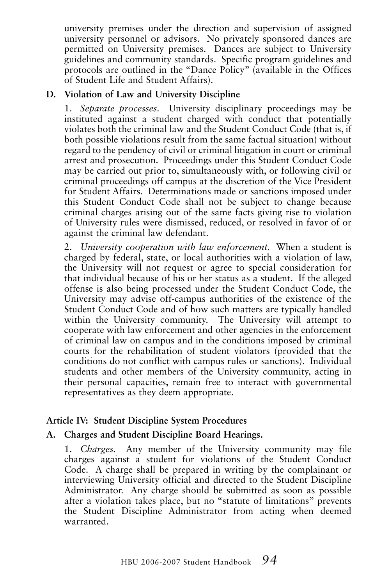university premises under the direction and supervision of assigned university personnel or advisors. No privately sponsored dances are permitted on University premises. Dances are subject to University guidelines and community standards. Specific program guidelines and protocols are outlined in the "Dance Policy" (available in the Offices of Student Life and Student Affairs).

#### **D. Violation of Law and University Discipline**

1. *Separate processes.* University disciplinary proceedings may be instituted against a student charged with conduct that potentially violates both the criminal law and the Student Conduct Code (that is, if both possible violations result from the same factual situation) without regard to the pendency of civil or criminal litigation in court or criminal arrest and prosecution. Proceedings under this Student Conduct Code may be carried out prior to, simultaneously with, or following civil or criminal proceedings off campus at the discretion of the Vice President for Student Affairs. Determinations made or sanctions imposed under this Student Conduct Code shall not be subject to change because criminal charges arising out of the same facts giving rise to violation of University rules were dismissed, reduced, or resolved in favor of or against the criminal law defendant.

2. *University cooperation with law enforcement.* When a student is charged by federal, state, or local authorities with a violation of law, the University will not request or agree to special consideration for that individual because of his or her status as a student. If the alleged offense is also being processed under the Student Conduct Code, the University may advise off-campus authorities of the existence of the Student Conduct Code and of how such matters are typically handled within the University community. The University will attempt to cooperate with law enforcement and other agencies in the enforcement of criminal law on campus and in the conditions imposed by criminal courts for the rehabilitation of student violators (provided that the conditions do not conflict with campus rules or sanctions). Individual students and other members of the University community, acting in their personal capacities, remain free to interact with governmental representatives as they deem appropriate.

#### **Article IV: Student Discipline System Procedures**

#### **A. Charges and Student Discipline Board Hearings.**

1. *Charges.* Any member of the University community may file charges against a student for violations of the Student Conduct Code. A charge shall be prepared in writing by the complainant or interviewing University official and directed to the Student Discipline Administrator. Any charge should be submitted as soon as possible after a violation takes place, but no "statute of limitations" prevents the Student Discipline Administrator from acting when deemed warranted.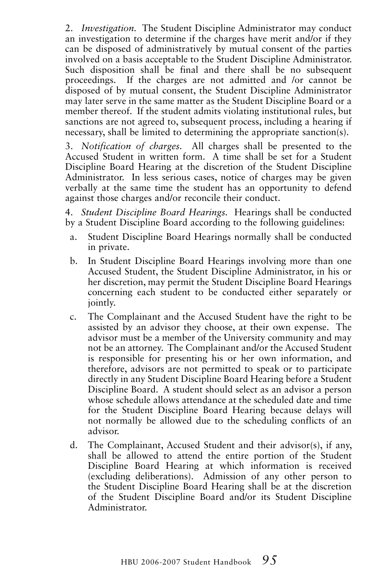2. *Investigation.* The Student Discipline Administrator may conduct an investigation to determine if the charges have merit and/or if they can be disposed of administratively by mutual consent of the parties involved on a basis acceptable to the Student Discipline Administrator. Such disposition shall be final and there shall be no subsequent proceedings. If the charges are not admitted and /or cannot be disposed of by mutual consent, the Student Discipline Administrator may later serve in the same matter as the Student Discipline Board or a member thereof. If the student admits violating institutional rules, but sanctions are not agreed to, subsequent process, including a hearing if necessary, shall be limited to determining the appropriate sanction(s).

3. *Notification of charges.* All charges shall be presented to the Accused Student in written form. A time shall be set for a Student Discipline Board Hearing at the discretion of the Student Discipline Administrator. In less serious cases, notice of charges may be given verbally at the same time the student has an opportunity to defend against those charges and/or reconcile their conduct.

4. *Student Discipline Board Hearings.* Hearings shall be conducted by a Student Discipline Board according to the following guidelines:

- a. Student Discipline Board Hearings normally shall be conducted in private.
- b. In Student Discipline Board Hearings involving more than one Accused Student, the Student Discipline Administrator, in his or her discretion, may permit the Student Discipline Board Hearings concerning each student to be conducted either separately or jointly.
- c. The Complainant and the Accused Student have the right to be assisted by an advisor they choose, at their own expense. The advisor must be a member of the University community and may not be an attorney. The Complainant and/or the Accused Student is responsible for presenting his or her own information, and therefore, advisors are not permitted to speak or to participate directly in any Student Discipline Board Hearing before a Student Discipline Board. A student should select as an advisor a person whose schedule allows attendance at the scheduled date and time for the Student Discipline Board Hearing because delays will not normally be allowed due to the scheduling conflicts of an advisor.
- d. The Complainant, Accused Student and their advisor(s), if any, shall be allowed to attend the entire portion of the Student Discipline Board Hearing at which information is received (excluding deliberations). Admission of any other person to the Student Discipline Board Hearing shall be at the discretion of the Student Discipline Board and/or its Student Discipline Administrator.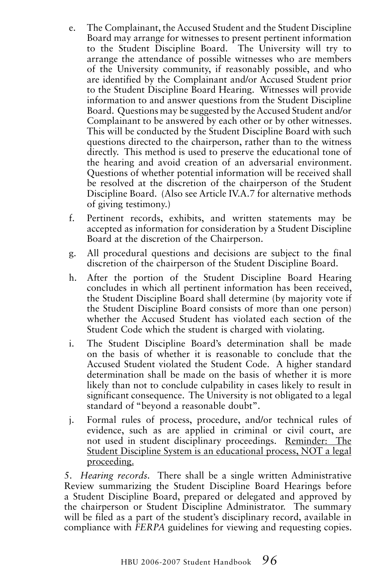- e. The Complainant, the Accused Student and the Student Discipline Board may arrange for witnesses to present pertinent information to the Student Discipline Board. The University will try to arrange the attendance of possible witnesses who are members of the University community, if reasonably possible, and who are identified by the Complainant and/or Accused Student prior to the Student Discipline Board Hearing. Witnesses will provide information to and answer questions from the Student Discipline Board. Questions may be suggested by the Accused Student and/or Complainant to be answered by each other or by other witnesses. This will be conducted by the Student Discipline Board with such questions directed to the chairperson, rather than to the witness directly. This method is used to preserve the educational tone of the hearing and avoid creation of an adversarial environment. Questions of whether potential information will be received shall be resolved at the discretion of the chairperson of the Student Discipline Board. (Also see Article IV.A.7 for alternative methods of giving testimony.)
- f. Pertinent records, exhibits, and written statements may be accepted as information for consideration by a Student Discipline Board at the discretion of the Chairperson.
- g. All procedural questions and decisions are subject to the final discretion of the chairperson of the Student Discipline Board.
- h. After the portion of the Student Discipline Board Hearing concludes in which all pertinent information has been received, the Student Discipline Board shall determine (by majority vote if the Student Discipline Board consists of more than one person) whether the Accused Student has violated each section of the Student Code which the student is charged with violating.
- i. The Student Discipline Board's determination shall be made on the basis of whether it is reasonable to conclude that the Accused Student violated the Student Code. A higher standard determination shall be made on the basis of whether it is more likely than not to conclude culpability in cases likely to result in significant consequence. The University is not obligated to a legal standard of "beyond a reasonable doubt".
- j. Formal rules of process, procedure, and/or technical rules of evidence, such as are applied in criminal or civil court, are not used in student disciplinary proceedings. Reminder: The Student Discipline System is an educational process, NOT a legal proceeding.

5. *Hearing records.* There shall be a single written Administrative Review summarizing the Student Discipline Board Hearings before a Student Discipline Board, prepared or delegated and approved by the chairperson or Student Discipline Administrator. The summary will be filed as a part of the student's disciplinary record, available in compliance with *FERPA* guidelines for viewing and requesting copies.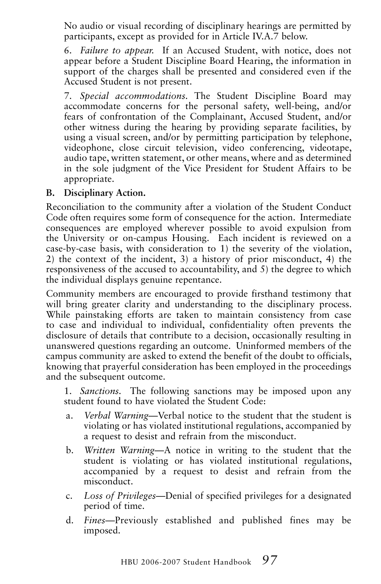No audio or visual recording of disciplinary hearings are permitted by participants, except as provided for in Article IV.A.7 below.

6. *Failure to appear.* If an Accused Student, with notice, does not appear before a Student Discipline Board Hearing, the information in support of the charges shall be presented and considered even if the Accused Student is not present.

7. *Special accommodations.* The Student Discipline Board may accommodate concerns for the personal safety, well-being, and/or fears of confrontation of the Complainant, Accused Student, and/or other witness during the hearing by providing separate facilities, by using a visual screen, and/or by permitting participation by telephone, videophone, close circuit television, video conferencing, videotape, audio tape, written statement, or other means, where and as determined in the sole judgment of the Vice President for Student Affairs to be appropriate.

#### **B. Disciplinary Action.**

Reconciliation to the community after a violation of the Student Conduct Code often requires some form of consequence for the action. Intermediate consequences are employed wherever possible to avoid expulsion from the University or on-campus Housing. Each incident is reviewed on a case-by-case basis, with consideration to 1) the severity of the violation, 2) the context of the incident, 3) a history of prior misconduct, 4) the responsiveness of the accused to accountability, and 5) the degree to which the individual displays genuine repentance.

Community members are encouraged to provide firsthand testimony that will bring greater clarity and understanding to the disciplinary process. While painstaking efforts are taken to maintain consistency from case to case and individual to individual, confidentiality often prevents the disclosure of details that contribute to a decision, occasionally resulting in unanswered questions regarding an outcome. Uninformed members of the campus community are asked to extend the benefit of the doubt to officials, knowing that prayerful consideration has been employed in the proceedings and the subsequent outcome.

1. *Sanctions.* The following sanctions may be imposed upon any student found to have violated the Student Code:

- a. *Verbal Warning*—Verbal notice to the student that the student is violating or has violated institutional regulations, accompanied by a request to desist and refrain from the misconduct.
- b. *Written Warning*—A notice in writing to the student that the student is violating or has violated institutional regulations, accompanied by a request to desist and refrain from the misconduct.
- c. *Loss of Privileges*—Denial of specified privileges for a designated period of time.
- d. *Fines*—Previously established and published fines may be imposed.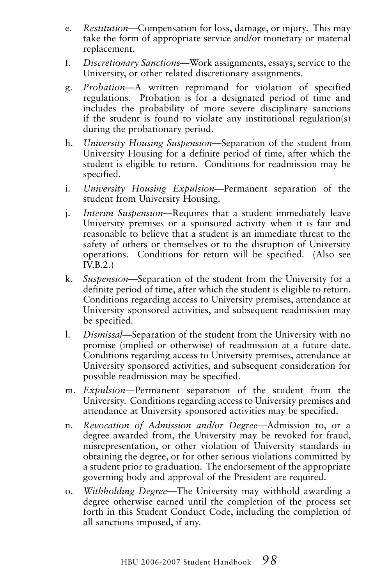- e. *Restitution*—Compensation for loss, damage, or injury. This may take the form of appropriate service and/or monetary or material replacement.
- f. *Discretionary Sanctions*—Work assignments, essays, service to the University, or other related discretionary assignments.
- g. *Probation*—A written reprimand for violation of specified regulations. Probation is for a designated period of time and includes the probability of more severe disciplinary sanctions if the student is found to violate any institutional regulation(s) during the probationary period.
- h. *University Housing Suspension*—Separation of the student from University Housing for a definite period of time, after which the student is eligible to return. Conditions for readmission may be specified.
- i. *University Housing Expulsion*—Permanent separation of the student from University Housing.
- j. *Interim Suspension*—Requires that a student immediately leave University premises or a sponsored activity when it is fair and reasonable to believe that a student is an immediate threat to the safety of others or themselves or to the disruption of University operations. Conditions for return will be specified. (Also see IV.B.2.)
- k. *Suspension*—Separation of the student from the University for a definite period of time, after which the student is eligible to return. Conditions regarding access to University premises, attendance at University sponsored activities, and subsequent readmission may be specified.
- l. *Dismissal*—Separation of the student from the University with no promise (implied or otherwise) of readmission at a future date. Conditions regarding access to University premises, attendance at University sponsored activities, and subsequent consideration for possible readmission may be specified.
- m. *Expulsion*—Permanent separation of the student from the University. Conditions regarding access to University premises and attendance at University sponsored activities may be specified.
- n. *Revocation of Admission and/or Degree*—Admission to, or a degree awarded from, the University may be revoked for fraud, misrepresentation, or other violation of University standards in obtaining the degree, or for other serious violations committed by a student prior to graduation. The endorsement of the appropriate governing body and approval of the President are required.
- o. *Withholding Degree*—The University may withhold awarding a degree otherwise earned until the completion of the process set forth in this Student Conduct Code, including the completion of all sanctions imposed, if any.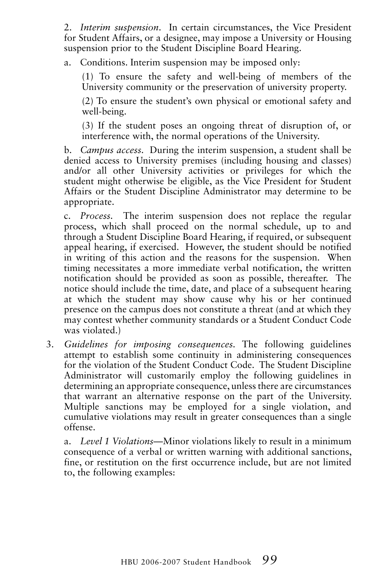2. *Interim suspension*. In certain circumstances, the Vice President for Student Affairs, or a designee, may impose a University or Housing suspension prior to the Student Discipline Board Hearing.

a. Conditions. Interim suspension may be imposed only:

(1) To ensure the safety and well-being of members of the University community or the preservation of university property.

(2) To ensure the student's own physical or emotional safety and well-being.

(3) If the student poses an ongoing threat of disruption of, or interference with, the normal operations of the University.

b. *Campus access.* During the interim suspension, a student shall be denied access to University premises (including housing and classes) and/or all other University activities or privileges for which the student might otherwise be eligible, as the Vice President for Student Affairs or the Student Discipline Administrator may determine to be appropriate.

c. *Process.* The interim suspension does not replace the regular process, which shall proceed on the normal schedule, up to and through a Student Discipline Board Hearing, if required, or subsequent appeal hearing, if exercised. However, the student should be notified in writing of this action and the reasons for the suspension. When timing necessitates a more immediate verbal notification, the written notification should be provided as soon as possible, thereafter. The notice should include the time, date, and place of a subsequent hearing at which the student may show cause why his or her continued presence on the campus does not constitute a threat (and at which they may contest whether community standards or a Student Conduct Code was violated.)

3. *Guidelines for imposing consequences.* The following guidelines attempt to establish some continuity in administering consequences for the violation of the Student Conduct Code. The Student Discipline Administrator will customarily employ the following guidelines in determining an appropriate consequence, unless there are circumstances that warrant an alternative response on the part of the University. Multiple sanctions may be employed for a single violation, and cumulative violations may result in greater consequences than a single offense.

a. *Level 1 Violations*—Minor violations likely to result in a minimum consequence of a verbal or written warning with additional sanctions, fine, or restitution on the first occurrence include, but are not limited to, the following examples: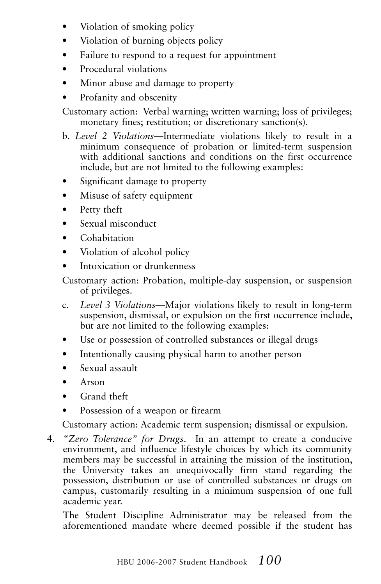- Violation of smoking policy
- Violation of burning objects policy
- Failure to respond to a request for appointment
- Procedural violations
- Minor abuse and damage to property
- Profanity and obscenity

Customary action: Verbal warning; written warning; loss of privileges; monetary fines; restitution; or discretionary sanction(s).

- b. *Level 2 Violations*—Intermediate violations likely to result in a minimum consequence of probation or limited-term suspension with additional sanctions and conditions on the first occurrence include, but are not limited to the following examples:
- Significant damage to property
- Misuse of safety equipment
- Petty theft
- Sexual misconduct
- Cohabitation
- Violation of alcohol policy
- Intoxication or drunkenness

Customary action: Probation, multiple-day suspension, or suspension of privileges.

- c. *Level 3 Violations*—Major violations likely to result in long-term suspension, dismissal, or expulsion on the first occurrence include, but are not limited to the following examples:
- Use or possession of controlled substances or illegal drugs
- Intentionally causing physical harm to another person
- Sexual assault
- Arson
- Grand theft
- Possession of a weapon or firearm

Customary action: Academic term suspension; dismissal or expulsion.

4. *"Zero Tolerance" for Drugs*. In an attempt to create a conducive environment, and influence lifestyle choices by which its community members may be successful in attaining the mission of the institution, the University takes an unequivocally firm stand regarding the possession, distribution or use of controlled substances or drugs on campus, customarily resulting in a minimum suspension of one full academic year.

 The Student Discipline Administrator may be released from the aforementioned mandate where deemed possible if the student has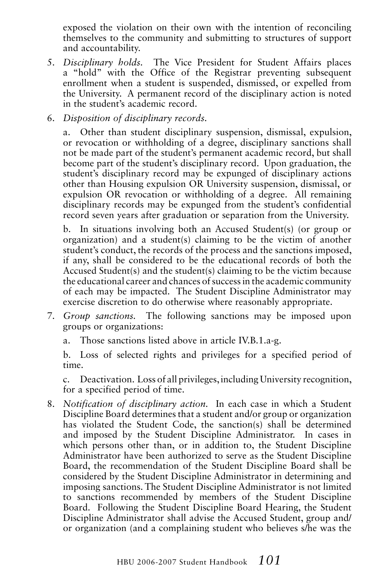exposed the violation on their own with the intention of reconciling themselves to the community and submitting to structures of support and accountability.

- 5. *Disciplinary holds.* The Vice President for Student Affairs places a "hold" with the Office of the Registrar preventing subsequent enrollment when a student is suspended, dismissed, or expelled from the University. A permanent record of the disciplinary action is noted in the student's academic record.
- 6. *Disposition of disciplinary records.*

a. Other than student disciplinary suspension, dismissal, expulsion, or revocation or withholding of a degree, disciplinary sanctions shall not be made part of the student's permanent academic record, but shall become part of the student's disciplinary record. Upon graduation, the student's disciplinary record may be expunged of disciplinary actions other than Housing expulsion OR University suspension, dismissal, or expulsion OR revocation or withholding of a degree. All remaining disciplinary records may be expunged from the student's confidential record seven years after graduation or separation from the University.

b. In situations involving both an Accused Student(s) (or group or organization) and a student(s) claiming to be the victim of another student's conduct, the records of the process and the sanctions imposed, if any, shall be considered to be the educational records of both the Accused Student(s) and the student(s) claiming to be the victim because the educational career and chances of success in the academic community of each may be impacted. The Student Discipline Administrator may exercise discretion to do otherwise where reasonably appropriate.

- 7. *Group sanctions.* The following sanctions may be imposed upon groups or organizations:
	- a. Those sanctions listed above in article IV.B.1.a-g.

b. Loss of selected rights and privileges for a specified period of time.

c. Deactivation. Loss of all privileges, including University recognition, for a specified period of time.

8. *Notification of disciplinary action.* In each case in which a Student Discipline Board determines that a student and/or group or organization has violated the Student Code, the sanction(s) shall be determined and imposed by the Student Discipline Administrator. In cases in which persons other than, or in addition to, the Student Discipline Administrator have been authorized to serve as the Student Discipline Board, the recommendation of the Student Discipline Board shall be considered by the Student Discipline Administrator in determining and imposing sanctions. The Student Discipline Administrator is not limited to sanctions recommended by members of the Student Discipline Board. Following the Student Discipline Board Hearing, the Student Discipline Administrator shall advise the Accused Student, group and/ or organization (and a complaining student who believes s/he was the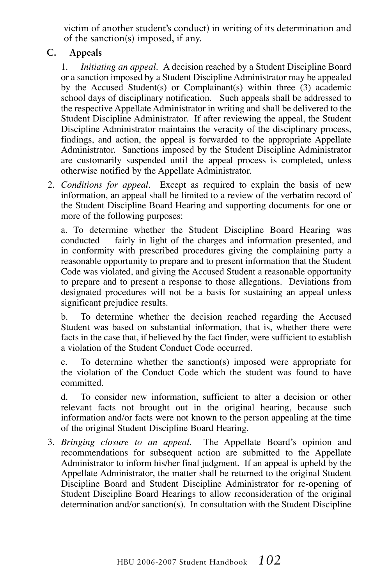victim of another student's conduct) in writing of its determination and of the sanction(s) imposed, if any.

#### **C. Appeals**

1. *Initiating an appeal.* A decision reached by a Student Discipline Board or a sanction imposed by a Student Discipline Administrator may be appealed by the Accused Student(s) or Complainant(s) within three (3) academic school days of disciplinary notification. Such appeals shall be addressed to the respective Appellate Administrator in writing and shall be delivered to the Student Discipline Administrator. If after reviewing the appeal, the Student Discipline Administrator maintains the veracity of the disciplinary process, findings, and action, the appeal is forwarded to the appropriate Appellate Administrator. Sanctions imposed by the Student Discipline Administrator are customarily suspended until the appeal process is completed, unless otherwise notified by the Appellate Administrator.

2. *Conditions for appeal.* Except as required to explain the basis of new information, an appeal shall be limited to a review of the verbatim record of the Student Discipline Board Hearing and supporting documents for one or more of the following purposes:

a. To determine whether the Student Discipline Board Hearing was conducted fairly in light of the charges and information presented, and in conformity with prescribed procedures giving the complaining party a reasonable opportunity to prepare and to present information that the Student Code was violated, and giving the Accused Student a reasonable opportunity to prepare and to present a response to those allegations. Deviations from designated procedures will not be a basis for sustaining an appeal unless significant prejudice results.

b. To determine whether the decision reached regarding the Accused Student was based on substantial information, that is, whether there were facts in the case that, if believed by the fact finder, were sufficient to establish a violation of the Student Conduct Code occurred.

c. To determine whether the sanction(s) imposed were appropriate for the violation of the Conduct Code which the student was found to have committed.

d. To consider new information, sufficient to alter a decision or other relevant facts not brought out in the original hearing, because such information and/or facts were not known to the person appealing at the time of the original Student Discipline Board Hearing.

3. *Bringing closure to an appeal.* The Appellate Board's opinion and recommendations for subsequent action are submitted to the Appellate Administrator to inform his/her final judgment. If an appeal is upheld by the Appellate Administrator, the matter shall be returned to the original Student Discipline Board and Student Discipline Administrator for re-opening of Student Discipline Board Hearings to allow reconsideration of the original determination and/or sanction(s). In consultation with the Student Discipline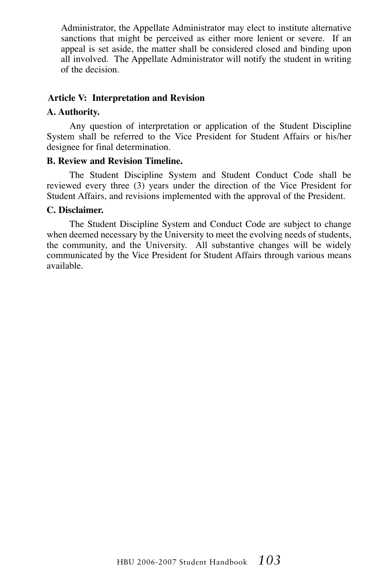Administrator, the Appellate Administrator may elect to institute alternative sanctions that might be perceived as either more lenient or severe. If an appeal is set aside, the matter shall be considered closed and binding upon all involved. The Appellate Administrator will notify the student in writing of the decision.

#### **Article V: Interpretation and Revision**

#### **A. Authority.**

Any question of interpretation or application of the Student Discipline System shall be referred to the Vice President for Student Affairs or his/her designee for final determination.

#### **B. Review and Revision Timeline.**

The Student Discipline System and Student Conduct Code shall be reviewed every three (3) years under the direction of the Vice President for Student Affairs, and revisions implemented with the approval of the President.

#### **C. Disclaimer.**

The Student Discipline System and Conduct Code are subject to change when deemed necessary by the University to meet the evolving needs of students, the community, and the University. All substantive changes will be widely communicated by the Vice President for Student Affairs through various means available.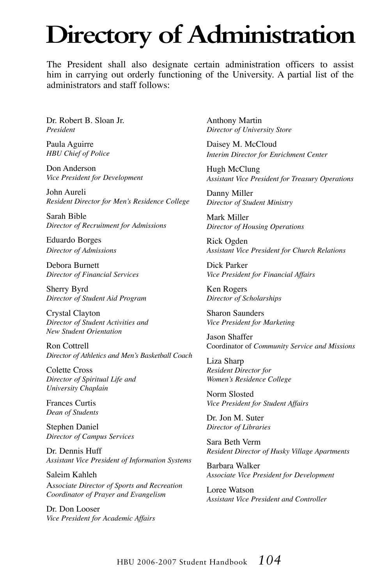# **Directory of Administration**

The President shall also designate certain administration officers to assist him in carrying out orderly functioning of the University. A partial list of the administrators and staff follows:

Dr. Robert B. Sloan Jr. *President* 

Paula Aguirre *HBU Chief of Police*

Don Anderson *Vice President for Development*

John Aureli *Resident Director for Men's Residence College*

Sarah Bible *Director of Recruitment for Admissions*

Eduardo Borges *Director of Admissions*

Debora Burnett *Director of Financial Services*

Sherry Byrd *Director of Student Aid Program*

Crystal Clayton *Director of Student Activities and New Student Orientation*

Ron Cottrell *Director of Athletics and Men's Basketball Coach*

Colette Cross *Director of Spiritual Life and University Chaplain*

Frances Curtis *Dean of Students*

Stephen Daniel *Director of Campus Services*

Dr. Dennis Huff *Assistant Vice President of Information Systems*

Saleim Kahleh A*ssociate Director of Sports and Recreation Coordinator of Prayer and Evangelism*

Dr. Don Looser *Vice President for Academic Affairs* 

Anthony Martin *Director of University Store*

Daisey M. McCloud *Interim Director for Enrichment Center*

Hugh McClung *Assistant Vice President for Treasury Operations*

Danny Miller *Director of Student Ministry*

Mark Miller *Director of Housing Operations*

Rick Ogden *Assistant Vice President for Church Relations*

Dick Parker *Vice President for Financial Affairs*

Ken Rogers *Director of Scholarships*

Sharon Saunders *Vice President for Marketing*

Jason Shaffer Coordinator of *Community Service and Missions*

Liza Sharp *Resident Director for Women's Residence College*

Norm Slosted *Vice President for Student Affairs*

Dr. Jon M. Suter *Director of Libraries*

Sara Beth Verm *Resident Director of Husky Village Apartments*

Barbara Walker *Associate Vice President for Development*

Loree Watson *Assistant Vice President and Controller*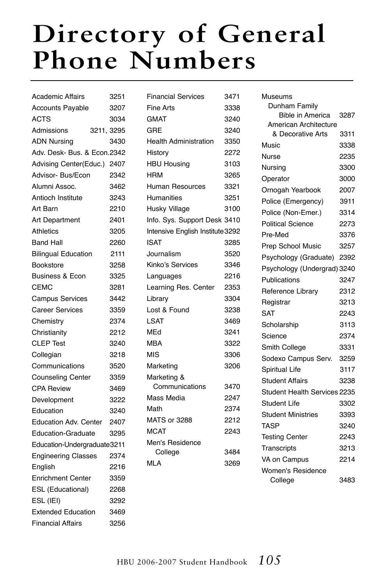# **Directory of General Phone Numbers**

| <b>Academic Affairs</b>      | 3251 |
|------------------------------|------|
| <b>Accounts Payable</b>      | 3207 |
| <b>ACTS</b>                  | 3034 |
| Admissions<br>3211, 3295     |      |
| <b>ADN Nursing</b>           | 3430 |
| Adv. Desk- Bus. & Econ.2342  |      |
| Advising Center(Educ.) 2407  |      |
| Advisor- Bus/Econ            | 2342 |
| Alumni Assoc.                | 3462 |
| Antioch Institute            | 3243 |
| Art Barn                     | 2210 |
| Art Department               | 2401 |
| <b>Athletics</b>             | 3205 |
| <b>Band Hall</b>             | 2260 |
| <b>Bilingual Education</b>   | 2111 |
| Bookstore                    | 3258 |
| <b>Business &amp; Econ</b>   | 3325 |
| <b>CEMC</b>                  | 3281 |
| <b>Campus Services</b>       | 3442 |
| <b>Career Services</b>       | 3359 |
| Chemistry                    | 2374 |
| Christianity                 | 2212 |
| <b>CLEP Test</b>             | 3240 |
| Collegian                    | 3218 |
| Communications               | 3520 |
| <b>Counseling Center</b>     | 3359 |
| <b>CPA Review</b>            | 3469 |
| Development                  | 3222 |
| Education                    | 3240 |
| <b>Education Adv. Center</b> | 2407 |
| <b>Education-Graduate</b>    | 3295 |
| Education-Undergraduate3211  |      |
| <b>Engineering Classes</b>   | 2374 |
| English                      | 2216 |
| <b>Enrichment Center</b>     | 3359 |
| <b>ESL (Educational)</b>     | 2268 |
| ESL (IEI)                    | 3292 |
| <b>Extended Education</b>    | 3469 |
| Financial Affairs            | 3256 |

| <b>Financial Services</b>        | 3471 |
|----------------------------------|------|
| Fine Arts                        | 3338 |
| <b>GMAT</b>                      | 3240 |
| GRE                              | 3240 |
| <b>Health Administration</b>     | 3350 |
| History                          | 2272 |
| <b>HBU Housing</b>               | 3103 |
| <b>HRM</b>                       | 3265 |
| Human Resources                  | 3321 |
| Humanities                       | 3251 |
| Husky Village                    | 3100 |
| Info. Sys. Support Desk 3410     |      |
| Intensive English Institute 3292 |      |
| ISAT                             | 3285 |
| Journalism                       | 3520 |
| Kinko's Services                 | 3346 |
| Languages                        | 2216 |
| Learning Res. Center             | 2353 |
| Library                          | 3304 |
| Lost & Found                     | 3238 |
| LSAT                             | 3469 |
| MEd                              | 3241 |
| <b>MBA</b>                       | 3322 |
| MIS                              | 3306 |
| Marketing                        | 3206 |
| Marketing &                      |      |
| Communications                   | 3470 |
| Mass Media                       | 2247 |
| Math                             | 2374 |
| <b>MATS or 3288</b>              | 2212 |
| <b>MCAT</b>                      | 2243 |
| Men's Residence                  | 3484 |
| College<br>MLA                   | 3269 |
|                                  |      |

| Museums                      |      |
|------------------------------|------|
| Dunham Family                |      |
| <b>Bible in America</b>      | 3287 |
| American Architecture        |      |
| & Decorative Arts            | 3311 |
| Music                        | 3338 |
| Nurse                        | 2235 |
| Nursing                      | 3300 |
| Operator                     | 3000 |
| Ornogah Yearbook             | 2007 |
| Police (Emergency)           | 3911 |
| Police (Non-Emer.)           | 3314 |
| <b>Political Science</b>     | 2273 |
| Pre-Med                      | 3376 |
| Prep School Music            | 3257 |
| Psychology (Graduate)        | 2392 |
| Psychology (Undergrad) 3240  |      |
| Publications                 | 3247 |
| Reference Library            | 2312 |
| Registrar                    | 3213 |
| <b>SAT</b>                   | 2243 |
| Scholarship                  | 3113 |
| Science                      | 2374 |
| Smith College                | 3331 |
| Sodexo Campus Serv.          | 3259 |
| Spiritual Life               | 3117 |
| Student Affairs              | 3238 |
| Student Health Services 2235 |      |
| Student Life                 | 3302 |
| <b>Student Ministries</b>    | 3393 |
| <b>TASP</b>                  | 3240 |
| <b>Testing Center</b>        | 2243 |
| Transcripts                  | 3213 |
| VA on Campus                 | 2214 |
| <b>Women's Residence</b>     |      |
| College                      | 3483 |